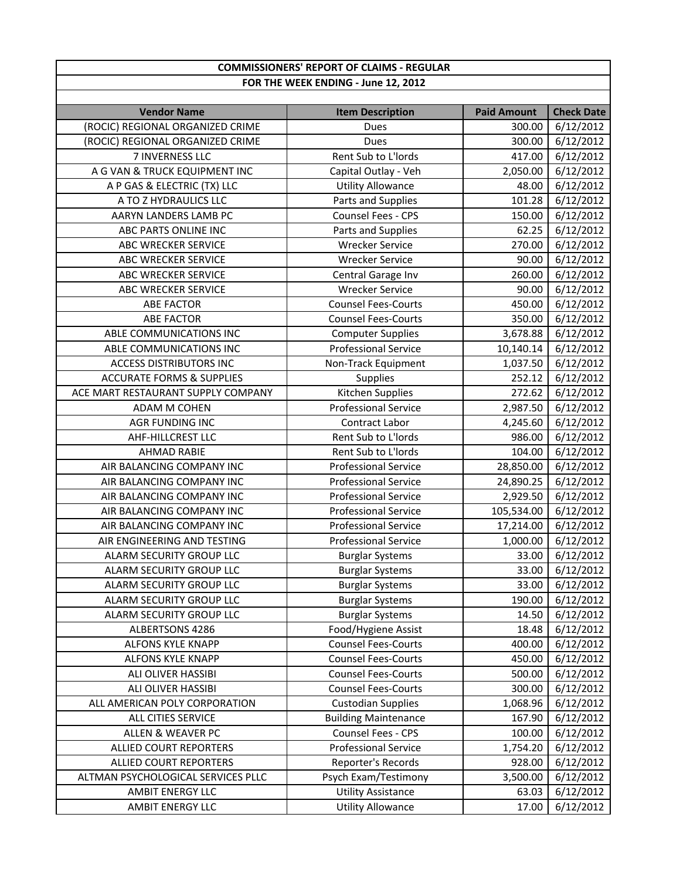## **FOR THE WEEK ENDING ‐ June 12, 2012 COMMISSIONERS' REPORT OF CLAIMS ‐ REGULAR**

| (ROCIC) REGIONAL ORGANIZED CRIME<br>6/12/2012<br>Dues<br>300.00<br>(ROCIC) REGIONAL ORGANIZED CRIME<br>6/12/2012<br>Dues<br>300.00<br>Rent Sub to L'Iords<br>6/12/2012<br>7 INVERNESS LLC<br>417.00<br>6/12/2012<br>A G VAN & TRUCK EQUIPMENT INC<br>Capital Outlay - Veh<br>2,050.00<br>6/12/2012<br><b>Utility Allowance</b><br>A P GAS & ELECTRIC (TX) LLC<br>48.00<br>Parts and Supplies<br>6/12/2012<br>A TO Z HYDRAULICS LLC<br>101.28<br>Counsel Fees - CPS<br>6/12/2012<br>AARYN LANDERS LAMB PC<br>150.00<br>6/12/2012<br>ABC PARTS ONLINE INC<br>Parts and Supplies<br>62.25<br>6/12/2012<br><b>Wrecker Service</b><br><b>ABC WRECKER SERVICE</b><br>270.00<br>6/12/2012<br>ABC WRECKER SERVICE<br><b>Wrecker Service</b><br>90.00<br>6/12/2012<br><b>ABC WRECKER SERVICE</b><br>260.00<br>Central Garage Inv<br>6/12/2012<br>ABC WRECKER SERVICE<br><b>Wrecker Service</b><br>90.00<br>450.00<br>6/12/2012<br><b>ABE FACTOR</b><br><b>Counsel Fees-Courts</b><br>6/12/2012<br><b>ABE FACTOR</b><br><b>Counsel Fees-Courts</b><br>350.00<br>6/12/2012<br>ABLE COMMUNICATIONS INC<br><b>Computer Supplies</b><br>3,678.88<br><b>Professional Service</b><br>6/12/2012<br>ABLE COMMUNICATIONS INC<br>10,140.14<br>6/12/2012<br>1,037.50<br><b>ACCESS DISTRIBUTORS INC</b><br>Non-Track Equipment<br>6/12/2012<br><b>ACCURATE FORMS &amp; SUPPLIES</b><br>252.12<br>Supplies | <b>Vendor Name</b> | <b>Item Description</b> | <b>Paid Amount</b> | <b>Check Date</b> |
|-------------------------------------------------------------------------------------------------------------------------------------------------------------------------------------------------------------------------------------------------------------------------------------------------------------------------------------------------------------------------------------------------------------------------------------------------------------------------------------------------------------------------------------------------------------------------------------------------------------------------------------------------------------------------------------------------------------------------------------------------------------------------------------------------------------------------------------------------------------------------------------------------------------------------------------------------------------------------------------------------------------------------------------------------------------------------------------------------------------------------------------------------------------------------------------------------------------------------------------------------------------------------------------------------------------------------------------------------------------------------------------|--------------------|-------------------------|--------------------|-------------------|
|                                                                                                                                                                                                                                                                                                                                                                                                                                                                                                                                                                                                                                                                                                                                                                                                                                                                                                                                                                                                                                                                                                                                                                                                                                                                                                                                                                                     |                    |                         |                    |                   |
|                                                                                                                                                                                                                                                                                                                                                                                                                                                                                                                                                                                                                                                                                                                                                                                                                                                                                                                                                                                                                                                                                                                                                                                                                                                                                                                                                                                     |                    |                         |                    |                   |
|                                                                                                                                                                                                                                                                                                                                                                                                                                                                                                                                                                                                                                                                                                                                                                                                                                                                                                                                                                                                                                                                                                                                                                                                                                                                                                                                                                                     |                    |                         |                    |                   |
|                                                                                                                                                                                                                                                                                                                                                                                                                                                                                                                                                                                                                                                                                                                                                                                                                                                                                                                                                                                                                                                                                                                                                                                                                                                                                                                                                                                     |                    |                         |                    |                   |
|                                                                                                                                                                                                                                                                                                                                                                                                                                                                                                                                                                                                                                                                                                                                                                                                                                                                                                                                                                                                                                                                                                                                                                                                                                                                                                                                                                                     |                    |                         |                    |                   |
|                                                                                                                                                                                                                                                                                                                                                                                                                                                                                                                                                                                                                                                                                                                                                                                                                                                                                                                                                                                                                                                                                                                                                                                                                                                                                                                                                                                     |                    |                         |                    |                   |
|                                                                                                                                                                                                                                                                                                                                                                                                                                                                                                                                                                                                                                                                                                                                                                                                                                                                                                                                                                                                                                                                                                                                                                                                                                                                                                                                                                                     |                    |                         |                    |                   |
|                                                                                                                                                                                                                                                                                                                                                                                                                                                                                                                                                                                                                                                                                                                                                                                                                                                                                                                                                                                                                                                                                                                                                                                                                                                                                                                                                                                     |                    |                         |                    |                   |
|                                                                                                                                                                                                                                                                                                                                                                                                                                                                                                                                                                                                                                                                                                                                                                                                                                                                                                                                                                                                                                                                                                                                                                                                                                                                                                                                                                                     |                    |                         |                    |                   |
|                                                                                                                                                                                                                                                                                                                                                                                                                                                                                                                                                                                                                                                                                                                                                                                                                                                                                                                                                                                                                                                                                                                                                                                                                                                                                                                                                                                     |                    |                         |                    |                   |
|                                                                                                                                                                                                                                                                                                                                                                                                                                                                                                                                                                                                                                                                                                                                                                                                                                                                                                                                                                                                                                                                                                                                                                                                                                                                                                                                                                                     |                    |                         |                    |                   |
|                                                                                                                                                                                                                                                                                                                                                                                                                                                                                                                                                                                                                                                                                                                                                                                                                                                                                                                                                                                                                                                                                                                                                                                                                                                                                                                                                                                     |                    |                         |                    |                   |
|                                                                                                                                                                                                                                                                                                                                                                                                                                                                                                                                                                                                                                                                                                                                                                                                                                                                                                                                                                                                                                                                                                                                                                                                                                                                                                                                                                                     |                    |                         |                    |                   |
|                                                                                                                                                                                                                                                                                                                                                                                                                                                                                                                                                                                                                                                                                                                                                                                                                                                                                                                                                                                                                                                                                                                                                                                                                                                                                                                                                                                     |                    |                         |                    |                   |
|                                                                                                                                                                                                                                                                                                                                                                                                                                                                                                                                                                                                                                                                                                                                                                                                                                                                                                                                                                                                                                                                                                                                                                                                                                                                                                                                                                                     |                    |                         |                    |                   |
|                                                                                                                                                                                                                                                                                                                                                                                                                                                                                                                                                                                                                                                                                                                                                                                                                                                                                                                                                                                                                                                                                                                                                                                                                                                                                                                                                                                     |                    |                         |                    |                   |
|                                                                                                                                                                                                                                                                                                                                                                                                                                                                                                                                                                                                                                                                                                                                                                                                                                                                                                                                                                                                                                                                                                                                                                                                                                                                                                                                                                                     |                    |                         |                    |                   |
|                                                                                                                                                                                                                                                                                                                                                                                                                                                                                                                                                                                                                                                                                                                                                                                                                                                                                                                                                                                                                                                                                                                                                                                                                                                                                                                                                                                     |                    |                         |                    |                   |
|                                                                                                                                                                                                                                                                                                                                                                                                                                                                                                                                                                                                                                                                                                                                                                                                                                                                                                                                                                                                                                                                                                                                                                                                                                                                                                                                                                                     |                    |                         |                    |                   |
| Kitchen Supplies<br>6/12/2012<br>ACE MART RESTAURANT SUPPLY COMPANY<br>272.62                                                                                                                                                                                                                                                                                                                                                                                                                                                                                                                                                                                                                                                                                                                                                                                                                                                                                                                                                                                                                                                                                                                                                                                                                                                                                                       |                    |                         |                    |                   |
| <b>Professional Service</b><br>6/12/2012<br>ADAM M COHEN<br>2,987.50                                                                                                                                                                                                                                                                                                                                                                                                                                                                                                                                                                                                                                                                                                                                                                                                                                                                                                                                                                                                                                                                                                                                                                                                                                                                                                                |                    |                         |                    |                   |
| 6/12/2012<br>4,245.60<br><b>AGR FUNDING INC</b><br>Contract Labor                                                                                                                                                                                                                                                                                                                                                                                                                                                                                                                                                                                                                                                                                                                                                                                                                                                                                                                                                                                                                                                                                                                                                                                                                                                                                                                   |                    |                         |                    |                   |
| Rent Sub to L'Iords<br>986.00<br>6/12/2012<br>AHF-HILLCREST LLC                                                                                                                                                                                                                                                                                                                                                                                                                                                                                                                                                                                                                                                                                                                                                                                                                                                                                                                                                                                                                                                                                                                                                                                                                                                                                                                     |                    |                         |                    |                   |
| Rent Sub to L'Iords<br>6/12/2012<br><b>AHMAD RABIE</b><br>104.00                                                                                                                                                                                                                                                                                                                                                                                                                                                                                                                                                                                                                                                                                                                                                                                                                                                                                                                                                                                                                                                                                                                                                                                                                                                                                                                    |                    |                         |                    |                   |
| 6/12/2012<br>AIR BALANCING COMPANY INC<br><b>Professional Service</b><br>28,850.00                                                                                                                                                                                                                                                                                                                                                                                                                                                                                                                                                                                                                                                                                                                                                                                                                                                                                                                                                                                                                                                                                                                                                                                                                                                                                                  |                    |                         |                    |                   |
| 6/12/2012<br>AIR BALANCING COMPANY INC<br><b>Professional Service</b><br>24,890.25                                                                                                                                                                                                                                                                                                                                                                                                                                                                                                                                                                                                                                                                                                                                                                                                                                                                                                                                                                                                                                                                                                                                                                                                                                                                                                  |                    |                         |                    |                   |
| 6/12/2012<br>2,929.50<br>AIR BALANCING COMPANY INC<br><b>Professional Service</b>                                                                                                                                                                                                                                                                                                                                                                                                                                                                                                                                                                                                                                                                                                                                                                                                                                                                                                                                                                                                                                                                                                                                                                                                                                                                                                   |                    |                         |                    |                   |
| 105,534.00<br>6/12/2012<br>AIR BALANCING COMPANY INC<br><b>Professional Service</b>                                                                                                                                                                                                                                                                                                                                                                                                                                                                                                                                                                                                                                                                                                                                                                                                                                                                                                                                                                                                                                                                                                                                                                                                                                                                                                 |                    |                         |                    |                   |
| 6/12/2012<br>AIR BALANCING COMPANY INC<br><b>Professional Service</b><br>17,214.00                                                                                                                                                                                                                                                                                                                                                                                                                                                                                                                                                                                                                                                                                                                                                                                                                                                                                                                                                                                                                                                                                                                                                                                                                                                                                                  |                    |                         |                    |                   |
| <b>Professional Service</b><br>6/12/2012<br>AIR ENGINEERING AND TESTING<br>1,000.00                                                                                                                                                                                                                                                                                                                                                                                                                                                                                                                                                                                                                                                                                                                                                                                                                                                                                                                                                                                                                                                                                                                                                                                                                                                                                                 |                    |                         |                    |                   |
| 6/12/2012<br>ALARM SECURITY GROUP LLC<br><b>Burglar Systems</b><br>33.00                                                                                                                                                                                                                                                                                                                                                                                                                                                                                                                                                                                                                                                                                                                                                                                                                                                                                                                                                                                                                                                                                                                                                                                                                                                                                                            |                    |                         |                    |                   |
| <b>Burglar Systems</b><br>6/12/2012<br>ALARM SECURITY GROUP LLC<br>33.00                                                                                                                                                                                                                                                                                                                                                                                                                                                                                                                                                                                                                                                                                                                                                                                                                                                                                                                                                                                                                                                                                                                                                                                                                                                                                                            |                    |                         |                    |                   |
| 6/12/2012<br>ALARM SECURITY GROUP LLC<br><b>Burglar Systems</b><br>33.00                                                                                                                                                                                                                                                                                                                                                                                                                                                                                                                                                                                                                                                                                                                                                                                                                                                                                                                                                                                                                                                                                                                                                                                                                                                                                                            |                    |                         |                    |                   |
| ALARM SECURITY GROUP LLC<br><b>Burglar Systems</b><br>190.00<br>6/12/2012                                                                                                                                                                                                                                                                                                                                                                                                                                                                                                                                                                                                                                                                                                                                                                                                                                                                                                                                                                                                                                                                                                                                                                                                                                                                                                           |                    |                         |                    |                   |
| ALARM SECURITY GROUP LLC<br>6/12/2012<br><b>Burglar Systems</b><br>14.50                                                                                                                                                                                                                                                                                                                                                                                                                                                                                                                                                                                                                                                                                                                                                                                                                                                                                                                                                                                                                                                                                                                                                                                                                                                                                                            |                    |                         |                    |                   |
| 6/12/2012<br>ALBERTSONS 4286<br>Food/Hygiene Assist<br>18.48                                                                                                                                                                                                                                                                                                                                                                                                                                                                                                                                                                                                                                                                                                                                                                                                                                                                                                                                                                                                                                                                                                                                                                                                                                                                                                                        |                    |                         |                    |                   |
| <b>Counsel Fees-Courts</b><br>ALFONS KYLE KNAPP<br>400.00<br>6/12/2012                                                                                                                                                                                                                                                                                                                                                                                                                                                                                                                                                                                                                                                                                                                                                                                                                                                                                                                                                                                                                                                                                                                                                                                                                                                                                                              |                    |                         |                    |                   |
| 6/12/2012<br><b>Counsel Fees-Courts</b><br>ALFONS KYLE KNAPP<br>450.00                                                                                                                                                                                                                                                                                                                                                                                                                                                                                                                                                                                                                                                                                                                                                                                                                                                                                                                                                                                                                                                                                                                                                                                                                                                                                                              |                    |                         |                    |                   |
| <b>Counsel Fees-Courts</b><br>6/12/2012<br>ALI OLIVER HASSIBI<br>500.00                                                                                                                                                                                                                                                                                                                                                                                                                                                                                                                                                                                                                                                                                                                                                                                                                                                                                                                                                                                                                                                                                                                                                                                                                                                                                                             |                    |                         |                    |                   |
| <b>Counsel Fees-Courts</b><br>300.00<br>6/12/2012<br>ALI OLIVER HASSIBI                                                                                                                                                                                                                                                                                                                                                                                                                                                                                                                                                                                                                                                                                                                                                                                                                                                                                                                                                                                                                                                                                                                                                                                                                                                                                                             |                    |                         |                    |                   |
| <b>Custodian Supplies</b><br>6/12/2012<br>ALL AMERICAN POLY CORPORATION<br>1,068.96                                                                                                                                                                                                                                                                                                                                                                                                                                                                                                                                                                                                                                                                                                                                                                                                                                                                                                                                                                                                                                                                                                                                                                                                                                                                                                 |                    |                         |                    |                   |
| <b>Building Maintenance</b><br>167.90<br>6/12/2012<br>ALL CITIES SERVICE                                                                                                                                                                                                                                                                                                                                                                                                                                                                                                                                                                                                                                                                                                                                                                                                                                                                                                                                                                                                                                                                                                                                                                                                                                                                                                            |                    |                         |                    |                   |
| Counsel Fees - CPS<br>ALLEN & WEAVER PC<br>6/12/2012<br>100.00                                                                                                                                                                                                                                                                                                                                                                                                                                                                                                                                                                                                                                                                                                                                                                                                                                                                                                                                                                                                                                                                                                                                                                                                                                                                                                                      |                    |                         |                    |                   |
| <b>ALLIED COURT REPORTERS</b><br><b>Professional Service</b><br>1,754.20<br>6/12/2012                                                                                                                                                                                                                                                                                                                                                                                                                                                                                                                                                                                                                                                                                                                                                                                                                                                                                                                                                                                                                                                                                                                                                                                                                                                                                               |                    |                         |                    |                   |
| <b>ALLIED COURT REPORTERS</b><br>Reporter's Records<br>928.00<br>6/12/2012                                                                                                                                                                                                                                                                                                                                                                                                                                                                                                                                                                                                                                                                                                                                                                                                                                                                                                                                                                                                                                                                                                                                                                                                                                                                                                          |                    |                         |                    |                   |
| ALTMAN PSYCHOLOGICAL SERVICES PLLC<br>Psych Exam/Testimony<br>3,500.00<br>6/12/2012                                                                                                                                                                                                                                                                                                                                                                                                                                                                                                                                                                                                                                                                                                                                                                                                                                                                                                                                                                                                                                                                                                                                                                                                                                                                                                 |                    |                         |                    |                   |
| <b>Utility Assistance</b><br>63.03<br>6/12/2012<br>AMBIT ENERGY LLC                                                                                                                                                                                                                                                                                                                                                                                                                                                                                                                                                                                                                                                                                                                                                                                                                                                                                                                                                                                                                                                                                                                                                                                                                                                                                                                 |                    |                         |                    |                   |
| 6/12/2012<br>AMBIT ENERGY LLC<br><b>Utility Allowance</b><br>17.00                                                                                                                                                                                                                                                                                                                                                                                                                                                                                                                                                                                                                                                                                                                                                                                                                                                                                                                                                                                                                                                                                                                                                                                                                                                                                                                  |                    |                         |                    |                   |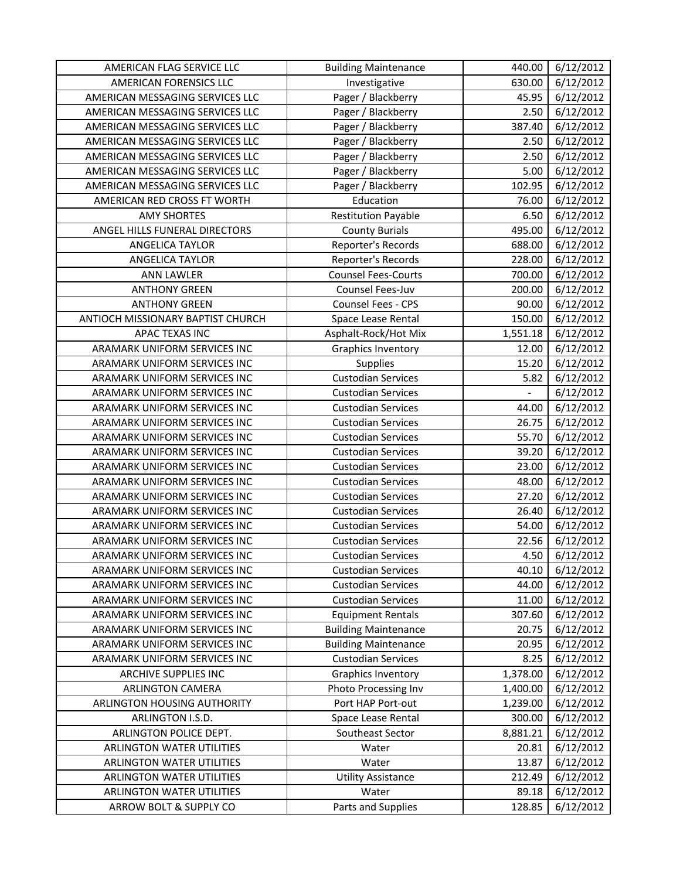| AMERICAN FLAG SERVICE LLC                | <b>Building Maintenance</b> | 440.00   | 6/12/2012 |
|------------------------------------------|-----------------------------|----------|-----------|
| AMERICAN FORENSICS LLC                   | Investigative               | 630.00   | 6/12/2012 |
| AMERICAN MESSAGING SERVICES LLC          | Pager / Blackberry          | 45.95    | 6/12/2012 |
| AMERICAN MESSAGING SERVICES LLC          | Pager / Blackberry          | 2.50     | 6/12/2012 |
| AMERICAN MESSAGING SERVICES LLC          | Pager / Blackberry          | 387.40   | 6/12/2012 |
| AMERICAN MESSAGING SERVICES LLC          | Pager / Blackberry          | 2.50     | 6/12/2012 |
| AMERICAN MESSAGING SERVICES LLC          | Pager / Blackberry          | 2.50     | 6/12/2012 |
| AMERICAN MESSAGING SERVICES LLC          | Pager / Blackberry          | 5.00     | 6/12/2012 |
| AMERICAN MESSAGING SERVICES LLC          | Pager / Blackberry          | 102.95   | 6/12/2012 |
| AMERICAN RED CROSS FT WORTH              | Education                   | 76.00    | 6/12/2012 |
| <b>AMY SHORTES</b>                       | <b>Restitution Payable</b>  | 6.50     | 6/12/2012 |
| ANGEL HILLS FUNERAL DIRECTORS            | <b>County Burials</b>       | 495.00   | 6/12/2012 |
| <b>ANGELICA TAYLOR</b>                   | Reporter's Records          | 688.00   | 6/12/2012 |
| ANGELICA TAYLOR                          | Reporter's Records          | 228.00   | 6/12/2012 |
| <b>ANN LAWLER</b>                        | <b>Counsel Fees-Courts</b>  | 700.00   | 6/12/2012 |
| <b>ANTHONY GREEN</b>                     | Counsel Fees-Juv            | 200.00   | 6/12/2012 |
| <b>ANTHONY GREEN</b>                     | Counsel Fees - CPS          | 90.00    | 6/12/2012 |
| <b>ANTIOCH MISSIONARY BAPTIST CHURCH</b> | Space Lease Rental          | 150.00   | 6/12/2012 |
| APAC TEXAS INC                           | Asphalt-Rock/Hot Mix        | 1,551.18 | 6/12/2012 |
| ARAMARK UNIFORM SERVICES INC             | <b>Graphics Inventory</b>   | 12.00    | 6/12/2012 |
| ARAMARK UNIFORM SERVICES INC             | Supplies                    | 15.20    | 6/12/2012 |
| ARAMARK UNIFORM SERVICES INC             | <b>Custodian Services</b>   | 5.82     | 6/12/2012 |
| ARAMARK UNIFORM SERVICES INC             | <b>Custodian Services</b>   |          | 6/12/2012 |
| ARAMARK UNIFORM SERVICES INC             | <b>Custodian Services</b>   | 44.00    | 6/12/2012 |
| ARAMARK UNIFORM SERVICES INC             | <b>Custodian Services</b>   | 26.75    | 6/12/2012 |
| ARAMARK UNIFORM SERVICES INC             | <b>Custodian Services</b>   | 55.70    | 6/12/2012 |
| ARAMARK UNIFORM SERVICES INC             | <b>Custodian Services</b>   | 39.20    | 6/12/2012 |
| ARAMARK UNIFORM SERVICES INC             | <b>Custodian Services</b>   | 23.00    | 6/12/2012 |
| ARAMARK UNIFORM SERVICES INC             | <b>Custodian Services</b>   | 48.00    | 6/12/2012 |
| ARAMARK UNIFORM SERVICES INC             | <b>Custodian Services</b>   | 27.20    | 6/12/2012 |
| ARAMARK UNIFORM SERVICES INC             | <b>Custodian Services</b>   | 26.40    | 6/12/2012 |
| ARAMARK UNIFORM SERVICES INC             | <b>Custodian Services</b>   | 54.00    | 6/12/2012 |
| ARAMARK UNIFORM SERVICES INC             | <b>Custodian Services</b>   | 22.56    | 6/12/2012 |
| ARAMARK UNIFORM SERVICES INC             | <b>Custodian Services</b>   | 4.50     | 6/12/2012 |
| ARAMARK UNIFORM SERVICES INC             | <b>Custodian Services</b>   | 40.10    | 6/12/2012 |
| ARAMARK UNIFORM SERVICES INC             | <b>Custodian Services</b>   | 44.00    | 6/12/2012 |
| ARAMARK UNIFORM SERVICES INC             | <b>Custodian Services</b>   | 11.00    | 6/12/2012 |
| ARAMARK UNIFORM SERVICES INC             | <b>Equipment Rentals</b>    | 307.60   | 6/12/2012 |
| ARAMARK UNIFORM SERVICES INC             | <b>Building Maintenance</b> | 20.75    | 6/12/2012 |
| ARAMARK UNIFORM SERVICES INC             | <b>Building Maintenance</b> | 20.95    | 6/12/2012 |
| ARAMARK UNIFORM SERVICES INC             | <b>Custodian Services</b>   | 8.25     | 6/12/2012 |
| ARCHIVE SUPPLIES INC                     | Graphics Inventory          | 1,378.00 | 6/12/2012 |
| <b>ARLINGTON CAMERA</b>                  | Photo Processing Inv        | 1,400.00 | 6/12/2012 |
| ARLINGTON HOUSING AUTHORITY              | Port HAP Port-out           | 1,239.00 | 6/12/2012 |
| ARLINGTON I.S.D.                         | Space Lease Rental          | 300.00   | 6/12/2012 |
| ARLINGTON POLICE DEPT.                   | Southeast Sector            | 8,881.21 | 6/12/2012 |
| ARLINGTON WATER UTILITIES                | Water                       | 20.81    | 6/12/2012 |
| ARLINGTON WATER UTILITIES                | Water                       | 13.87    | 6/12/2012 |
| ARLINGTON WATER UTILITIES                | <b>Utility Assistance</b>   | 212.49   | 6/12/2012 |
| ARLINGTON WATER UTILITIES                | Water                       | 89.18    | 6/12/2012 |
| ARROW BOLT & SUPPLY CO                   | Parts and Supplies          | 128.85   | 6/12/2012 |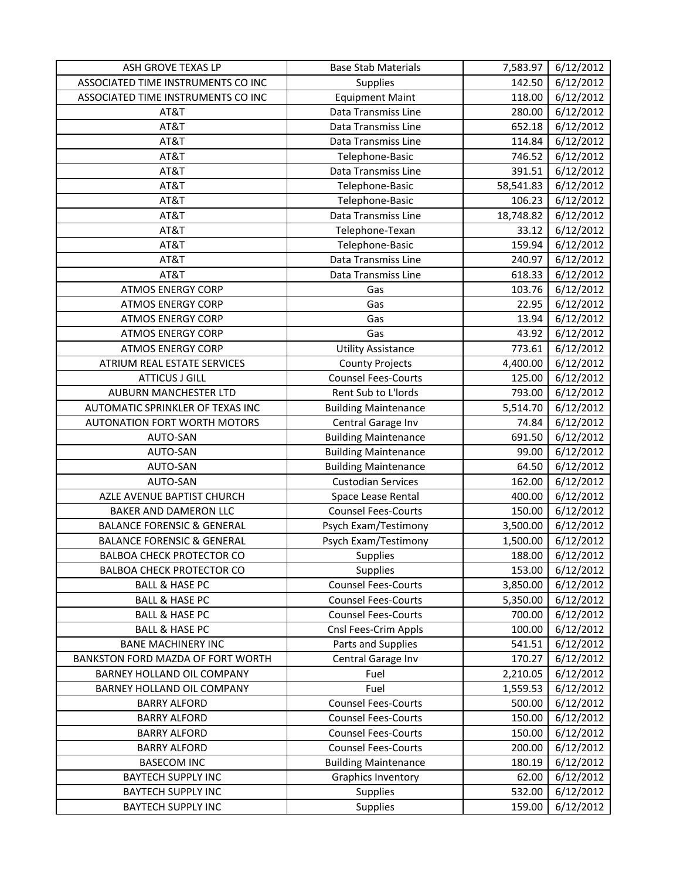| ASH GROVE TEXAS LP                    | <b>Base Stab Materials</b>  | 7,583.97  | 6/12/2012 |
|---------------------------------------|-----------------------------|-----------|-----------|
| ASSOCIATED TIME INSTRUMENTS CO INC    | <b>Supplies</b>             | 142.50    | 6/12/2012 |
| ASSOCIATED TIME INSTRUMENTS CO INC    | <b>Equipment Maint</b>      | 118.00    | 6/12/2012 |
| AT&T                                  | Data Transmiss Line         | 280.00    | 6/12/2012 |
| AT&T                                  | Data Transmiss Line         | 652.18    | 6/12/2012 |
| AT&T                                  | Data Transmiss Line         | 114.84    | 6/12/2012 |
| AT&T                                  | Telephone-Basic             | 746.52    | 6/12/2012 |
| AT&T                                  | Data Transmiss Line         | 391.51    | 6/12/2012 |
| AT&T                                  | Telephone-Basic             | 58,541.83 | 6/12/2012 |
| AT&T                                  | Telephone-Basic             | 106.23    | 6/12/2012 |
| AT&T                                  | Data Transmiss Line         | 18,748.82 | 6/12/2012 |
| AT&T                                  | Telephone-Texan             | 33.12     | 6/12/2012 |
| AT&T                                  | Telephone-Basic             | 159.94    | 6/12/2012 |
| AT&T                                  | Data Transmiss Line         | 240.97    | 6/12/2012 |
| AT&T                                  | Data Transmiss Line         | 618.33    | 6/12/2012 |
| <b>ATMOS ENERGY CORP</b>              | Gas                         | 103.76    | 6/12/2012 |
| <b>ATMOS ENERGY CORP</b>              | Gas                         | 22.95     | 6/12/2012 |
| <b>ATMOS ENERGY CORP</b>              | Gas                         | 13.94     | 6/12/2012 |
| <b>ATMOS ENERGY CORP</b>              | Gas                         | 43.92     | 6/12/2012 |
| <b>ATMOS ENERGY CORP</b>              | <b>Utility Assistance</b>   | 773.61    | 6/12/2012 |
| ATRIUM REAL ESTATE SERVICES           | <b>County Projects</b>      | 4,400.00  | 6/12/2012 |
| <b>ATTICUS J GILL</b>                 | <b>Counsel Fees-Courts</b>  | 125.00    | 6/12/2012 |
| <b>AUBURN MANCHESTER LTD</b>          | Rent Sub to L'Iords         | 793.00    | 6/12/2012 |
| AUTOMATIC SPRINKLER OF TEXAS INC      | <b>Building Maintenance</b> | 5,514.70  | 6/12/2012 |
| AUTONATION FORT WORTH MOTORS          | Central Garage Inv          | 74.84     | 6/12/2012 |
| AUTO-SAN                              | <b>Building Maintenance</b> | 691.50    | 6/12/2012 |
| AUTO-SAN                              | <b>Building Maintenance</b> | 99.00     | 6/12/2012 |
| AUTO-SAN                              | <b>Building Maintenance</b> | 64.50     | 6/12/2012 |
| AUTO-SAN                              | <b>Custodian Services</b>   | 162.00    | 6/12/2012 |
| AZLE AVENUE BAPTIST CHURCH            | Space Lease Rental          | 400.00    | 6/12/2012 |
| BAKER AND DAMERON LLC                 | <b>Counsel Fees-Courts</b>  | 150.00    | 6/12/2012 |
| <b>BALANCE FORENSIC &amp; GENERAL</b> | Psych Exam/Testimony        | 3,500.00  | 6/12/2012 |
| <b>BALANCE FORENSIC &amp; GENERAL</b> | Psych Exam/Testimony        | 1,500.00  | 6/12/2012 |
| <b>BALBOA CHECK PROTECTOR CO</b>      | Supplies                    | 188.00    | 6/12/2012 |
| <b>BALBOA CHECK PROTECTOR CO</b>      | <b>Supplies</b>             | 153.00    | 6/12/2012 |
| <b>BALL &amp; HASE PC</b>             | <b>Counsel Fees-Courts</b>  | 3,850.00  | 6/12/2012 |
| <b>BALL &amp; HASE PC</b>             | <b>Counsel Fees-Courts</b>  | 5,350.00  | 6/12/2012 |
| <b>BALL &amp; HASE PC</b>             | <b>Counsel Fees-Courts</b>  | 700.00    | 6/12/2012 |
| <b>BALL &amp; HASE PC</b>             | Cnsl Fees-Crim Appls        | 100.00    | 6/12/2012 |
| <b>BANE MACHINERY INC</b>             | Parts and Supplies          | 541.51    | 6/12/2012 |
| BANKSTON FORD MAZDA OF FORT WORTH     | Central Garage Inv          | 170.27    | 6/12/2012 |
| BARNEY HOLLAND OIL COMPANY            | Fuel                        | 2,210.05  | 6/12/2012 |
| BARNEY HOLLAND OIL COMPANY            | Fuel                        | 1,559.53  | 6/12/2012 |
| <b>BARRY ALFORD</b>                   | <b>Counsel Fees-Courts</b>  | 500.00    | 6/12/2012 |
| <b>BARRY ALFORD</b>                   | <b>Counsel Fees-Courts</b>  | 150.00    | 6/12/2012 |
| <b>BARRY ALFORD</b>                   | <b>Counsel Fees-Courts</b>  | 150.00    | 6/12/2012 |
| <b>BARRY ALFORD</b>                   | <b>Counsel Fees-Courts</b>  | 200.00    | 6/12/2012 |
| <b>BASECOM INC</b>                    | <b>Building Maintenance</b> | 180.19    | 6/12/2012 |
| <b>BAYTECH SUPPLY INC</b>             | Graphics Inventory          | 62.00     | 6/12/2012 |
| <b>BAYTECH SUPPLY INC</b>             | <b>Supplies</b>             | 532.00    | 6/12/2012 |
| <b>BAYTECH SUPPLY INC</b>             | Supplies                    | 159.00    | 6/12/2012 |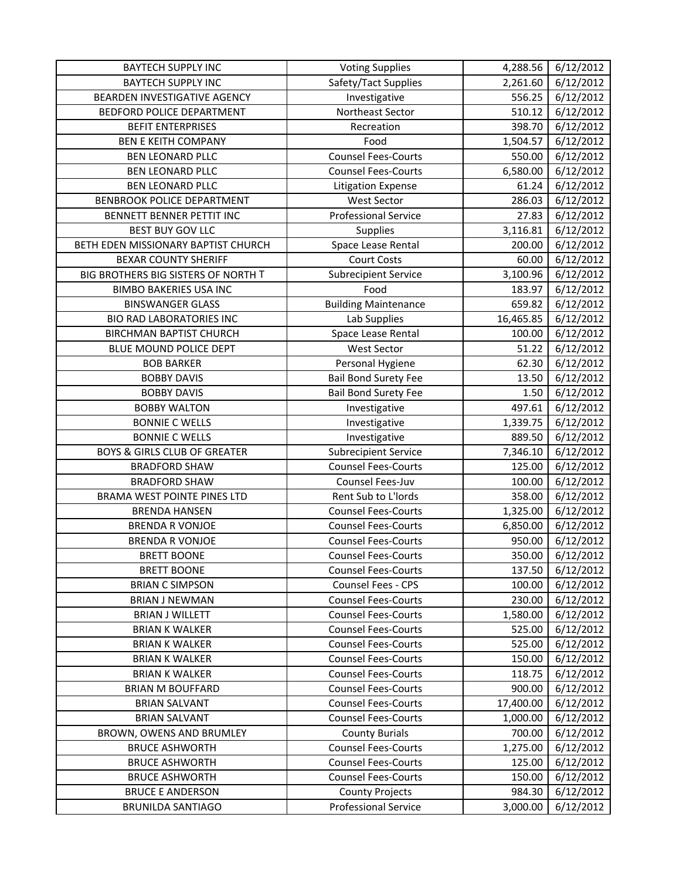| <b>BAYTECH SUPPLY INC</b>               | <b>Voting Supplies</b>      | 4,288.56  | 6/12/2012 |
|-----------------------------------------|-----------------------------|-----------|-----------|
| <b>BAYTECH SUPPLY INC</b>               | Safety/Tact Supplies        | 2,261.60  | 6/12/2012 |
| BEARDEN INVESTIGATIVE AGENCY            | Investigative               | 556.25    | 6/12/2012 |
| BEDFORD POLICE DEPARTMENT               | Northeast Sector            | 510.12    | 6/12/2012 |
| <b>BEFIT ENTERPRISES</b>                | Recreation                  | 398.70    | 6/12/2012 |
| <b>BEN E KEITH COMPANY</b>              | Food                        | 1,504.57  | 6/12/2012 |
| <b>BEN LEONARD PLLC</b>                 | <b>Counsel Fees-Courts</b>  | 550.00    | 6/12/2012 |
| <b>BEN LEONARD PLLC</b>                 | <b>Counsel Fees-Courts</b>  | 6,580.00  | 6/12/2012 |
| <b>BEN LEONARD PLLC</b>                 | <b>Litigation Expense</b>   | 61.24     | 6/12/2012 |
| BENBROOK POLICE DEPARTMENT              | <b>West Sector</b>          | 286.03    | 6/12/2012 |
| BENNETT BENNER PETTIT INC               | <b>Professional Service</b> | 27.83     | 6/12/2012 |
| BEST BUY GOV LLC                        | Supplies                    | 3,116.81  | 6/12/2012 |
| BETH EDEN MISSIONARY BAPTIST CHURCH     | Space Lease Rental          | 200.00    | 6/12/2012 |
| <b>BEXAR COUNTY SHERIFF</b>             | Court Costs                 | 60.00     | 6/12/2012 |
| BIG BROTHERS BIG SISTERS OF NORTH T     | <b>Subrecipient Service</b> | 3,100.96  | 6/12/2012 |
| <b>BIMBO BAKERIES USA INC</b>           | Food                        | 183.97    | 6/12/2012 |
| <b>BINSWANGER GLASS</b>                 | <b>Building Maintenance</b> | 659.82    | 6/12/2012 |
| <b>BIO RAD LABORATORIES INC</b>         | Lab Supplies                | 16,465.85 | 6/12/2012 |
| <b>BIRCHMAN BAPTIST CHURCH</b>          | Space Lease Rental          | 100.00    | 6/12/2012 |
| BLUE MOUND POLICE DEPT                  | <b>West Sector</b>          | 51.22     | 6/12/2012 |
| <b>BOB BARKER</b>                       | Personal Hygiene            | 62.30     | 6/12/2012 |
| <b>BOBBY DAVIS</b>                      | <b>Bail Bond Surety Fee</b> | 13.50     | 6/12/2012 |
| <b>BOBBY DAVIS</b>                      | <b>Bail Bond Surety Fee</b> | 1.50      | 6/12/2012 |
| <b>BOBBY WALTON</b>                     | Investigative               | 497.61    | 6/12/2012 |
| <b>BONNIE C WELLS</b>                   | Investigative               | 1,339.75  | 6/12/2012 |
| <b>BONNIE C WELLS</b>                   | Investigative               | 889.50    | 6/12/2012 |
| <b>BOYS &amp; GIRLS CLUB OF GREATER</b> | <b>Subrecipient Service</b> | 7,346.10  | 6/12/2012 |
| <b>BRADFORD SHAW</b>                    | <b>Counsel Fees-Courts</b>  | 125.00    | 6/12/2012 |
| <b>BRADFORD SHAW</b>                    | Counsel Fees-Juv            | 100.00    | 6/12/2012 |
| BRAMA WEST POINTE PINES LTD             | Rent Sub to L'Iords         | 358.00    | 6/12/2012 |
| <b>BRENDA HANSEN</b>                    | <b>Counsel Fees-Courts</b>  | 1,325.00  | 6/12/2012 |
| <b>BRENDA R VONJOE</b>                  | <b>Counsel Fees-Courts</b>  | 6,850.00  | 6/12/2012 |
| <b>BRENDA R VONJOE</b>                  | <b>Counsel Fees-Courts</b>  | 950.00    | 6/12/2012 |
| <b>BRETT BOONE</b>                      | <b>Counsel Fees-Courts</b>  | 350.00    | 6/12/2012 |
| <b>BRETT BOONE</b>                      | <b>Counsel Fees-Courts</b>  | 137.50    | 6/12/2012 |
| <b>BRIAN C SIMPSON</b>                  | Counsel Fees - CPS          | 100.00    | 6/12/2012 |
| <b>BRIAN J NEWMAN</b>                   | <b>Counsel Fees-Courts</b>  | 230.00    | 6/12/2012 |
| <b>BRIAN J WILLETT</b>                  | <b>Counsel Fees-Courts</b>  | 1,580.00  | 6/12/2012 |
| <b>BRIAN K WALKER</b>                   | <b>Counsel Fees-Courts</b>  | 525.00    | 6/12/2012 |
| <b>BRIAN K WALKER</b>                   | <b>Counsel Fees-Courts</b>  | 525.00    | 6/12/2012 |
| <b>BRIAN K WALKER</b>                   | <b>Counsel Fees-Courts</b>  | 150.00    | 6/12/2012 |
| <b>BRIAN K WALKER</b>                   | <b>Counsel Fees-Courts</b>  | 118.75    | 6/12/2012 |
| <b>BRIAN M BOUFFARD</b>                 | <b>Counsel Fees-Courts</b>  | 900.00    | 6/12/2012 |
| <b>BRIAN SALVANT</b>                    | <b>Counsel Fees-Courts</b>  | 17,400.00 | 6/12/2012 |
| <b>BRIAN SALVANT</b>                    | <b>Counsel Fees-Courts</b>  | 1,000.00  | 6/12/2012 |
| BROWN, OWENS AND BRUMLEY                | <b>County Burials</b>       | 700.00    | 6/12/2012 |
| <b>BRUCE ASHWORTH</b>                   | <b>Counsel Fees-Courts</b>  | 1,275.00  | 6/12/2012 |
| <b>BRUCE ASHWORTH</b>                   | <b>Counsel Fees-Courts</b>  | 125.00    | 6/12/2012 |
| <b>BRUCE ASHWORTH</b>                   | <b>Counsel Fees-Courts</b>  | 150.00    | 6/12/2012 |
| <b>BRUCE E ANDERSON</b>                 | <b>County Projects</b>      | 984.30    | 6/12/2012 |
| <b>BRUNILDA SANTIAGO</b>                | <b>Professional Service</b> | 3,000.00  | 6/12/2012 |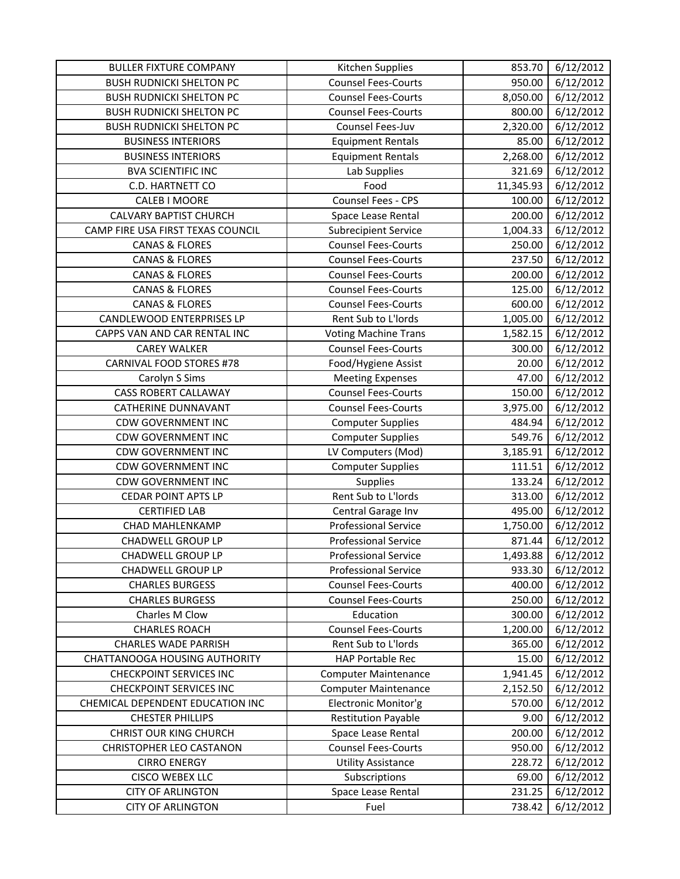| <b>BULLER FIXTURE COMPANY</b>                             | Kitchen Supplies                                 | 853.70           | 6/12/2012              |
|-----------------------------------------------------------|--------------------------------------------------|------------------|------------------------|
| <b>BUSH RUDNICKI SHELTON PC</b>                           | <b>Counsel Fees-Courts</b>                       | 950.00           | 6/12/2012              |
| <b>BUSH RUDNICKI SHELTON PC</b>                           | <b>Counsel Fees-Courts</b>                       | 8,050.00         | 6/12/2012              |
| <b>BUSH RUDNICKI SHELTON PC</b>                           | <b>Counsel Fees-Courts</b>                       | 800.00           | 6/12/2012              |
| <b>BUSH RUDNICKI SHELTON PC</b>                           | Counsel Fees-Juv                                 | 2,320.00         | 6/12/2012              |
| <b>BUSINESS INTERIORS</b>                                 | <b>Equipment Rentals</b>                         | 85.00            | 6/12/2012              |
| <b>BUSINESS INTERIORS</b>                                 | <b>Equipment Rentals</b>                         | 2,268.00         | 6/12/2012              |
| <b>BVA SCIENTIFIC INC</b>                                 | Lab Supplies                                     | 321.69           | 6/12/2012              |
| C.D. HARTNETT CO                                          | Food                                             | 11,345.93        | 6/12/2012              |
| CALEB I MOORE                                             | Counsel Fees - CPS                               | 100.00           | 6/12/2012              |
| <b>CALVARY BAPTIST CHURCH</b>                             | Space Lease Rental                               | 200.00           | 6/12/2012              |
| CAMP FIRE USA FIRST TEXAS COUNCIL                         | <b>Subrecipient Service</b>                      | 1,004.33         | 6/12/2012              |
| <b>CANAS &amp; FLORES</b>                                 | <b>Counsel Fees-Courts</b>                       | 250.00           | 6/12/2012              |
| <b>CANAS &amp; FLORES</b>                                 | <b>Counsel Fees-Courts</b>                       | 237.50           | 6/12/2012              |
| <b>CANAS &amp; FLORES</b>                                 | <b>Counsel Fees-Courts</b>                       | 200.00           | 6/12/2012              |
| <b>CANAS &amp; FLORES</b>                                 | <b>Counsel Fees-Courts</b>                       | 125.00           | 6/12/2012              |
| <b>CANAS &amp; FLORES</b>                                 | <b>Counsel Fees-Courts</b>                       | 600.00           | $\frac{1}{6}$ /12/2012 |
| <b>CANDLEWOOD ENTERPRISES LP</b>                          | Rent Sub to L'Iords                              | 1,005.00         | 6/12/2012              |
| CAPPS VAN AND CAR RENTAL INC                              | <b>Voting Machine Trans</b>                      | 1,582.15         | 6/12/2012              |
| <b>CAREY WALKER</b>                                       | <b>Counsel Fees-Courts</b>                       | 300.00           | 6/12/2012              |
| <b>CARNIVAL FOOD STORES #78</b>                           | Food/Hygiene Assist                              | 20.00            | 6/12/2012              |
| Carolyn S Sims                                            | <b>Meeting Expenses</b>                          | 47.00            | 6/12/2012              |
| <b>CASS ROBERT CALLAWAY</b>                               | <b>Counsel Fees-Courts</b>                       | 150.00           | 6/12/2012              |
| <b>CATHERINE DUNNAVANT</b>                                | <b>Counsel Fees-Courts</b>                       | 3,975.00         | 6/12/2012              |
| <b>CDW GOVERNMENT INC</b>                                 | <b>Computer Supplies</b>                         | 484.94           | 6/12/2012              |
| <b>CDW GOVERNMENT INC</b>                                 | <b>Computer Supplies</b>                         | 549.76           | 6/12/2012              |
| <b>CDW GOVERNMENT INC</b>                                 | LV Computers (Mod)                               | 3,185.91         | 6/12/2012              |
| <b>CDW GOVERNMENT INC</b>                                 | <b>Computer Supplies</b>                         | 111.51           | 6/12/2012              |
| <b>CDW GOVERNMENT INC</b>                                 | Supplies                                         | 133.24           | 6/12/2012              |
| <b>CEDAR POINT APTS LP</b>                                | Rent Sub to L'Iords                              | 313.00           | 6/12/2012              |
| <b>CERTIFIED LAB</b>                                      | Central Garage Inv                               | 495.00           | 6/12/2012              |
| <b>CHAD MAHLENKAMP</b>                                    | <b>Professional Service</b>                      | 1,750.00         | 6/12/2012              |
| CHADWELL GROUP LP                                         | <b>Professional Service</b>                      | 871.44           | 6/12/2012              |
| <b>CHADWELL GROUP LP</b>                                  | Professional Service                             | 1,493.88         | 6/12/2012              |
| CHADWELL GROUP LP                                         | <b>Professional Service</b>                      | 933.30           | 6/12/2012              |
| <b>CHARLES BURGESS</b>                                    | <b>Counsel Fees-Courts</b>                       | 400.00           | 6/12/2012              |
| <b>CHARLES BURGESS</b>                                    | <b>Counsel Fees-Courts</b>                       | 250.00           | 6/12/2012              |
| Charles M Clow                                            | Education                                        | 300.00           | 6/12/2012              |
| <b>CHARLES ROACH</b>                                      | <b>Counsel Fees-Courts</b>                       | 1,200.00         | 6/12/2012              |
| <b>CHARLES WADE PARRISH</b>                               | Rent Sub to L'Iords                              | 365.00           | 6/12/2012              |
| CHATTANOOGA HOUSING AUTHORITY                             | <b>HAP Portable Rec</b>                          | 15.00            | 6/12/2012              |
| <b>CHECKPOINT SERVICES INC</b>                            | <b>Computer Maintenance</b>                      | 1,941.45         | 6/12/2012              |
| <b>CHECKPOINT SERVICES INC</b>                            | <b>Computer Maintenance</b>                      | 2,152.50         | 6/12/2012              |
| CHEMICAL DEPENDENT EDUCATION INC                          | Electronic Monitor'g                             | 570.00           | 6/12/2012              |
| <b>CHESTER PHILLIPS</b>                                   | <b>Restitution Payable</b>                       | 9.00             | 6/12/2012              |
| <b>CHRIST OUR KING CHURCH</b><br>CHRISTOPHER LEO CASTANON | Space Lease Rental<br><b>Counsel Fees-Courts</b> | 200.00<br>950.00 | 6/12/2012              |
| <b>CIRRO ENERGY</b>                                       |                                                  | 228.72           | 6/12/2012<br>6/12/2012 |
| <b>CISCO WEBEX LLC</b>                                    | <b>Utility Assistance</b><br>Subscriptions       | 69.00            | 6/12/2012              |
| <b>CITY OF ARLINGTON</b>                                  | Space Lease Rental                               | 231.25           | 6/12/2012              |
| <b>CITY OF ARLINGTON</b>                                  | Fuel                                             | 738.42           | 6/12/2012              |
|                                                           |                                                  |                  |                        |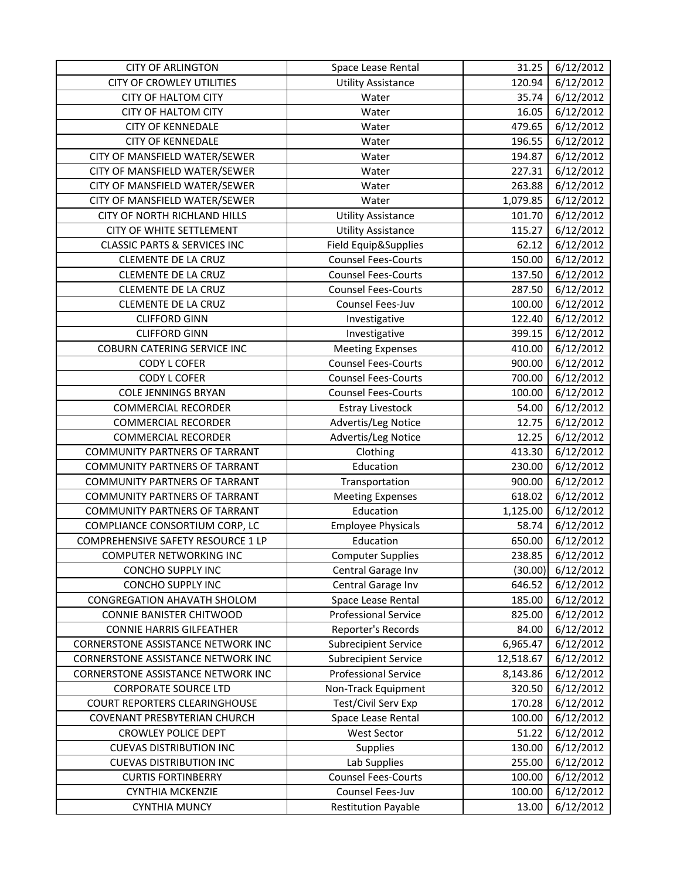| <b>CITY OF ARLINGTON</b>                | Space Lease Rental          | 31.25     | 6/12/2012 |
|-----------------------------------------|-----------------------------|-----------|-----------|
| <b>CITY OF CROWLEY UTILITIES</b>        | <b>Utility Assistance</b>   | 120.94    | 6/12/2012 |
| <b>CITY OF HALTOM CITY</b>              | Water                       | 35.74     | 6/12/2012 |
| <b>CITY OF HALTOM CITY</b>              | Water                       | 16.05     | 6/12/2012 |
| <b>CITY OF KENNEDALE</b>                | Water                       | 479.65    | 6/12/2012 |
| <b>CITY OF KENNEDALE</b>                | Water                       | 196.55    | 6/12/2012 |
| CITY OF MANSFIELD WATER/SEWER           | Water                       | 194.87    | 6/12/2012 |
| CITY OF MANSFIELD WATER/SEWER           | Water                       | 227.31    | 6/12/2012 |
| CITY OF MANSFIELD WATER/SEWER           | Water                       | 263.88    | 6/12/2012 |
| CITY OF MANSFIELD WATER/SEWER           | Water                       | 1,079.85  | 6/12/2012 |
| CITY OF NORTH RICHLAND HILLS            | <b>Utility Assistance</b>   | 101.70    | 6/12/2012 |
| CITY OF WHITE SETTLEMENT                | <b>Utility Assistance</b>   | 115.27    | 6/12/2012 |
| <b>CLASSIC PARTS &amp; SERVICES INC</b> | Field Equip&Supplies        | 62.12     | 6/12/2012 |
| <b>CLEMENTE DE LA CRUZ</b>              | <b>Counsel Fees-Courts</b>  | 150.00    | 6/12/2012 |
| <b>CLEMENTE DE LA CRUZ</b>              | <b>Counsel Fees-Courts</b>  | 137.50    | 6/12/2012 |
| <b>CLEMENTE DE LA CRUZ</b>              | <b>Counsel Fees-Courts</b>  | 287.50    | 6/12/2012 |
| <b>CLEMENTE DE LA CRUZ</b>              | Counsel Fees-Juv            | 100.00    | 6/12/2012 |
| <b>CLIFFORD GINN</b>                    | Investigative               | 122.40    | 6/12/2012 |
| <b>CLIFFORD GINN</b>                    | Investigative               | 399.15    | 6/12/2012 |
| <b>COBURN CATERING SERVICE INC</b>      | <b>Meeting Expenses</b>     | 410.00    | 6/12/2012 |
| <b>CODY L COFER</b>                     | <b>Counsel Fees-Courts</b>  | 900.00    | 6/12/2012 |
| <b>CODY L COFER</b>                     | <b>Counsel Fees-Courts</b>  | 700.00    | 6/12/2012 |
| <b>COLE JENNINGS BRYAN</b>              | <b>Counsel Fees-Courts</b>  | 100.00    | 6/12/2012 |
| <b>COMMERCIAL RECORDER</b>              | <b>Estray Livestock</b>     | 54.00     | 6/12/2012 |
| <b>COMMERCIAL RECORDER</b>              | Advertis/Leg Notice         | 12.75     | 6/12/2012 |
| <b>COMMERCIAL RECORDER</b>              | Advertis/Leg Notice         | 12.25     | 6/12/2012 |
| <b>COMMUNITY PARTNERS OF TARRANT</b>    | Clothing                    | 413.30    | 6/12/2012 |
| COMMUNITY PARTNERS OF TARRANT           | Education                   | 230.00    | 6/12/2012 |
| <b>COMMUNITY PARTNERS OF TARRANT</b>    | Transportation              | 900.00    | 6/12/2012 |
| <b>COMMUNITY PARTNERS OF TARRANT</b>    | <b>Meeting Expenses</b>     | 618.02    | 6/12/2012 |
| COMMUNITY PARTNERS OF TARRANT           | Education                   | 1,125.00  | 6/12/2012 |
| COMPLIANCE CONSORTIUM CORP, LC          | <b>Employee Physicals</b>   | 58.74     | 6/12/2012 |
| COMPREHENSIVE SAFETY RESOURCE 1 LP      | Education                   | 650.00    | 6/12/2012 |
| COMPUTER NETWORKING INC                 | <b>Computer Supplies</b>    | 238.85    | 6/12/2012 |
| CONCHO SUPPLY INC                       | Central Garage Inv          | (30.00)   | 6/12/2012 |
| <b>CONCHO SUPPLY INC</b>                | Central Garage Inv          | 646.52    | 6/12/2012 |
| CONGREGATION AHAVATH SHOLOM             | Space Lease Rental          | 185.00    | 6/12/2012 |
| CONNIE BANISTER CHITWOOD                | <b>Professional Service</b> | 825.00    | 6/12/2012 |
| <b>CONNIE HARRIS GILFEATHER</b>         | Reporter's Records          | 84.00     | 6/12/2012 |
| CORNERSTONE ASSISTANCE NETWORK INC      | <b>Subrecipient Service</b> | 6,965.47  | 6/12/2012 |
| CORNERSTONE ASSISTANCE NETWORK INC      | <b>Subrecipient Service</b> | 12,518.67 | 6/12/2012 |
| CORNERSTONE ASSISTANCE NETWORK INC      | <b>Professional Service</b> | 8,143.86  | 6/12/2012 |
| <b>CORPORATE SOURCE LTD</b>             | Non-Track Equipment         | 320.50    | 6/12/2012 |
| COURT REPORTERS CLEARINGHOUSE           | Test/Civil Serv Exp         | 170.28    | 6/12/2012 |
| <b>COVENANT PRESBYTERIAN CHURCH</b>     | Space Lease Rental          | 100.00    | 6/12/2012 |
| <b>CROWLEY POLICE DEPT</b>              | <b>West Sector</b>          | 51.22     | 6/12/2012 |
| <b>CUEVAS DISTRIBUTION INC</b>          | Supplies                    | 130.00    | 6/12/2012 |
| <b>CUEVAS DISTRIBUTION INC</b>          | Lab Supplies                | 255.00    | 6/12/2012 |
| <b>CURTIS FORTINBERRY</b>               | <b>Counsel Fees-Courts</b>  | 100.00    | 6/12/2012 |
| <b>CYNTHIA MCKENZIE</b>                 | Counsel Fees-Juv            | 100.00    | 6/12/2012 |
| <b>CYNTHIA MUNCY</b>                    | <b>Restitution Payable</b>  | 13.00     | 6/12/2012 |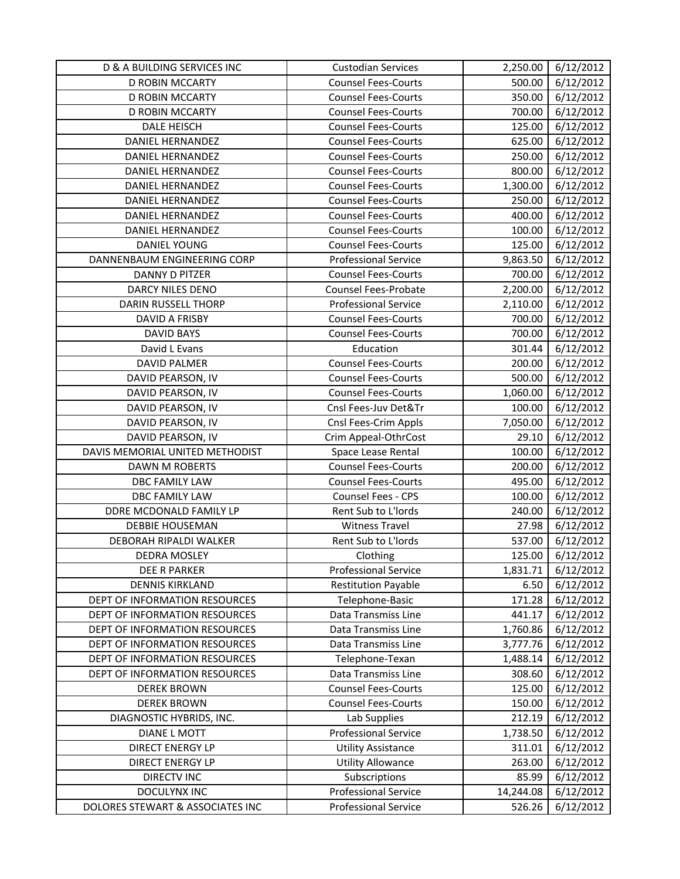| D & A BUILDING SERVICES INC      | <b>Custodian Services</b>   | 2,250.00  | 6/12/2012 |
|----------------------------------|-----------------------------|-----------|-----------|
| D ROBIN MCCARTY                  | <b>Counsel Fees-Courts</b>  | 500.00    | 6/12/2012 |
| <b>D ROBIN MCCARTY</b>           | <b>Counsel Fees-Courts</b>  | 350.00    | 6/12/2012 |
| D ROBIN MCCARTY                  | <b>Counsel Fees-Courts</b>  | 700.00    | 6/12/2012 |
| <b>DALE HEISCH</b>               | <b>Counsel Fees-Courts</b>  | 125.00    | 6/12/2012 |
| DANIEL HERNANDEZ                 | <b>Counsel Fees-Courts</b>  | 625.00    | 6/12/2012 |
| <b>DANIEL HERNANDEZ</b>          | <b>Counsel Fees-Courts</b>  | 250.00    | 6/12/2012 |
| <b>DANIEL HERNANDEZ</b>          | <b>Counsel Fees-Courts</b>  | 800.00    | 6/12/2012 |
| DANIEL HERNANDEZ                 | <b>Counsel Fees-Courts</b>  | 1,300.00  | 6/12/2012 |
| DANIEL HERNANDEZ                 | <b>Counsel Fees-Courts</b>  | 250.00    | 6/12/2012 |
| DANIEL HERNANDEZ                 | <b>Counsel Fees-Courts</b>  | 400.00    | 6/12/2012 |
| <b>DANIEL HERNANDEZ</b>          | <b>Counsel Fees-Courts</b>  | 100.00    | 6/12/2012 |
| <b>DANIEL YOUNG</b>              | <b>Counsel Fees-Courts</b>  | 125.00    | 6/12/2012 |
| DANNENBAUM ENGINEERING CORP      | <b>Professional Service</b> | 9,863.50  | 6/12/2012 |
| DANNY D PITZER                   | <b>Counsel Fees-Courts</b>  | 700.00    | 6/12/2012 |
| DARCY NILES DENO                 | Counsel Fees-Probate        | 2,200.00  | 6/12/2012 |
| <b>DARIN RUSSELL THORP</b>       | <b>Professional Service</b> | 2,110.00  | 6/12/2012 |
| DAVID A FRISBY                   | <b>Counsel Fees-Courts</b>  | 700.00    | 6/12/2012 |
| <b>DAVID BAYS</b>                | <b>Counsel Fees-Courts</b>  | 700.00    | 6/12/2012 |
| David L Evans                    | Education                   | 301.44    | 6/12/2012 |
| <b>DAVID PALMER</b>              | <b>Counsel Fees-Courts</b>  | 200.00    | 6/12/2012 |
| DAVID PEARSON, IV                | <b>Counsel Fees-Courts</b>  | 500.00    | 6/12/2012 |
| DAVID PEARSON, IV                | <b>Counsel Fees-Courts</b>  | 1,060.00  | 6/12/2012 |
| DAVID PEARSON, IV                | Cnsl Fees-Juv Det&Tr        | 100.00    | 6/12/2012 |
| DAVID PEARSON, IV                | Cnsl Fees-Crim Appls        | 7,050.00  | 6/12/2012 |
| DAVID PEARSON, IV                | Crim Appeal-OthrCost        | 29.10     | 6/12/2012 |
| DAVIS MEMORIAL UNITED METHODIST  | Space Lease Rental          | 100.00    | 6/12/2012 |
| DAWN M ROBERTS                   | <b>Counsel Fees-Courts</b>  | 200.00    | 6/12/2012 |
| DBC FAMILY LAW                   | <b>Counsel Fees-Courts</b>  | 495.00    | 6/12/2012 |
| <b>DBC FAMILY LAW</b>            | Counsel Fees - CPS          | 100.00    | 6/12/2012 |
| DDRE MCDONALD FAMILY LP          | Rent Sub to L'Iords         | 240.00    | 6/12/2012 |
| DEBBIE HOUSEMAN                  | <b>Witness Travel</b>       | 27.98     | 6/12/2012 |
| DEBORAH RIPALDI WALKER           | Rent Sub to L'Iords         | 537.00    | 6/12/2012 |
| DEDRA MOSLEY                     | Clothing                    | 125.00    | 6/12/2012 |
| DEE R PARKER                     | <b>Professional Service</b> | 1,831.71  | 6/12/2012 |
| <b>DENNIS KIRKLAND</b>           | <b>Restitution Payable</b>  | 6.50      | 6/12/2012 |
| DEPT OF INFORMATION RESOURCES    | Telephone-Basic             | 171.28    | 6/12/2012 |
| DEPT OF INFORMATION RESOURCES    | Data Transmiss Line         | 441.17    | 6/12/2012 |
| DEPT OF INFORMATION RESOURCES    | Data Transmiss Line         | 1,760.86  | 6/12/2012 |
| DEPT OF INFORMATION RESOURCES    | Data Transmiss Line         | 3,777.76  | 6/12/2012 |
| DEPT OF INFORMATION RESOURCES    | Telephone-Texan             | 1,488.14  | 6/12/2012 |
| DEPT OF INFORMATION RESOURCES    | Data Transmiss Line         | 308.60    | 6/12/2012 |
| <b>DEREK BROWN</b>               | <b>Counsel Fees-Courts</b>  | 125.00    | 6/12/2012 |
| <b>DEREK BROWN</b>               | <b>Counsel Fees-Courts</b>  | 150.00    | 6/12/2012 |
| DIAGNOSTIC HYBRIDS, INC.         | Lab Supplies                | 212.19    | 6/12/2012 |
| <b>DIANE L MOTT</b>              | <b>Professional Service</b> | 1,738.50  | 6/12/2012 |
| <b>DIRECT ENERGY LP</b>          | <b>Utility Assistance</b>   | 311.01    | 6/12/2012 |
| <b>DIRECT ENERGY LP</b>          | <b>Utility Allowance</b>    | 263.00    | 6/12/2012 |
| <b>DIRECTV INC</b>               | Subscriptions               | 85.99     | 6/12/2012 |
| DOCULYNX INC                     | <b>Professional Service</b> | 14,244.08 | 6/12/2012 |
| DOLORES STEWART & ASSOCIATES INC | <b>Professional Service</b> | 526.26    | 6/12/2012 |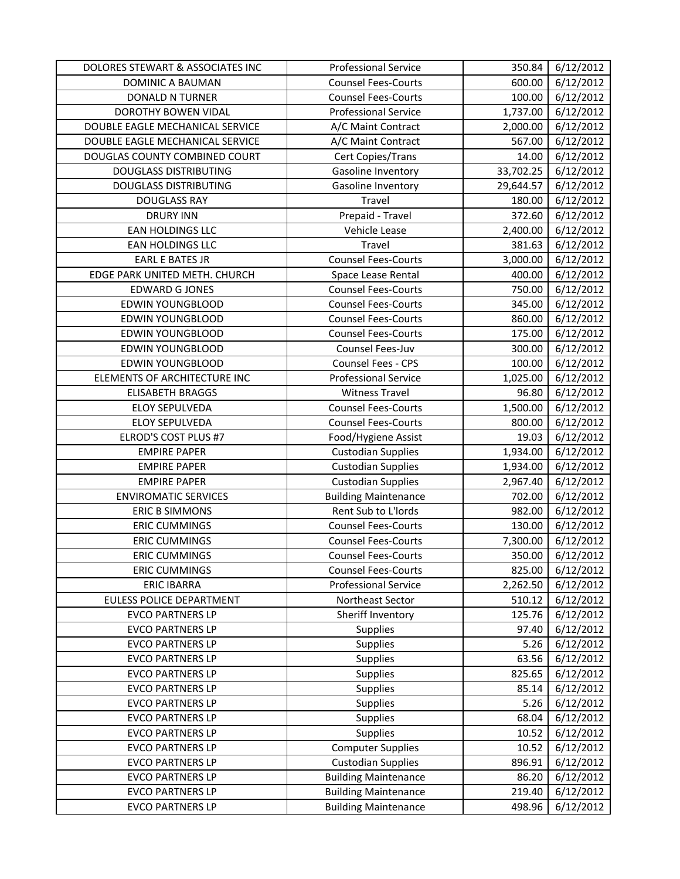| DOLORES STEWART & ASSOCIATES INC | <b>Professional Service</b> | 350.84    | 6/12/2012 |
|----------------------------------|-----------------------------|-----------|-----------|
| DOMINIC A BAUMAN                 | <b>Counsel Fees-Courts</b>  | 600.00    | 6/12/2012 |
| <b>DONALD N TURNER</b>           | <b>Counsel Fees-Courts</b>  | 100.00    | 6/12/2012 |
| DOROTHY BOWEN VIDAL              | <b>Professional Service</b> | 1,737.00  | 6/12/2012 |
| DOUBLE EAGLE MECHANICAL SERVICE  | A/C Maint Contract          | 2,000.00  | 6/12/2012 |
| DOUBLE EAGLE MECHANICAL SERVICE  | A/C Maint Contract          | 567.00    | 6/12/2012 |
| DOUGLAS COUNTY COMBINED COURT    | Cert Copies/Trans           | 14.00     | 6/12/2012 |
| <b>DOUGLASS DISTRIBUTING</b>     | Gasoline Inventory          | 33,702.25 | 6/12/2012 |
| <b>DOUGLASS DISTRIBUTING</b>     | Gasoline Inventory          | 29,644.57 | 6/12/2012 |
| <b>DOUGLASS RAY</b>              | Travel                      | 180.00    | 6/12/2012 |
| <b>DRURY INN</b>                 | Prepaid - Travel            | 372.60    | 6/12/2012 |
| EAN HOLDINGS LLC                 | Vehicle Lease               | 2,400.00  | 6/12/2012 |
| EAN HOLDINGS LLC                 | Travel                      | 381.63    | 6/12/2012 |
| <b>EARL E BATES JR</b>           | <b>Counsel Fees-Courts</b>  | 3,000.00  | 6/12/2012 |
| EDGE PARK UNITED METH. CHURCH    | Space Lease Rental          | 400.00    | 6/12/2012 |
| <b>EDWARD G JONES</b>            | <b>Counsel Fees-Courts</b>  | 750.00    | 6/12/2012 |
| <b>EDWIN YOUNGBLOOD</b>          | <b>Counsel Fees-Courts</b>  | 345.00    | 6/12/2012 |
| <b>EDWIN YOUNGBLOOD</b>          | <b>Counsel Fees-Courts</b>  | 860.00    | 6/12/2012 |
| <b>EDWIN YOUNGBLOOD</b>          | <b>Counsel Fees-Courts</b>  | 175.00    | 6/12/2012 |
| <b>EDWIN YOUNGBLOOD</b>          | Counsel Fees-Juv            | 300.00    | 6/12/2012 |
| <b>EDWIN YOUNGBLOOD</b>          | Counsel Fees - CPS          | 100.00    | 6/12/2012 |
| ELEMENTS OF ARCHITECTURE INC     | <b>Professional Service</b> | 1,025.00  | 6/12/2012 |
| <b>ELISABETH BRAGGS</b>          | <b>Witness Travel</b>       | 96.80     | 6/12/2012 |
| <b>ELOY SEPULVEDA</b>            | <b>Counsel Fees-Courts</b>  | 1,500.00  | 6/12/2012 |
| <b>ELOY SEPULVEDA</b>            | <b>Counsel Fees-Courts</b>  | 800.00    | 6/12/2012 |
| ELROD'S COST PLUS #7             | Food/Hygiene Assist         | 19.03     | 6/12/2012 |
| <b>EMPIRE PAPER</b>              | <b>Custodian Supplies</b>   | 1,934.00  | 6/12/2012 |
| <b>EMPIRE PAPER</b>              | <b>Custodian Supplies</b>   | 1,934.00  | 6/12/2012 |
| <b>EMPIRE PAPER</b>              | <b>Custodian Supplies</b>   | 2,967.40  | 6/12/2012 |
| <b>ENVIROMATIC SERVICES</b>      | <b>Building Maintenance</b> | 702.00    | 6/12/2012 |
| <b>ERIC B SIMMONS</b>            | Rent Sub to L'Iords         | 982.00    | 6/12/2012 |
| <b>ERIC CUMMINGS</b>             | <b>Counsel Fees-Courts</b>  | 130.00    | 6/12/2012 |
| <b>ERIC CUMMINGS</b>             | <b>Counsel Fees-Courts</b>  | 7,300.00  | 6/12/2012 |
| <b>ERIC CUMMINGS</b>             | <b>Counsel Fees-Courts</b>  | 350.00    | 6/12/2012 |
| <b>ERIC CUMMINGS</b>             | <b>Counsel Fees-Courts</b>  | 825.00    | 6/12/2012 |
| <b>ERIC IBARRA</b>               | <b>Professional Service</b> | 2,262.50  | 6/12/2012 |
| EULESS POLICE DEPARTMENT         | Northeast Sector            | 510.12    | 6/12/2012 |
| <b>EVCO PARTNERS LP</b>          | Sheriff Inventory           | 125.76    | 6/12/2012 |
| <b>EVCO PARTNERS LP</b>          | Supplies                    | 97.40     | 6/12/2012 |
| <b>EVCO PARTNERS LP</b>          | Supplies                    | 5.26      | 6/12/2012 |
| <b>EVCO PARTNERS LP</b>          | Supplies                    | 63.56     | 6/12/2012 |
| <b>EVCO PARTNERS LP</b>          | Supplies                    | 825.65    | 6/12/2012 |
| <b>EVCO PARTNERS LP</b>          | Supplies                    | 85.14     | 6/12/2012 |
| <b>EVCO PARTNERS LP</b>          | Supplies                    | 5.26      | 6/12/2012 |
| <b>EVCO PARTNERS LP</b>          | Supplies                    | 68.04     | 6/12/2012 |
| <b>EVCO PARTNERS LP</b>          | Supplies                    | 10.52     | 6/12/2012 |
| <b>EVCO PARTNERS LP</b>          | <b>Computer Supplies</b>    | 10.52     | 6/12/2012 |
| <b>EVCO PARTNERS LP</b>          | <b>Custodian Supplies</b>   | 896.91    | 6/12/2012 |
| <b>EVCO PARTNERS LP</b>          | <b>Building Maintenance</b> | 86.20     | 6/12/2012 |
| <b>EVCO PARTNERS LP</b>          | <b>Building Maintenance</b> | 219.40    | 6/12/2012 |
| <b>EVCO PARTNERS LP</b>          | <b>Building Maintenance</b> | 498.96    | 6/12/2012 |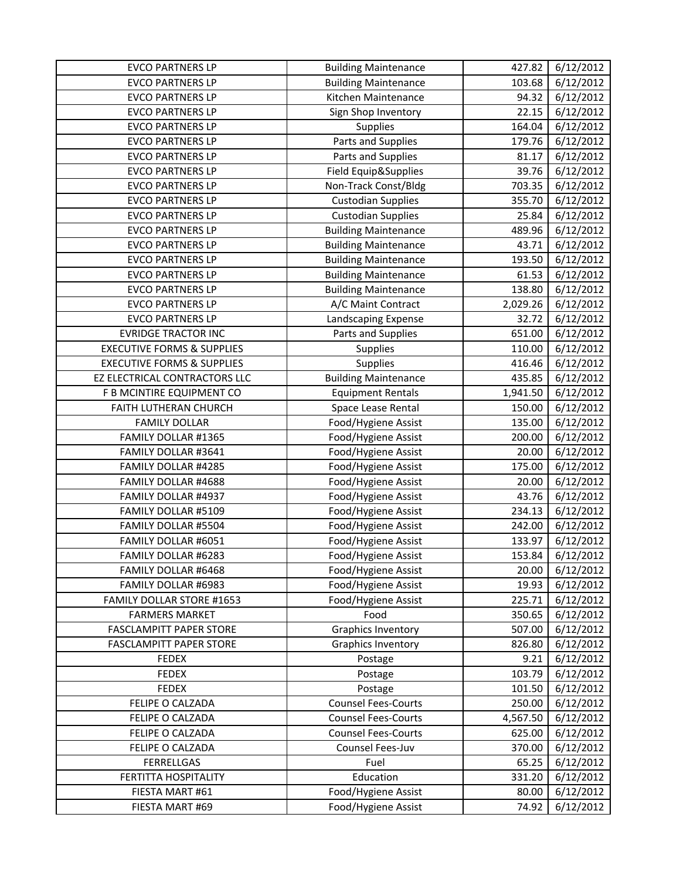| <b>EVCO PARTNERS LP</b>               | <b>Building Maintenance</b> | 427.82   | 6/12/2012 |
|---------------------------------------|-----------------------------|----------|-----------|
| <b>EVCO PARTNERS LP</b>               | <b>Building Maintenance</b> | 103.68   | 6/12/2012 |
| <b>EVCO PARTNERS LP</b>               | Kitchen Maintenance         | 94.32    | 6/12/2012 |
| <b>EVCO PARTNERS LP</b>               | Sign Shop Inventory         | 22.15    | 6/12/2012 |
| <b>EVCO PARTNERS LP</b>               | Supplies                    | 164.04   | 6/12/2012 |
| <b>EVCO PARTNERS LP</b>               | Parts and Supplies          | 179.76   | 6/12/2012 |
| <b>EVCO PARTNERS LP</b>               | Parts and Supplies          | 81.17    | 6/12/2012 |
| <b>EVCO PARTNERS LP</b>               | Field Equip&Supplies        | 39.76    | 6/12/2012 |
| <b>EVCO PARTNERS LP</b>               | Non-Track Const/Bldg        | 703.35   | 6/12/2012 |
| <b>EVCO PARTNERS LP</b>               | <b>Custodian Supplies</b>   | 355.70   | 6/12/2012 |
| <b>EVCO PARTNERS LP</b>               | <b>Custodian Supplies</b>   | 25.84    | 6/12/2012 |
| <b>EVCO PARTNERS LP</b>               | <b>Building Maintenance</b> | 489.96   | 6/12/2012 |
| <b>EVCO PARTNERS LP</b>               | <b>Building Maintenance</b> | 43.71    | 6/12/2012 |
| <b>EVCO PARTNERS LP</b>               | <b>Building Maintenance</b> | 193.50   | 6/12/2012 |
| <b>EVCO PARTNERS LP</b>               | <b>Building Maintenance</b> | 61.53    | 6/12/2012 |
| <b>EVCO PARTNERS LP</b>               | <b>Building Maintenance</b> | 138.80   | 6/12/2012 |
| <b>EVCO PARTNERS LP</b>               | A/C Maint Contract          | 2,029.26 | 6/12/2012 |
| <b>EVCO PARTNERS LP</b>               | Landscaping Expense         | 32.72    | 6/12/2012 |
| <b>EVRIDGE TRACTOR INC</b>            | Parts and Supplies          | 651.00   | 6/12/2012 |
| <b>EXECUTIVE FORMS &amp; SUPPLIES</b> | Supplies                    | 110.00   | 6/12/2012 |
| <b>EXECUTIVE FORMS &amp; SUPPLIES</b> | Supplies                    | 416.46   | 6/12/2012 |
| EZ ELECTRICAL CONTRACTORS LLC         | <b>Building Maintenance</b> | 435.85   | 6/12/2012 |
| F B MCINTIRE EQUIPMENT CO             | <b>Equipment Rentals</b>    | 1,941.50 | 6/12/2012 |
| FAITH LUTHERAN CHURCH                 | Space Lease Rental          | 150.00   | 6/12/2012 |
| <b>FAMILY DOLLAR</b>                  | Food/Hygiene Assist         | 135.00   | 6/12/2012 |
| FAMILY DOLLAR #1365                   | Food/Hygiene Assist         | 200.00   | 6/12/2012 |
| FAMILY DOLLAR #3641                   | Food/Hygiene Assist         | 20.00    | 6/12/2012 |
| FAMILY DOLLAR #4285                   | Food/Hygiene Assist         | 175.00   | 6/12/2012 |
| FAMILY DOLLAR #4688                   | Food/Hygiene Assist         | 20.00    | 6/12/2012 |
| FAMILY DOLLAR #4937                   | Food/Hygiene Assist         | 43.76    | 6/12/2012 |
| FAMILY DOLLAR #5109                   | Food/Hygiene Assist         | 234.13   | 6/12/2012 |
| FAMILY DOLLAR #5504                   | Food/Hygiene Assist         | 242.00   | 6/12/2012 |
| FAMILY DOLLAR #6051                   | Food/Hygiene Assist         | 133.97   | 6/12/2012 |
| FAMILY DOLLAR #6283                   | Food/Hygiene Assist         | 153.84   | 6/12/2012 |
| <b>FAMILY DOLLAR #6468</b>            | Food/Hygiene Assist         | 20.00    | 6/12/2012 |
| FAMILY DOLLAR #6983                   | Food/Hygiene Assist         | 19.93    | 6/12/2012 |
| FAMILY DOLLAR STORE #1653             | Food/Hygiene Assist         | 225.71   | 6/12/2012 |
| <b>FARMERS MARKET</b>                 | Food                        | 350.65   | 6/12/2012 |
| <b>FASCLAMPITT PAPER STORE</b>        | <b>Graphics Inventory</b>   | 507.00   | 6/12/2012 |
| <b>FASCLAMPITT PAPER STORE</b>        | <b>Graphics Inventory</b>   | 826.80   | 6/12/2012 |
| <b>FEDEX</b>                          | Postage                     | 9.21     | 6/12/2012 |
| <b>FEDEX</b>                          | Postage                     | 103.79   | 6/12/2012 |
| <b>FEDEX</b>                          | Postage                     | 101.50   | 6/12/2012 |
| FELIPE O CALZADA                      | <b>Counsel Fees-Courts</b>  | 250.00   | 6/12/2012 |
| FELIPE O CALZADA                      | <b>Counsel Fees-Courts</b>  | 4,567.50 | 6/12/2012 |
| FELIPE O CALZADA                      | <b>Counsel Fees-Courts</b>  | 625.00   | 6/12/2012 |
| FELIPE O CALZADA                      | Counsel Fees-Juv            | 370.00   | 6/12/2012 |
| <b>FERRELLGAS</b>                     | Fuel                        | 65.25    | 6/12/2012 |
| FERTITTA HOSPITALITY                  | Education                   | 331.20   | 6/12/2012 |
| FIESTA MART #61                       | Food/Hygiene Assist         | 80.00    | 6/12/2012 |
| FIESTA MART #69                       | Food/Hygiene Assist         | 74.92    | 6/12/2012 |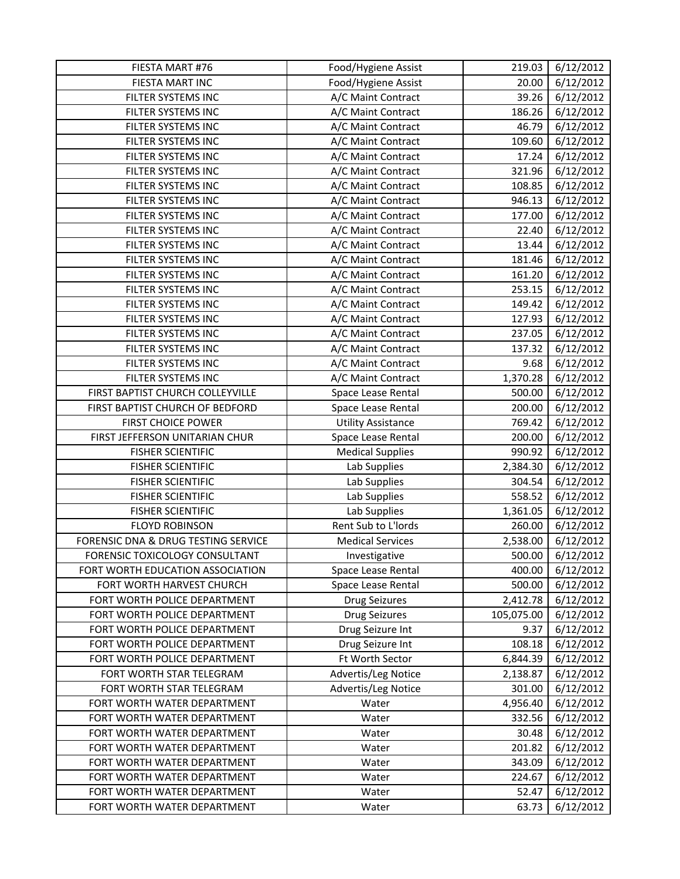| FIESTA MART #76                     | Food/Hygiene Assist       | 219.03     | 6/12/2012 |
|-------------------------------------|---------------------------|------------|-----------|
| FIESTA MART INC                     | Food/Hygiene Assist       | 20.00      | 6/12/2012 |
| FILTER SYSTEMS INC                  | A/C Maint Contract        | 39.26      | 6/12/2012 |
| FILTER SYSTEMS INC                  | A/C Maint Contract        | 186.26     | 6/12/2012 |
| FILTER SYSTEMS INC                  | A/C Maint Contract        | 46.79      | 6/12/2012 |
| FILTER SYSTEMS INC                  | A/C Maint Contract        | 109.60     | 6/12/2012 |
| FILTER SYSTEMS INC                  | A/C Maint Contract        | 17.24      | 6/12/2012 |
| FILTER SYSTEMS INC                  | A/C Maint Contract        | 321.96     | 6/12/2012 |
| FILTER SYSTEMS INC                  | A/C Maint Contract        | 108.85     | 6/12/2012 |
| FILTER SYSTEMS INC                  | A/C Maint Contract        | 946.13     | 6/12/2012 |
| FILTER SYSTEMS INC                  | A/C Maint Contract        | 177.00     | 6/12/2012 |
| FILTER SYSTEMS INC                  | A/C Maint Contract        | 22.40      | 6/12/2012 |
| FILTER SYSTEMS INC                  | A/C Maint Contract        | 13.44      | 6/12/2012 |
| FILTER SYSTEMS INC                  | A/C Maint Contract        | 181.46     | 6/12/2012 |
| FILTER SYSTEMS INC                  | A/C Maint Contract        | 161.20     | 6/12/2012 |
| FILTER SYSTEMS INC                  | A/C Maint Contract        | 253.15     | 6/12/2012 |
| FILTER SYSTEMS INC                  | A/C Maint Contract        | 149.42     | 6/12/2012 |
| FILTER SYSTEMS INC                  | A/C Maint Contract        | 127.93     | 6/12/2012 |
| FILTER SYSTEMS INC                  | A/C Maint Contract        | 237.05     | 6/12/2012 |
| FILTER SYSTEMS INC                  | A/C Maint Contract        | 137.32     | 6/12/2012 |
| FILTER SYSTEMS INC                  | A/C Maint Contract        | 9.68       | 6/12/2012 |
| FILTER SYSTEMS INC                  | A/C Maint Contract        | 1,370.28   | 6/12/2012 |
| FIRST BAPTIST CHURCH COLLEYVILLE    | Space Lease Rental        | 500.00     | 6/12/2012 |
| FIRST BAPTIST CHURCH OF BEDFORD     | Space Lease Rental        | 200.00     | 6/12/2012 |
| <b>FIRST CHOICE POWER</b>           | <b>Utility Assistance</b> | 769.42     | 6/12/2012 |
| FIRST JEFFERSON UNITARIAN CHUR      | Space Lease Rental        | 200.00     | 6/12/2012 |
| <b>FISHER SCIENTIFIC</b>            | <b>Medical Supplies</b>   | 990.92     | 6/12/2012 |
| <b>FISHER SCIENTIFIC</b>            | Lab Supplies              | 2,384.30   | 6/12/2012 |
| <b>FISHER SCIENTIFIC</b>            | Lab Supplies              | 304.54     | 6/12/2012 |
| <b>FISHER SCIENTIFIC</b>            | Lab Supplies              | 558.52     | 6/12/2012 |
| <b>FISHER SCIENTIFIC</b>            | Lab Supplies              | 1,361.05   | 6/12/2012 |
| <b>FLOYD ROBINSON</b>               | Rent Sub to L'Iords       | 260.00     | 6/12/2012 |
| FORENSIC DNA & DRUG TESTING SERVICE | <b>Medical Services</b>   | 2,538.00   | 6/12/2012 |
| FORENSIC TOXICOLOGY CONSULTANT      | Investigative             | 500.00     | 6/12/2012 |
| FORT WORTH EDUCATION ASSOCIATION    | Space Lease Rental        | 400.00     | 6/12/2012 |
| FORT WORTH HARVEST CHURCH           | Space Lease Rental        | 500.00     | 6/12/2012 |
| FORT WORTH POLICE DEPARTMENT        | <b>Drug Seizures</b>      | 2,412.78   | 6/12/2012 |
| FORT WORTH POLICE DEPARTMENT        | <b>Drug Seizures</b>      | 105,075.00 | 6/12/2012 |
| FORT WORTH POLICE DEPARTMENT        | Drug Seizure Int          | 9.37       | 6/12/2012 |
| FORT WORTH POLICE DEPARTMENT        | Drug Seizure Int          | 108.18     | 6/12/2012 |
| FORT WORTH POLICE DEPARTMENT        | Ft Worth Sector           | 6,844.39   | 6/12/2012 |
| FORT WORTH STAR TELEGRAM            | Advertis/Leg Notice       | 2,138.87   | 6/12/2012 |
| FORT WORTH STAR TELEGRAM            | Advertis/Leg Notice       | 301.00     | 6/12/2012 |
| FORT WORTH WATER DEPARTMENT         | Water                     | 4,956.40   | 6/12/2012 |
| FORT WORTH WATER DEPARTMENT         | Water                     | 332.56     | 6/12/2012 |
| FORT WORTH WATER DEPARTMENT         | Water                     | 30.48      | 6/12/2012 |
| FORT WORTH WATER DEPARTMENT         | Water                     | 201.82     | 6/12/2012 |
| FORT WORTH WATER DEPARTMENT         | Water                     | 343.09     | 6/12/2012 |
| FORT WORTH WATER DEPARTMENT         | Water                     | 224.67     | 6/12/2012 |
| FORT WORTH WATER DEPARTMENT         | Water                     | 52.47      | 6/12/2012 |
| FORT WORTH WATER DEPARTMENT         | Water                     | 63.73      | 6/12/2012 |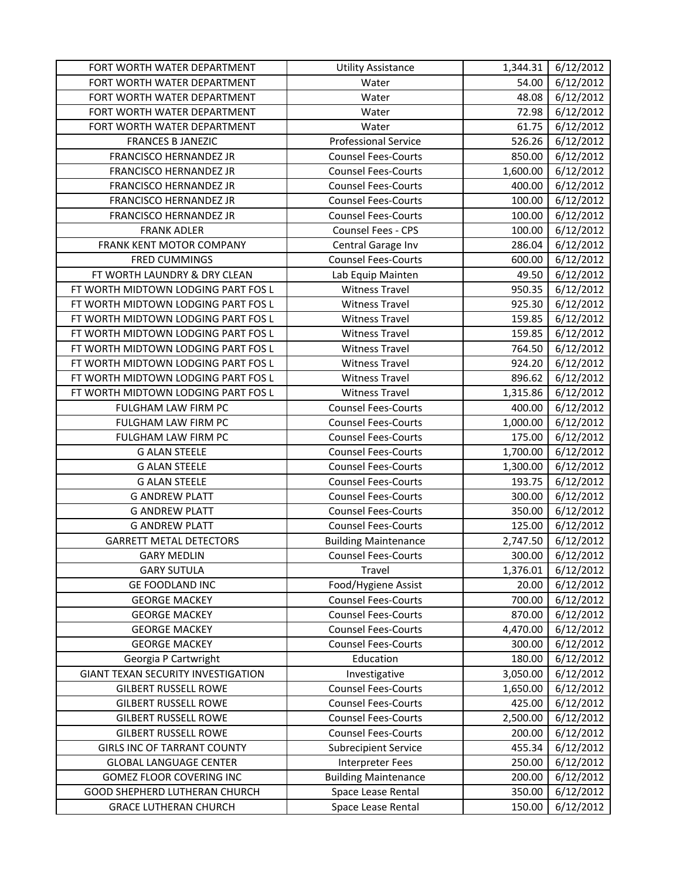| FORT WORTH WATER DEPARTMENT         | <b>Utility Assistance</b>   | 1,344.31 | 6/12/2012 |
|-------------------------------------|-----------------------------|----------|-----------|
| FORT WORTH WATER DEPARTMENT         | Water                       | 54.00    | 6/12/2012 |
| FORT WORTH WATER DEPARTMENT         | Water                       | 48.08    | 6/12/2012 |
| FORT WORTH WATER DEPARTMENT         | Water                       | 72.98    | 6/12/2012 |
| FORT WORTH WATER DEPARTMENT         | Water                       | 61.75    | 6/12/2012 |
| <b>FRANCES B JANEZIC</b>            | <b>Professional Service</b> | 526.26   | 6/12/2012 |
| FRANCISCO HERNANDEZ JR              | <b>Counsel Fees-Courts</b>  | 850.00   | 6/12/2012 |
| FRANCISCO HERNANDEZ JR              | <b>Counsel Fees-Courts</b>  | 1,600.00 | 6/12/2012 |
| FRANCISCO HERNANDEZ JR              | <b>Counsel Fees-Courts</b>  | 400.00   | 6/12/2012 |
| FRANCISCO HERNANDEZ JR              | <b>Counsel Fees-Courts</b>  | 100.00   | 6/12/2012 |
| FRANCISCO HERNANDEZ JR              | <b>Counsel Fees-Courts</b>  | 100.00   | 6/12/2012 |
| <b>FRANK ADLER</b>                  | Counsel Fees - CPS          | 100.00   | 6/12/2012 |
| FRANK KENT MOTOR COMPANY            | Central Garage Inv          | 286.04   | 6/12/2012 |
| <b>FRED CUMMINGS</b>                | <b>Counsel Fees-Courts</b>  | 600.00   | 6/12/2012 |
| FT WORTH LAUNDRY & DRY CLEAN        | Lab Equip Mainten           | 49.50    | 6/12/2012 |
| FT WORTH MIDTOWN LODGING PART FOS L | <b>Witness Travel</b>       | 950.35   | 6/12/2012 |
| FT WORTH MIDTOWN LODGING PART FOS L | <b>Witness Travel</b>       | 925.30   | 6/12/2012 |
| FT WORTH MIDTOWN LODGING PART FOS L | <b>Witness Travel</b>       | 159.85   | 6/12/2012 |
| FT WORTH MIDTOWN LODGING PART FOS L | <b>Witness Travel</b>       | 159.85   | 6/12/2012 |
| FT WORTH MIDTOWN LODGING PART FOS L | <b>Witness Travel</b>       | 764.50   | 6/12/2012 |
| FT WORTH MIDTOWN LODGING PART FOS L | <b>Witness Travel</b>       | 924.20   | 6/12/2012 |
| FT WORTH MIDTOWN LODGING PART FOS L | <b>Witness Travel</b>       | 896.62   | 6/12/2012 |
| FT WORTH MIDTOWN LODGING PART FOS L | <b>Witness Travel</b>       | 1,315.86 | 6/12/2012 |
| FULGHAM LAW FIRM PC                 | <b>Counsel Fees-Courts</b>  | 400.00   | 6/12/2012 |
| FULGHAM LAW FIRM PC                 | <b>Counsel Fees-Courts</b>  | 1,000.00 | 6/12/2012 |
| FULGHAM LAW FIRM PC                 | <b>Counsel Fees-Courts</b>  | 175.00   | 6/12/2012 |
| <b>G ALAN STEELE</b>                | <b>Counsel Fees-Courts</b>  | 1,700.00 | 6/12/2012 |
| <b>G ALAN STEELE</b>                | <b>Counsel Fees-Courts</b>  | 1,300.00 | 6/12/2012 |
| <b>G ALAN STEELE</b>                | <b>Counsel Fees-Courts</b>  | 193.75   | 6/12/2012 |
| <b>G ANDREW PLATT</b>               | <b>Counsel Fees-Courts</b>  | 300.00   | 6/12/2012 |
| <b>G ANDREW PLATT</b>               | <b>Counsel Fees-Courts</b>  | 350.00   | 6/12/2012 |
| <b>G ANDREW PLATT</b>               | <b>Counsel Fees-Courts</b>  | 125.00   | 6/12/2012 |
| <b>GARRETT METAL DETECTORS</b>      | <b>Building Maintenance</b> | 2,747.50 | 6/12/2012 |
| <b>GARY MEDLIN</b>                  | <b>Counsel Fees-Courts</b>  | 300.00   | 6/12/2012 |
| <b>GARY SUTULA</b>                  | Travel                      | 1,376.01 | 6/12/2012 |
| <b>GE FOODLAND INC</b>              | Food/Hygiene Assist         | 20.00    | 6/12/2012 |
| <b>GEORGE MACKEY</b>                | <b>Counsel Fees-Courts</b>  | 700.00   | 6/12/2012 |
| <b>GEORGE MACKEY</b>                | <b>Counsel Fees-Courts</b>  | 870.00   | 6/12/2012 |
| <b>GEORGE MACKEY</b>                | <b>Counsel Fees-Courts</b>  | 4,470.00 | 6/12/2012 |
| <b>GEORGE MACKEY</b>                | <b>Counsel Fees-Courts</b>  | 300.00   | 6/12/2012 |
| Georgia P Cartwright                | Education                   | 180.00   | 6/12/2012 |
| GIANT TEXAN SECURITY INVESTIGATION  | Investigative               | 3,050.00 | 6/12/2012 |
| <b>GILBERT RUSSELL ROWE</b>         | <b>Counsel Fees-Courts</b>  | 1,650.00 | 6/12/2012 |
| <b>GILBERT RUSSELL ROWE</b>         | <b>Counsel Fees-Courts</b>  | 425.00   | 6/12/2012 |
| <b>GILBERT RUSSELL ROWE</b>         | <b>Counsel Fees-Courts</b>  | 2,500.00 | 6/12/2012 |
| <b>GILBERT RUSSELL ROWE</b>         | <b>Counsel Fees-Courts</b>  | 200.00   | 6/12/2012 |
| <b>GIRLS INC OF TARRANT COUNTY</b>  | <b>Subrecipient Service</b> | 455.34   | 6/12/2012 |
| <b>GLOBAL LANGUAGE CENTER</b>       | Interpreter Fees            | 250.00   | 6/12/2012 |
| <b>GOMEZ FLOOR COVERING INC</b>     | <b>Building Maintenance</b> | 200.00   | 6/12/2012 |
| GOOD SHEPHERD LUTHERAN CHURCH       | Space Lease Rental          | 350.00   | 6/12/2012 |
| <b>GRACE LUTHERAN CHURCH</b>        | Space Lease Rental          | 150.00   | 6/12/2012 |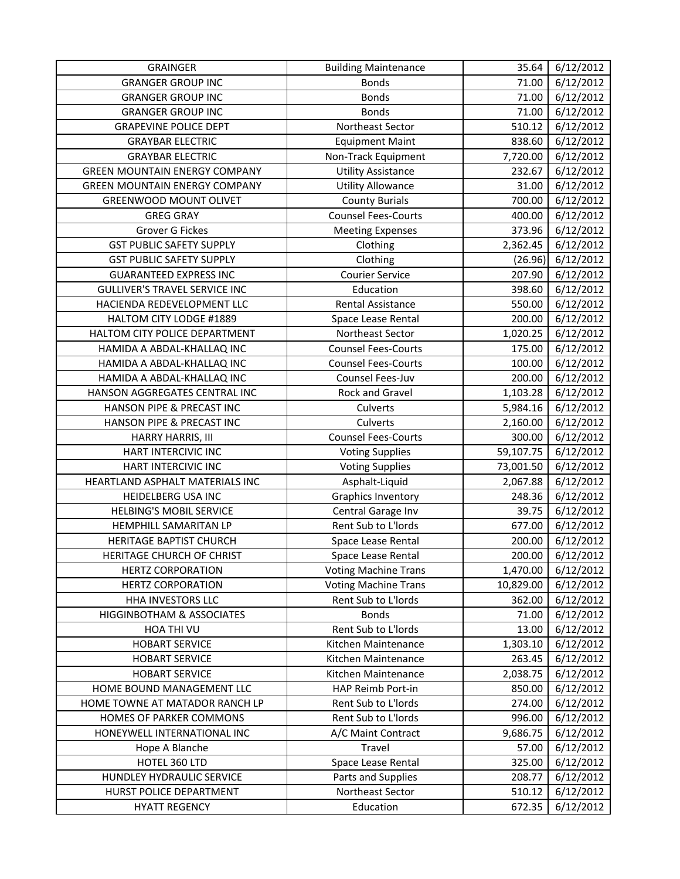| <b>GRAINGER</b>                      | <b>Building Maintenance</b> | 35.64     | 6/12/2012 |
|--------------------------------------|-----------------------------|-----------|-----------|
| <b>GRANGER GROUP INC</b>             | <b>Bonds</b>                | 71.00     | 6/12/2012 |
| <b>GRANGER GROUP INC</b>             | <b>Bonds</b>                | 71.00     | 6/12/2012 |
| <b>GRANGER GROUP INC</b>             | <b>Bonds</b>                | 71.00     | 6/12/2012 |
| <b>GRAPEVINE POLICE DEPT</b>         | Northeast Sector            | 510.12    | 6/12/2012 |
| <b>GRAYBAR ELECTRIC</b>              | <b>Equipment Maint</b>      | 838.60    | 6/12/2012 |
| <b>GRAYBAR ELECTRIC</b>              | Non-Track Equipment         | 7,720.00  | 6/12/2012 |
| <b>GREEN MOUNTAIN ENERGY COMPANY</b> | <b>Utility Assistance</b>   | 232.67    | 6/12/2012 |
| <b>GREEN MOUNTAIN ENERGY COMPANY</b> | <b>Utility Allowance</b>    | 31.00     | 6/12/2012 |
| <b>GREENWOOD MOUNT OLIVET</b>        | <b>County Burials</b>       | 700.00    | 6/12/2012 |
| <b>GREG GRAY</b>                     | <b>Counsel Fees-Courts</b>  | 400.00    | 6/12/2012 |
| Grover G Fickes                      | <b>Meeting Expenses</b>     | 373.96    | 6/12/2012 |
| <b>GST PUBLIC SAFETY SUPPLY</b>      | Clothing                    | 2,362.45  | 6/12/2012 |
| <b>GST PUBLIC SAFETY SUPPLY</b>      | Clothing                    | (26.96)   | 6/12/2012 |
| <b>GUARANTEED EXPRESS INC</b>        | <b>Courier Service</b>      | 207.90    | 6/12/2012 |
| <b>GULLIVER'S TRAVEL SERVICE INC</b> | Education                   | 398.60    | 6/12/2012 |
| HACIENDA REDEVELOPMENT LLC           | Rental Assistance           | 550.00    | 6/12/2012 |
| HALTOM CITY LODGE #1889              | Space Lease Rental          | 200.00    | 6/12/2012 |
| HALTOM CITY POLICE DEPARTMENT        | Northeast Sector            | 1,020.25  | 6/12/2012 |
| HAMIDA A ABDAL-KHALLAQ INC           | <b>Counsel Fees-Courts</b>  | 175.00    | 6/12/2012 |
| HAMIDA A ABDAL-KHALLAQ INC           | <b>Counsel Fees-Courts</b>  | 100.00    | 6/12/2012 |
| HAMIDA A ABDAL-KHALLAQ INC           | Counsel Fees-Juv            | 200.00    | 6/12/2012 |
| HANSON AGGREGATES CENTRAL INC        | Rock and Gravel             | 1,103.28  | 6/12/2012 |
| HANSON PIPE & PRECAST INC            | Culverts                    | 5,984.16  | 6/12/2012 |
| HANSON PIPE & PRECAST INC            | Culverts                    | 2,160.00  | 6/12/2012 |
| HARRY HARRIS, III                    | <b>Counsel Fees-Courts</b>  | 300.00    | 6/12/2012 |
| HART INTERCIVIC INC                  | <b>Voting Supplies</b>      | 59,107.75 | 6/12/2012 |
| HART INTERCIVIC INC                  | <b>Voting Supplies</b>      | 73,001.50 | 6/12/2012 |
| HEARTLAND ASPHALT MATERIALS INC      | Asphalt-Liquid              | 2,067.88  | 6/12/2012 |
| <b>HEIDELBERG USA INC</b>            | <b>Graphics Inventory</b>   | 248.36    | 6/12/2012 |
| <b>HELBING'S MOBIL SERVICE</b>       | Central Garage Inv          | 39.75     | 6/12/2012 |
| HEMPHILL SAMARITAN LP                | Rent Sub to L'Iords         | 677.00    | 6/12/2012 |
| HERITAGE BAPTIST CHURCH              | Space Lease Rental          | 200.00    | 6/12/2012 |
| HERITAGE CHURCH OF CHRIST            | Space Lease Rental          | 200.00    | 6/12/2012 |
| <b>HERTZ CORPORATION</b>             | <b>Voting Machine Trans</b> | 1,470.00  | 6/12/2012 |
| <b>HERTZ CORPORATION</b>             | <b>Voting Machine Trans</b> | 10,829.00 | 6/12/2012 |
| HHA INVESTORS LLC                    | Rent Sub to L'Iords         | 362.00    | 6/12/2012 |
| <b>HIGGINBOTHAM &amp; ASSOCIATES</b> | <b>Bonds</b>                | 71.00     | 6/12/2012 |
| HOA THI VU                           | Rent Sub to L'Iords         | 13.00     | 6/12/2012 |
| <b>HOBART SERVICE</b>                | Kitchen Maintenance         | 1,303.10  | 6/12/2012 |
| <b>HOBART SERVICE</b>                | Kitchen Maintenance         | 263.45    | 6/12/2012 |
| <b>HOBART SERVICE</b>                | Kitchen Maintenance         | 2,038.75  | 6/12/2012 |
| HOME BOUND MANAGEMENT LLC            | HAP Reimb Port-in           | 850.00    | 6/12/2012 |
| HOME TOWNE AT MATADOR RANCH LP       | Rent Sub to L'Iords         | 274.00    | 6/12/2012 |
| HOMES OF PARKER COMMONS              | Rent Sub to L'Iords         | 996.00    | 6/12/2012 |
| HONEYWELL INTERNATIONAL INC          | A/C Maint Contract          | 9,686.75  | 6/12/2012 |
| Hope A Blanche                       | Travel                      | 57.00     | 6/12/2012 |
| HOTEL 360 LTD                        | Space Lease Rental          | 325.00    | 6/12/2012 |
| HUNDLEY HYDRAULIC SERVICE            | Parts and Supplies          | 208.77    | 6/12/2012 |
| HURST POLICE DEPARTMENT              | Northeast Sector            | 510.12    | 6/12/2012 |
| <b>HYATT REGENCY</b>                 | Education                   | 672.35    | 6/12/2012 |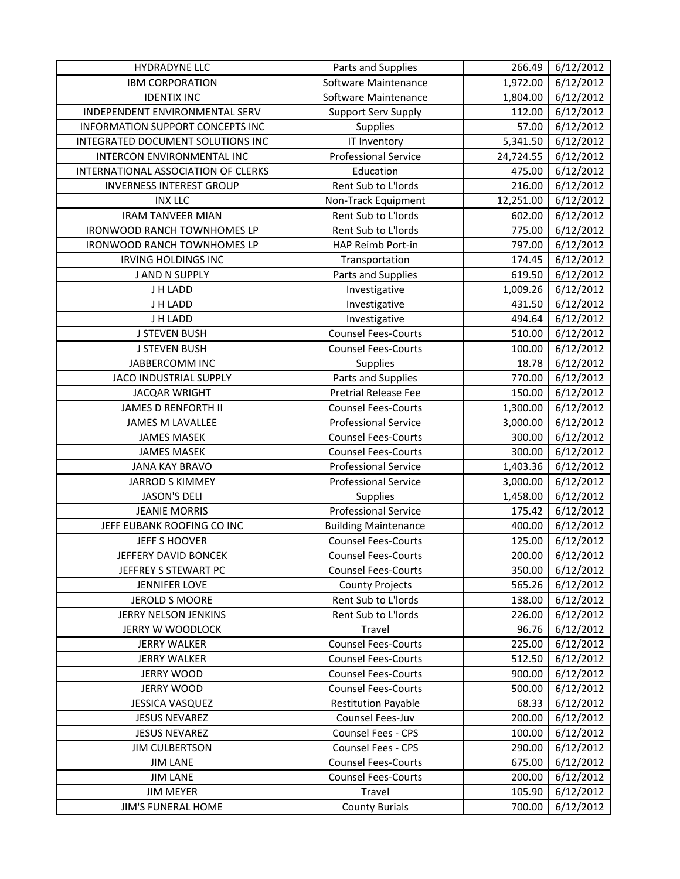| <b>HYDRADYNE LLC</b>                    | Parts and Supplies          | 266.49    | 6/12/2012 |
|-----------------------------------------|-----------------------------|-----------|-----------|
| <b>IBM CORPORATION</b>                  | Software Maintenance        | 1,972.00  | 6/12/2012 |
| <b>IDENTIX INC</b>                      | Software Maintenance        | 1,804.00  | 6/12/2012 |
| INDEPENDENT ENVIRONMENTAL SERV          | <b>Support Serv Supply</b>  | 112.00    | 6/12/2012 |
| <b>INFORMATION SUPPORT CONCEPTS INC</b> | Supplies                    | 57.00     | 6/12/2012 |
| INTEGRATED DOCUMENT SOLUTIONS INC       | IT Inventory                | 5,341.50  | 6/12/2012 |
| INTERCON ENVIRONMENTAL INC              | <b>Professional Service</b> | 24,724.55 | 6/12/2012 |
| INTERNATIONAL ASSOCIATION OF CLERKS     | Education                   | 475.00    | 6/12/2012 |
| <b>INVERNESS INTEREST GROUP</b>         | Rent Sub to L'Iords         | 216.00    | 6/12/2012 |
| <b>INX LLC</b>                          | Non-Track Equipment         | 12,251.00 | 6/12/2012 |
| <b>IRAM TANVEER MIAN</b>                | Rent Sub to L'Iords         | 602.00    | 6/12/2012 |
| <b>IRONWOOD RANCH TOWNHOMES LP</b>      | Rent Sub to L'Iords         | 775.00    | 6/12/2012 |
| IRONWOOD RANCH TOWNHOMES LP             | HAP Reimb Port-in           | 797.00    | 6/12/2012 |
| <b>IRVING HOLDINGS INC</b>              | Transportation              | 174.45    | 6/12/2012 |
| J AND N SUPPLY                          | Parts and Supplies          | 619.50    | 6/12/2012 |
| J H LADD                                | Investigative               | 1,009.26  | 6/12/2012 |
| J H LADD                                | Investigative               | 431.50    | 6/12/2012 |
| J H LADD                                | Investigative               | 494.64    | 6/12/2012 |
| <b>J STEVEN BUSH</b>                    | <b>Counsel Fees-Courts</b>  | 510.00    | 6/12/2012 |
| <b>J STEVEN BUSH</b>                    | <b>Counsel Fees-Courts</b>  | 100.00    | 6/12/2012 |
| JABBERCOMM INC                          | Supplies                    | 18.78     | 6/12/2012 |
| JACO INDUSTRIAL SUPPLY                  | Parts and Supplies          | 770.00    | 6/12/2012 |
| <b>JACQAR WRIGHT</b>                    | <b>Pretrial Release Fee</b> | 150.00    | 6/12/2012 |
| <b>JAMES D RENFORTH II</b>              | <b>Counsel Fees-Courts</b>  | 1,300.00  | 6/12/2012 |
| JAMES M LAVALLEE                        | <b>Professional Service</b> | 3,000.00  | 6/12/2012 |
| <b>JAMES MASEK</b>                      | <b>Counsel Fees-Courts</b>  | 300.00    | 6/12/2012 |
| <b>JAMES MASEK</b>                      | <b>Counsel Fees-Courts</b>  | 300.00    | 6/12/2012 |
| <b>JANA KAY BRAVO</b>                   | <b>Professional Service</b> | 1,403.36  | 6/12/2012 |
| <b>JARROD S KIMMEY</b>                  | <b>Professional Service</b> | 3,000.00  | 6/12/2012 |
| <b>JASON'S DELI</b>                     | Supplies                    | 1,458.00  | 6/12/2012 |
| <b>JEANIE MORRIS</b>                    | <b>Professional Service</b> | 175.42    | 6/12/2012 |
| JEFF EUBANK ROOFING CO INC              | <b>Building Maintenance</b> | 400.00    | 6/12/2012 |
| JEFF S HOOVER                           | <b>Counsel Fees-Courts</b>  | 125.00    | 6/12/2012 |
| JEFFERY DAVID BONCEK                    | <b>Counsel Fees-Courts</b>  | 200.00    | 6/12/2012 |
| JEFFREY S STEWART PC                    | <b>Counsel Fees-Courts</b>  | 350.00    | 6/12/2012 |
| <b>JENNIFER LOVE</b>                    | <b>County Projects</b>      | 565.26    | 6/12/2012 |
| JEROLD S MOORE                          | Rent Sub to L'Iords         | 138.00    | 6/12/2012 |
| JERRY NELSON JENKINS                    | Rent Sub to L'Iords         | 226.00    | 6/12/2012 |
| JERRY W WOODLOCK                        | Travel                      | 96.76     | 6/12/2012 |
| <b>JERRY WALKER</b>                     | <b>Counsel Fees-Courts</b>  | 225.00    | 6/12/2012 |
| <b>JERRY WALKER</b>                     | <b>Counsel Fees-Courts</b>  | 512.50    | 6/12/2012 |
| <b>JERRY WOOD</b>                       | <b>Counsel Fees-Courts</b>  | 900.00    | 6/12/2012 |
| <b>JERRY WOOD</b>                       | <b>Counsel Fees-Courts</b>  | 500.00    | 6/12/2012 |
| <b>JESSICA VASQUEZ</b>                  | <b>Restitution Payable</b>  | 68.33     | 6/12/2012 |
| <b>JESUS NEVAREZ</b>                    | Counsel Fees-Juv            | 200.00    | 6/12/2012 |
| <b>JESUS NEVAREZ</b>                    | Counsel Fees - CPS          | 100.00    | 6/12/2012 |
| <b>JIM CULBERTSON</b>                   | Counsel Fees - CPS          | 290.00    | 6/12/2012 |
| <b>JIM LANE</b>                         | <b>Counsel Fees-Courts</b>  | 675.00    | 6/12/2012 |
| <b>JIM LANE</b>                         | <b>Counsel Fees-Courts</b>  | 200.00    | 6/12/2012 |
| <b>JIM MEYER</b>                        | Travel                      | 105.90    | 6/12/2012 |
| <b>JIM'S FUNERAL HOME</b>               | <b>County Burials</b>       | 700.00    | 6/12/2012 |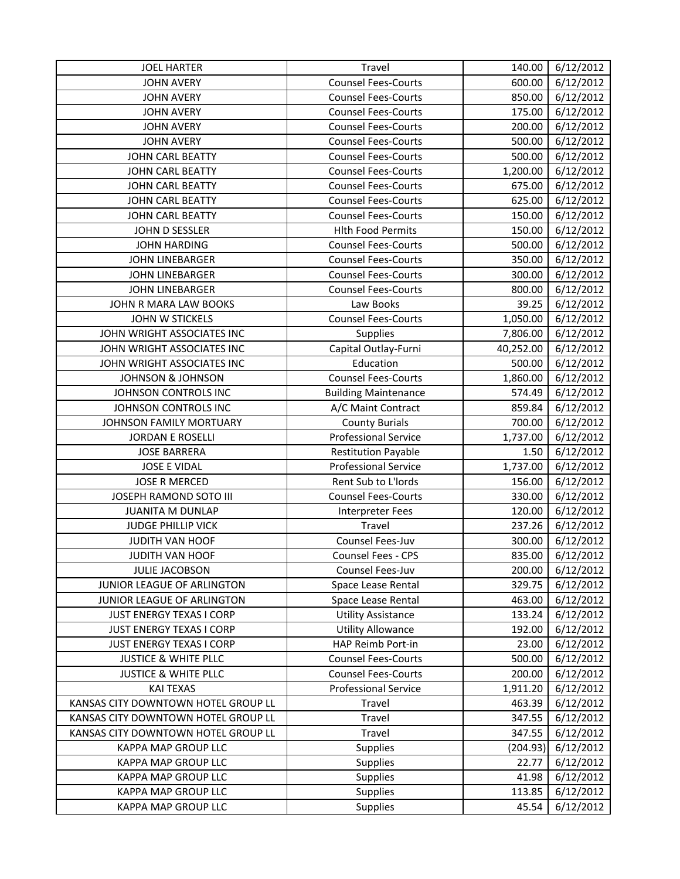| <b>JOEL HARTER</b>                  | Travel                      | 140.00    | 6/12/2012 |
|-------------------------------------|-----------------------------|-----------|-----------|
| <b>JOHN AVERY</b>                   | <b>Counsel Fees-Courts</b>  | 600.00    | 6/12/2012 |
| <b>JOHN AVERY</b>                   | <b>Counsel Fees-Courts</b>  | 850.00    | 6/12/2012 |
| <b>JOHN AVERY</b>                   | <b>Counsel Fees-Courts</b>  | 175.00    | 6/12/2012 |
| <b>JOHN AVERY</b>                   | <b>Counsel Fees-Courts</b>  | 200.00    | 6/12/2012 |
| <b>JOHN AVERY</b>                   | <b>Counsel Fees-Courts</b>  | 500.00    | 6/12/2012 |
| <b>JOHN CARL BEATTY</b>             | <b>Counsel Fees-Courts</b>  | 500.00    | 6/12/2012 |
| JOHN CARL BEATTY                    | <b>Counsel Fees-Courts</b>  | 1,200.00  | 6/12/2012 |
| <b>JOHN CARL BEATTY</b>             | <b>Counsel Fees-Courts</b>  | 675.00    | 6/12/2012 |
| JOHN CARL BEATTY                    | <b>Counsel Fees-Courts</b>  | 625.00    | 6/12/2012 |
| JOHN CARL BEATTY                    | <b>Counsel Fees-Courts</b>  | 150.00    | 6/12/2012 |
| JOHN D SESSLER                      | <b>Hlth Food Permits</b>    | 150.00    | 6/12/2012 |
| <b>JOHN HARDING</b>                 | <b>Counsel Fees-Courts</b>  | 500.00    | 6/12/2012 |
| <b>JOHN LINEBARGER</b>              | <b>Counsel Fees-Courts</b>  | 350.00    | 6/12/2012 |
| <b>JOHN LINEBARGER</b>              | <b>Counsel Fees-Courts</b>  | 300.00    | 6/12/2012 |
| <b>JOHN LINEBARGER</b>              | <b>Counsel Fees-Courts</b>  | 800.00    | 6/12/2012 |
| JOHN R MARA LAW BOOKS               | Law Books                   | 39.25     | 6/12/2012 |
| JOHN W STICKELS                     | <b>Counsel Fees-Courts</b>  | 1,050.00  | 6/12/2012 |
| JOHN WRIGHT ASSOCIATES INC          | <b>Supplies</b>             | 7,806.00  | 6/12/2012 |
| JOHN WRIGHT ASSOCIATES INC          | Capital Outlay-Furni        | 40,252.00 | 6/12/2012 |
| JOHN WRIGHT ASSOCIATES INC          | Education                   | 500.00    | 6/12/2012 |
| <b>JOHNSON &amp; JOHNSON</b>        | <b>Counsel Fees-Courts</b>  | 1,860.00  | 6/12/2012 |
| JOHNSON CONTROLS INC                | <b>Building Maintenance</b> | 574.49    | 6/12/2012 |
| JOHNSON CONTROLS INC                | A/C Maint Contract          | 859.84    | 6/12/2012 |
| JOHNSON FAMILY MORTUARY             | <b>County Burials</b>       | 700.00    | 6/12/2012 |
| <b>JORDAN E ROSELLI</b>             | <b>Professional Service</b> | 1,737.00  | 6/12/2012 |
| <b>JOSE BARRERA</b>                 | <b>Restitution Payable</b>  | 1.50      | 6/12/2012 |
| <b>JOSE E VIDAL</b>                 | <b>Professional Service</b> | 1,737.00  | 6/12/2012 |
| <b>JOSE R MERCED</b>                | Rent Sub to L'Iords         | 156.00    | 6/12/2012 |
| JOSEPH RAMOND SOTO III              | <b>Counsel Fees-Courts</b>  | 330.00    | 6/12/2012 |
| <b>JUANITA M DUNLAP</b>             | <b>Interpreter Fees</b>     | 120.00    | 6/12/2012 |
| <b>JUDGE PHILLIP VICK</b>           | Travel                      | 237.26    | 6/12/2012 |
| JUDITH VAN HOOF                     | Counsel Fees-Juv            | 300.00    | 6/12/2012 |
| JUDITH VAN HOOF                     | Counsel Fees - CPS          | 835.00    | 6/12/2012 |
| <b>JULIE JACOBSON</b>               | Counsel Fees-Juv            | 200.00    | 6/12/2012 |
| JUNIOR LEAGUE OF ARLINGTON          | Space Lease Rental          | 329.75    | 6/12/2012 |
| JUNIOR LEAGUE OF ARLINGTON          | Space Lease Rental          | 463.00    | 6/12/2012 |
| JUST ENERGY TEXAS I CORP            | <b>Utility Assistance</b>   | 133.24    | 6/12/2012 |
| JUST ENERGY TEXAS I CORP            | <b>Utility Allowance</b>    | 192.00    | 6/12/2012 |
| JUST ENERGY TEXAS I CORP            | HAP Reimb Port-in           | 23.00     | 6/12/2012 |
| <b>JUSTICE &amp; WHITE PLLC</b>     | <b>Counsel Fees-Courts</b>  | 500.00    | 6/12/2012 |
| <b>JUSTICE &amp; WHITE PLLC</b>     | <b>Counsel Fees-Courts</b>  | 200.00    | 6/12/2012 |
| <b>KAI TEXAS</b>                    | <b>Professional Service</b> | 1,911.20  | 6/12/2012 |
| KANSAS CITY DOWNTOWN HOTEL GROUP LL | Travel                      | 463.39    | 6/12/2012 |
| KANSAS CITY DOWNTOWN HOTEL GROUP LL | Travel                      | 347.55    | 6/12/2012 |
| KANSAS CITY DOWNTOWN HOTEL GROUP LL | Travel                      | 347.55    | 6/12/2012 |
| KAPPA MAP GROUP LLC                 | <b>Supplies</b>             | (204.93)  | 6/12/2012 |
| KAPPA MAP GROUP LLC                 | Supplies                    | 22.77     | 6/12/2012 |
| <b>KAPPA MAP GROUP LLC</b>          | <b>Supplies</b>             | 41.98     | 6/12/2012 |
| KAPPA MAP GROUP LLC                 | Supplies                    | 113.85    | 6/12/2012 |
| KAPPA MAP GROUP LLC                 | <b>Supplies</b>             | 45.54     | 6/12/2012 |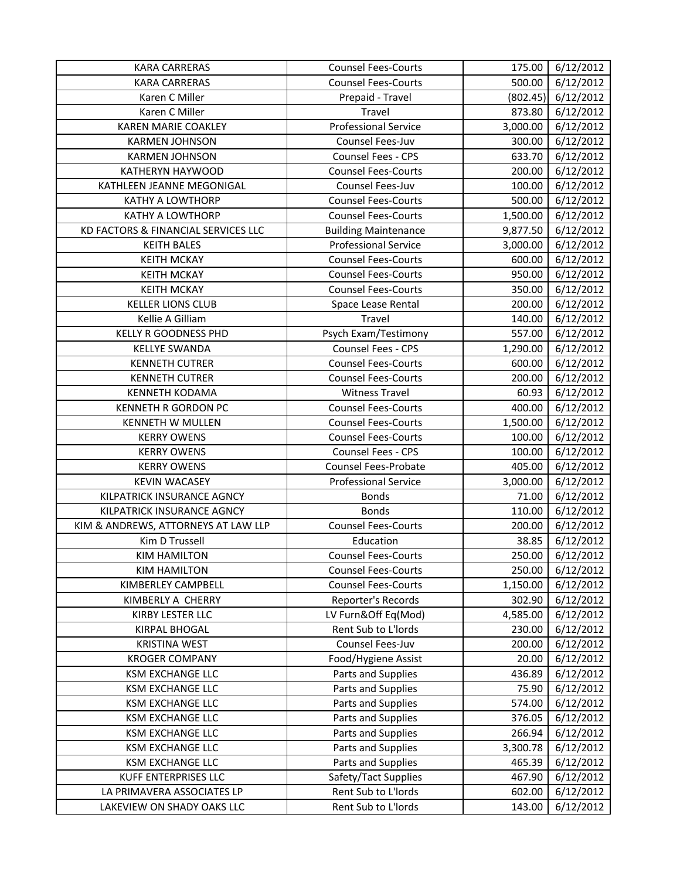| <b>KARA CARRERAS</b>                | <b>Counsel Fees-Courts</b>  | 175.00   | 6/12/2012 |
|-------------------------------------|-----------------------------|----------|-----------|
| <b>KARA CARRERAS</b>                | <b>Counsel Fees-Courts</b>  | 500.00   | 6/12/2012 |
| Karen C Miller                      | Prepaid - Travel            | (802.45) | 6/12/2012 |
| Karen C Miller                      | Travel                      | 873.80   | 6/12/2012 |
| <b>KAREN MARIE COAKLEY</b>          | <b>Professional Service</b> | 3,000.00 | 6/12/2012 |
| <b>KARMEN JOHNSON</b>               | Counsel Fees-Juv            | 300.00   | 6/12/2012 |
| <b>KARMEN JOHNSON</b>               | Counsel Fees - CPS          | 633.70   | 6/12/2012 |
| KATHERYN HAYWOOD                    | <b>Counsel Fees-Courts</b>  | 200.00   | 6/12/2012 |
| KATHLEEN JEANNE MEGONIGAL           | Counsel Fees-Juv            | 100.00   | 6/12/2012 |
| <b>KATHY A LOWTHORP</b>             | <b>Counsel Fees-Courts</b>  | 500.00   | 6/12/2012 |
| <b>KATHY A LOWTHORP</b>             | <b>Counsel Fees-Courts</b>  | 1,500.00 | 6/12/2012 |
| KD FACTORS & FINANCIAL SERVICES LLC | <b>Building Maintenance</b> | 9,877.50 | 6/12/2012 |
| <b>KEITH BALES</b>                  | <b>Professional Service</b> | 3,000.00 | 6/12/2012 |
| <b>KEITH MCKAY</b>                  | <b>Counsel Fees-Courts</b>  | 600.00   | 6/12/2012 |
| <b>KEITH MCKAY</b>                  | <b>Counsel Fees-Courts</b>  | 950.00   | 6/12/2012 |
| <b>KEITH MCKAY</b>                  | <b>Counsel Fees-Courts</b>  | 350.00   | 6/12/2012 |
| <b>KELLER LIONS CLUB</b>            | Space Lease Rental          | 200.00   | 6/12/2012 |
| Kellie A Gilliam                    | Travel                      | 140.00   | 6/12/2012 |
| <b>KELLY R GOODNESS PHD</b>         | Psych Exam/Testimony        | 557.00   | 6/12/2012 |
| <b>KELLYE SWANDA</b>                | Counsel Fees - CPS          | 1,290.00 | 6/12/2012 |
| <b>KENNETH CUTRER</b>               | <b>Counsel Fees-Courts</b>  | 600.00   | 6/12/2012 |
| <b>KENNETH CUTRER</b>               | <b>Counsel Fees-Courts</b>  | 200.00   | 6/12/2012 |
| <b>KENNETH KODAMA</b>               | <b>Witness Travel</b>       | 60.93    | 6/12/2012 |
| <b>KENNETH R GORDON PC</b>          | <b>Counsel Fees-Courts</b>  | 400.00   | 6/12/2012 |
| KENNETH W MULLEN                    | <b>Counsel Fees-Courts</b>  | 1,500.00 | 6/12/2012 |
| <b>KERRY OWENS</b>                  | <b>Counsel Fees-Courts</b>  | 100.00   | 6/12/2012 |
| <b>KERRY OWENS</b>                  | Counsel Fees - CPS          | 100.00   | 6/12/2012 |
| <b>KERRY OWENS</b>                  | Counsel Fees-Probate        | 405.00   | 6/12/2012 |
| <b>KEVIN WACASEY</b>                | <b>Professional Service</b> | 3,000.00 | 6/12/2012 |
| KILPATRICK INSURANCE AGNCY          | <b>Bonds</b>                | 71.00    | 6/12/2012 |
| KILPATRICK INSURANCE AGNCY          | <b>Bonds</b>                | 110.00   | 6/12/2012 |
| KIM & ANDREWS, ATTORNEYS AT LAW LLP | <b>Counsel Fees-Courts</b>  | 200.00   | 6/12/2012 |
| Kim D Trussell                      | Education                   | 38.85    | 6/12/2012 |
| <b>KIM HAMILTON</b>                 | <b>Counsel Fees-Courts</b>  | 250.00   | 6/12/2012 |
| <b>KIM HAMILTON</b>                 | <b>Counsel Fees-Courts</b>  | 250.00   | 6/12/2012 |
| KIMBERLEY CAMPBELL                  | <b>Counsel Fees-Courts</b>  | 1,150.00 | 6/12/2012 |
| KIMBERLY A CHERRY                   | Reporter's Records          | 302.90   | 6/12/2012 |
| KIRBY LESTER LLC                    | LV Furn&Off Eq(Mod)         | 4,585.00 | 6/12/2012 |
| <b>KIRPAL BHOGAL</b>                | Rent Sub to L'Iords         | 230.00   | 6/12/2012 |
| <b>KRISTINA WEST</b>                | Counsel Fees-Juv            | 200.00   | 6/12/2012 |
| <b>KROGER COMPANY</b>               | Food/Hygiene Assist         | 20.00    | 6/12/2012 |
| <b>KSM EXCHANGE LLC</b>             | Parts and Supplies          | 436.89   | 6/12/2012 |
| <b>KSM EXCHANGE LLC</b>             | Parts and Supplies          | 75.90    | 6/12/2012 |
| <b>KSM EXCHANGE LLC</b>             | Parts and Supplies          | 574.00   | 6/12/2012 |
| <b>KSM EXCHANGE LLC</b>             | Parts and Supplies          | 376.05   | 6/12/2012 |
| <b>KSM EXCHANGE LLC</b>             | Parts and Supplies          | 266.94   | 6/12/2012 |
| <b>KSM EXCHANGE LLC</b>             | Parts and Supplies          | 3,300.78 | 6/12/2012 |
| <b>KSM EXCHANGE LLC</b>             | Parts and Supplies          | 465.39   | 6/12/2012 |
| <b>KUFF ENTERPRISES LLC</b>         | Safety/Tact Supplies        | 467.90   | 6/12/2012 |
| LA PRIMAVERA ASSOCIATES LP          | Rent Sub to L'Iords         | 602.00   | 6/12/2012 |
| LAKEVIEW ON SHADY OAKS LLC          | Rent Sub to L'Iords         | 143.00   | 6/12/2012 |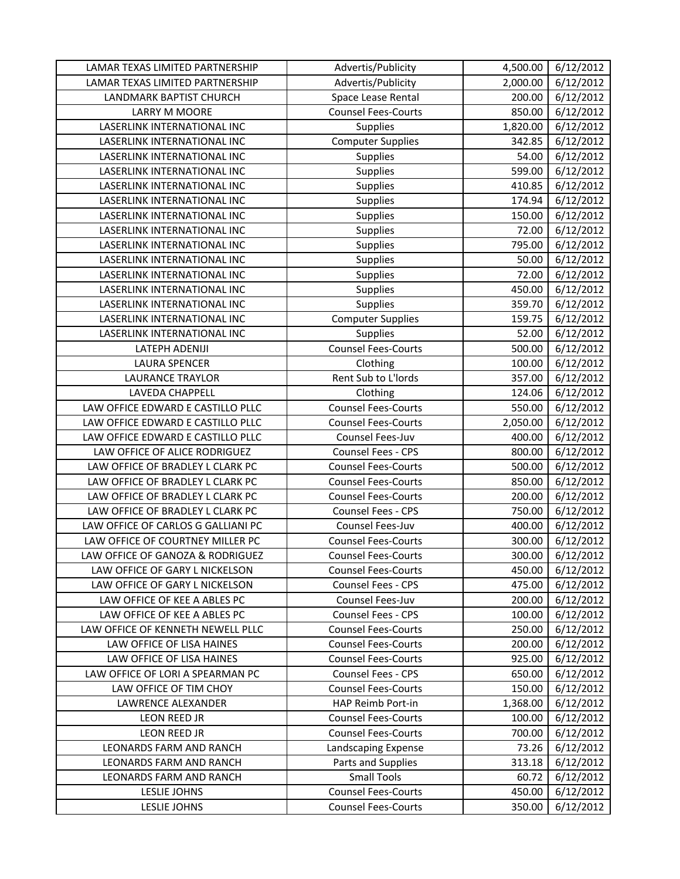| LAMAR TEXAS LIMITED PARTNERSHIP    | Advertis/Publicity         | 4,500.00 | 6/12/2012 |
|------------------------------------|----------------------------|----------|-----------|
| LAMAR TEXAS LIMITED PARTNERSHIP    | Advertis/Publicity         | 2,000.00 | 6/12/2012 |
| LANDMARK BAPTIST CHURCH            | Space Lease Rental         | 200.00   | 6/12/2012 |
| LARRY M MOORE                      | <b>Counsel Fees-Courts</b> | 850.00   | 6/12/2012 |
| LASERLINK INTERNATIONAL INC        | Supplies                   | 1,820.00 | 6/12/2012 |
| LASERLINK INTERNATIONAL INC        | <b>Computer Supplies</b>   | 342.85   | 6/12/2012 |
| LASERLINK INTERNATIONAL INC        | Supplies                   | 54.00    | 6/12/2012 |
| LASERLINK INTERNATIONAL INC        | Supplies                   | 599.00   | 6/12/2012 |
| LASERLINK INTERNATIONAL INC        | <b>Supplies</b>            | 410.85   | 6/12/2012 |
| LASERLINK INTERNATIONAL INC        | Supplies                   | 174.94   | 6/12/2012 |
| LASERLINK INTERNATIONAL INC        | <b>Supplies</b>            | 150.00   | 6/12/2012 |
| LASERLINK INTERNATIONAL INC        | Supplies                   | 72.00    | 6/12/2012 |
| LASERLINK INTERNATIONAL INC        | Supplies                   | 795.00   | 6/12/2012 |
| LASERLINK INTERNATIONAL INC        | Supplies                   | 50.00    | 6/12/2012 |
| LASERLINK INTERNATIONAL INC        | Supplies                   | 72.00    | 6/12/2012 |
| LASERLINK INTERNATIONAL INC        | <b>Supplies</b>            | 450.00   | 6/12/2012 |
| LASERLINK INTERNATIONAL INC        | Supplies                   | 359.70   | 6/12/2012 |
| LASERLINK INTERNATIONAL INC        | <b>Computer Supplies</b>   | 159.75   | 6/12/2012 |
| LASERLINK INTERNATIONAL INC        | <b>Supplies</b>            | 52.00    | 6/12/2012 |
| LATEPH ADENIJI                     | <b>Counsel Fees-Courts</b> | 500.00   | 6/12/2012 |
| <b>LAURA SPENCER</b>               | Clothing                   | 100.00   | 6/12/2012 |
| <b>LAURANCE TRAYLOR</b>            | Rent Sub to L'Iords        | 357.00   | 6/12/2012 |
| LAVEDA CHAPPELL                    | Clothing                   | 124.06   | 6/12/2012 |
| LAW OFFICE EDWARD E CASTILLO PLLC  | <b>Counsel Fees-Courts</b> | 550.00   | 6/12/2012 |
| LAW OFFICE EDWARD E CASTILLO PLLC  | <b>Counsel Fees-Courts</b> | 2,050.00 | 6/12/2012 |
| LAW OFFICE EDWARD E CASTILLO PLLC  | Counsel Fees-Juv           | 400.00   | 6/12/2012 |
| LAW OFFICE OF ALICE RODRIGUEZ      | Counsel Fees - CPS         | 800.00   | 6/12/2012 |
| LAW OFFICE OF BRADLEY L CLARK PC   | <b>Counsel Fees-Courts</b> | 500.00   | 6/12/2012 |
| LAW OFFICE OF BRADLEY L CLARK PC   | <b>Counsel Fees-Courts</b> | 850.00   | 6/12/2012 |
| LAW OFFICE OF BRADLEY L CLARK PC   | <b>Counsel Fees-Courts</b> | 200.00   | 6/12/2012 |
| LAW OFFICE OF BRADLEY L CLARK PC   | Counsel Fees - CPS         | 750.00   | 6/12/2012 |
| LAW OFFICE OF CARLOS G GALLIANI PC | Counsel Fees-Juv           | 400.00   | 6/12/2012 |
| LAW OFFICE OF COURTNEY MILLER PC   | <b>Counsel Fees-Courts</b> | 300.00   | 6/12/2012 |
| LAW OFFICE OF GANOZA & RODRIGUEZ   | <b>Counsel Fees-Courts</b> | 300.00   | 6/12/2012 |
| LAW OFFICE OF GARY L NICKELSON     | <b>Counsel Fees-Courts</b> | 450.00   | 6/12/2012 |
| LAW OFFICE OF GARY L NICKELSON     | Counsel Fees - CPS         | 475.00   | 6/12/2012 |
| LAW OFFICE OF KEE A ABLES PC       | Counsel Fees-Juv           | 200.00   | 6/12/2012 |
| LAW OFFICE OF KEE A ABLES PC       | Counsel Fees - CPS         | 100.00   | 6/12/2012 |
| LAW OFFICE OF KENNETH NEWELL PLLC  | <b>Counsel Fees-Courts</b> | 250.00   | 6/12/2012 |
| LAW OFFICE OF LISA HAINES          | <b>Counsel Fees-Courts</b> | 200.00   | 6/12/2012 |
| LAW OFFICE OF LISA HAINES          | <b>Counsel Fees-Courts</b> | 925.00   | 6/12/2012 |
| LAW OFFICE OF LORI A SPEARMAN PC   | Counsel Fees - CPS         | 650.00   | 6/12/2012 |
| LAW OFFICE OF TIM CHOY             | <b>Counsel Fees-Courts</b> | 150.00   | 6/12/2012 |
| LAWRENCE ALEXANDER                 | HAP Reimb Port-in          | 1,368.00 | 6/12/2012 |
| LEON REED JR                       | <b>Counsel Fees-Courts</b> | 100.00   | 6/12/2012 |
| LEON REED JR                       | <b>Counsel Fees-Courts</b> | 700.00   | 6/12/2012 |
| LEONARDS FARM AND RANCH            | Landscaping Expense        | 73.26    | 6/12/2012 |
| LEONARDS FARM AND RANCH            | Parts and Supplies         | 313.18   | 6/12/2012 |
| LEONARDS FARM AND RANCH            | <b>Small Tools</b>         | 60.72    | 6/12/2012 |
| LESLIE JOHNS                       | <b>Counsel Fees-Courts</b> | 450.00   | 6/12/2012 |
| LESLIE JOHNS                       | <b>Counsel Fees-Courts</b> | 350.00   | 6/12/2012 |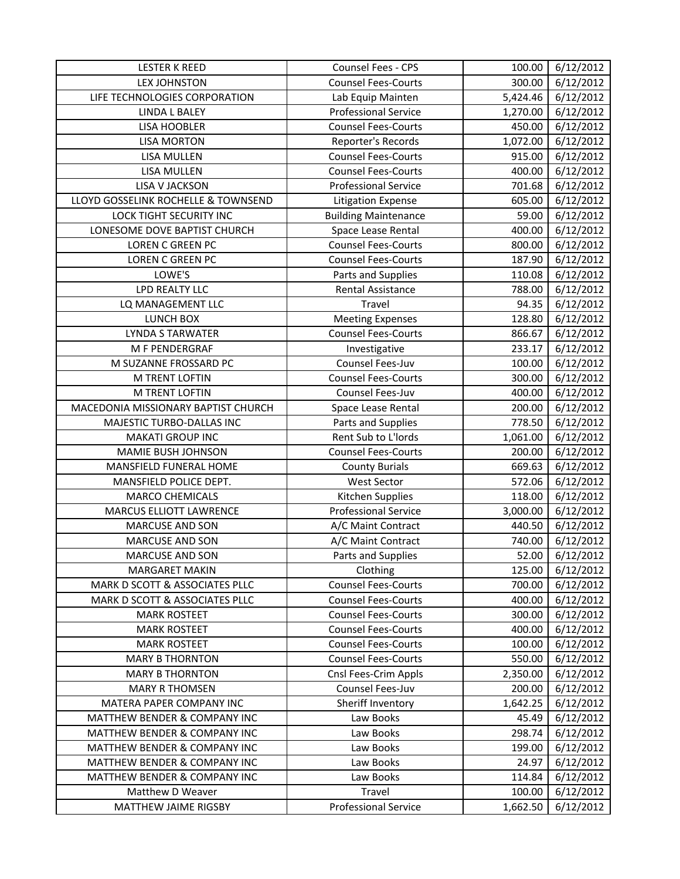| <b>LESTER K REED</b>                | Counsel Fees - CPS          | 100.00   | 6/12/2012 |
|-------------------------------------|-----------------------------|----------|-----------|
| <b>LEX JOHNSTON</b>                 | <b>Counsel Fees-Courts</b>  | 300.00   | 6/12/2012 |
| LIFE TECHNOLOGIES CORPORATION       | Lab Equip Mainten           | 5,424.46 | 6/12/2012 |
| <b>LINDA L BALEY</b>                | <b>Professional Service</b> | 1,270.00 | 6/12/2012 |
| <b>LISA HOOBLER</b>                 | <b>Counsel Fees-Courts</b>  | 450.00   | 6/12/2012 |
| <b>LISA MORTON</b>                  | Reporter's Records          | 1,072.00 | 6/12/2012 |
| LISA MULLEN                         | <b>Counsel Fees-Courts</b>  | 915.00   | 6/12/2012 |
| LISA MULLEN                         | <b>Counsel Fees-Courts</b>  | 400.00   | 6/12/2012 |
| LISA V JACKSON                      | <b>Professional Service</b> | 701.68   | 6/12/2012 |
| LLOYD GOSSELINK ROCHELLE & TOWNSEND | <b>Litigation Expense</b>   | 605.00   | 6/12/2012 |
| <b>LOCK TIGHT SECURITY INC</b>      | <b>Building Maintenance</b> | 59.00    | 6/12/2012 |
| LONESOME DOVE BAPTIST CHURCH        | Space Lease Rental          | 400.00   | 6/12/2012 |
| LOREN C GREEN PC                    | <b>Counsel Fees-Courts</b>  | 800.00   | 6/12/2012 |
| LOREN C GREEN PC                    | <b>Counsel Fees-Courts</b>  | 187.90   | 6/12/2012 |
| LOWE'S                              | Parts and Supplies          | 110.08   | 6/12/2012 |
| <b>LPD REALTY LLC</b>               | <b>Rental Assistance</b>    | 788.00   | 6/12/2012 |
| LQ MANAGEMENT LLC                   | Travel                      | 94.35    | 6/12/2012 |
| LUNCH BOX                           | <b>Meeting Expenses</b>     | 128.80   | 6/12/2012 |
| <b>LYNDA S TARWATER</b>             | <b>Counsel Fees-Courts</b>  | 866.67   | 6/12/2012 |
| M F PENDERGRAF                      | Investigative               | 233.17   | 6/12/2012 |
| M SUZANNE FROSSARD PC               | Counsel Fees-Juv            | 100.00   | 6/12/2012 |
| M TRENT LOFTIN                      | <b>Counsel Fees-Courts</b>  | 300.00   | 6/12/2012 |
| M TRENT LOFTIN                      | Counsel Fees-Juv            | 400.00   | 6/12/2012 |
| MACEDONIA MISSIONARY BAPTIST CHURCH | Space Lease Rental          | 200.00   | 6/12/2012 |
| MAJESTIC TURBO-DALLAS INC           | Parts and Supplies          | 778.50   | 6/12/2012 |
| <b>MAKATI GROUP INC</b>             | Rent Sub to L'Iords         | 1,061.00 | 6/12/2012 |
| MAMIE BUSH JOHNSON                  | <b>Counsel Fees-Courts</b>  | 200.00   | 6/12/2012 |
| MANSFIELD FUNERAL HOME              | <b>County Burials</b>       | 669.63   | 6/12/2012 |
| MANSFIELD POLICE DEPT.              | <b>West Sector</b>          | 572.06   | 6/12/2012 |
| <b>MARCO CHEMICALS</b>              | Kitchen Supplies            | 118.00   | 6/12/2012 |
| MARCUS ELLIOTT LAWRENCE             | <b>Professional Service</b> | 3,000.00 | 6/12/2012 |
| <b>MARCUSE AND SON</b>              | A/C Maint Contract          | 440.50   | 6/12/2012 |
| <b>MARCUSE AND SON</b>              | A/C Maint Contract          | 740.00   | 6/12/2012 |
| <b>MARCUSE AND SON</b>              | Parts and Supplies          | 52.00    | 6/12/2012 |
| <b>MARGARET MAKIN</b>               | Clothing                    | 125.00   | 6/12/2012 |
| MARK D SCOTT & ASSOCIATES PLLC      | <b>Counsel Fees-Courts</b>  | 700.00   | 6/12/2012 |
| MARK D SCOTT & ASSOCIATES PLLC      | <b>Counsel Fees-Courts</b>  | 400.00   | 6/12/2012 |
| <b>MARK ROSTEET</b>                 | <b>Counsel Fees-Courts</b>  | 300.00   | 6/12/2012 |
| <b>MARK ROSTEET</b>                 | <b>Counsel Fees-Courts</b>  | 400.00   | 6/12/2012 |
| <b>MARK ROSTEET</b>                 | <b>Counsel Fees-Courts</b>  | 100.00   | 6/12/2012 |
| <b>MARY B THORNTON</b>              | <b>Counsel Fees-Courts</b>  | 550.00   | 6/12/2012 |
| <b>MARY B THORNTON</b>              | Cnsl Fees-Crim Appls        | 2,350.00 | 6/12/2012 |
| <b>MARY R THOMSEN</b>               | Counsel Fees-Juv            | 200.00   | 6/12/2012 |
| MATERA PAPER COMPANY INC            | Sheriff Inventory           | 1,642.25 | 6/12/2012 |
| MATTHEW BENDER & COMPANY INC        | Law Books                   | 45.49    | 6/12/2012 |
| MATTHEW BENDER & COMPANY INC        | Law Books                   | 298.74   | 6/12/2012 |
| MATTHEW BENDER & COMPANY INC        | Law Books                   | 199.00   | 6/12/2012 |
| MATTHEW BENDER & COMPANY INC        | Law Books                   | 24.97    | 6/12/2012 |
| MATTHEW BENDER & COMPANY INC        | Law Books                   | 114.84   | 6/12/2012 |
| Matthew D Weaver                    | Travel                      | 100.00   | 6/12/2012 |
| MATTHEW JAIME RIGSBY                | <b>Professional Service</b> | 1,662.50 | 6/12/2012 |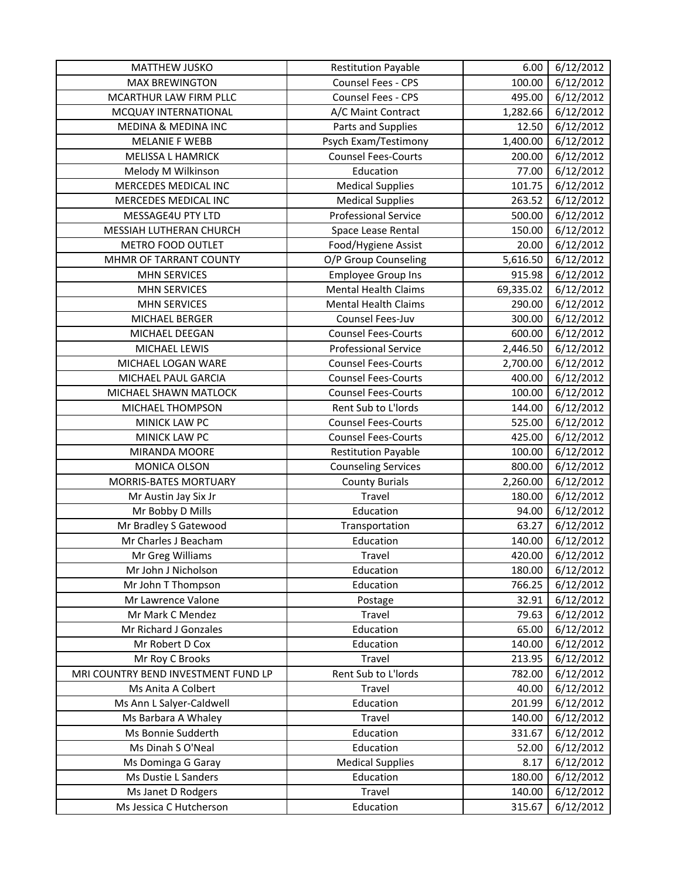| <b>MATTHEW JUSKO</b>                          | <b>Restitution Payable</b>  | 6.00            | 6/12/2012              |
|-----------------------------------------------|-----------------------------|-----------------|------------------------|
| <b>MAX BREWINGTON</b>                         | Counsel Fees - CPS          | 100.00          | 6/12/2012              |
| MCARTHUR LAW FIRM PLLC                        | Counsel Fees - CPS          | 495.00          | 6/12/2012              |
| MCQUAY INTERNATIONAL                          | A/C Maint Contract          | 1,282.66        | 6/12/2012              |
| MEDINA & MEDINA INC                           | Parts and Supplies          | 12.50           | 6/12/2012              |
| <b>MELANIE F WEBB</b>                         | Psych Exam/Testimony        | 1,400.00        | 6/12/2012              |
| MELISSA L HAMRICK                             | <b>Counsel Fees-Courts</b>  | 200.00          | 6/12/2012              |
| Melody M Wilkinson                            | Education                   | 77.00           | 6/12/2012              |
| <b>MERCEDES MEDICAL INC</b>                   | <b>Medical Supplies</b>     | 101.75          | 6/12/2012              |
| MERCEDES MEDICAL INC                          | <b>Medical Supplies</b>     | 263.52          | 6/12/2012              |
| MESSAGE4U PTY LTD                             | <b>Professional Service</b> | 500.00          | 6/12/2012              |
| MESSIAH LUTHERAN CHURCH                       | Space Lease Rental          | 150.00          | 6/12/2012              |
| <b>METRO FOOD OUTLET</b>                      | Food/Hygiene Assist         | 20.00           | 6/12/2012              |
| MHMR OF TARRANT COUNTY                        | O/P Group Counseling        | 5,616.50        | 6/12/2012              |
| <b>MHN SERVICES</b>                           | <b>Employee Group Ins</b>   | 915.98          | 6/12/2012              |
| <b>MHN SERVICES</b>                           | <b>Mental Health Claims</b> | 69,335.02       | 6/12/2012              |
| <b>MHN SERVICES</b>                           | <b>Mental Health Claims</b> | 290.00          | 6/12/2012              |
| MICHAEL BERGER                                | Counsel Fees-Juv            | 300.00          | 6/12/2012              |
| MICHAEL DEEGAN                                | <b>Counsel Fees-Courts</b>  | 600.00          | 6/12/2012              |
| MICHAEL LEWIS                                 | <b>Professional Service</b> | 2,446.50        | 6/12/2012              |
| MICHAEL LOGAN WARE                            | <b>Counsel Fees-Courts</b>  | 2,700.00        | 6/12/2012              |
| MICHAEL PAUL GARCIA                           | <b>Counsel Fees-Courts</b>  | 400.00          | 6/12/2012              |
| MICHAEL SHAWN MATLOCK                         | <b>Counsel Fees-Courts</b>  | 100.00          | 6/12/2012              |
| MICHAEL THOMPSON                              | Rent Sub to L'Iords         | 144.00          | 6/12/2012              |
| MINICK LAW PC                                 | <b>Counsel Fees-Courts</b>  | 525.00          | 6/12/2012              |
| MINICK LAW PC                                 | <b>Counsel Fees-Courts</b>  | 425.00          | 6/12/2012              |
| MIRANDA MOORE                                 | <b>Restitution Payable</b>  | 100.00          | 6/12/2012              |
| MONICA OLSON                                  | <b>Counseling Services</b>  | 800.00          | 6/12/2012              |
| MORRIS-BATES MORTUARY                         | <b>County Burials</b>       | 2,260.00        | 6/12/2012              |
| Mr Austin Jay Six Jr                          | Travel                      | 180.00          | 6/12/2012              |
| Mr Bobby D Mills                              | Education                   | 94.00           | 6/12/2012              |
| Mr Bradley S Gatewood<br>Mr Charles J Beacham | Transportation              | 63.27           | 6/12/2012              |
|                                               | Education                   | 140.00          | 6/12/2012              |
| Mr Greg Williams                              | Travel                      | 420.00          | 6/12/2012              |
| Mr John J Nicholson                           | Education                   | 180.00          | 6/12/2012              |
| Mr John T Thompson<br>Mr Lawrence Valone      | Education                   | 766.25<br>32.91 | 6/12/2012<br>6/12/2012 |
| Mr Mark C Mendez                              | Postage<br>Travel           | 79.63           | 6/12/2012              |
| Mr Richard J Gonzales                         | Education                   | 65.00           | 6/12/2012              |
| Mr Robert D Cox                               | Education                   | 140.00          | 6/12/2012              |
| Mr Roy C Brooks                               | Travel                      | 213.95          | 6/12/2012              |
| MRI COUNTRY BEND INVESTMENT FUND LP           | Rent Sub to L'Iords         | 782.00          | 6/12/2012              |
| Ms Anita A Colbert                            | Travel                      | 40.00           | 6/12/2012              |
| Ms Ann L Salyer-Caldwell                      | Education                   | 201.99          | 6/12/2012              |
| Ms Barbara A Whaley                           | Travel                      | 140.00          | 6/12/2012              |
| Ms Bonnie Sudderth                            | Education                   | 331.67          | 6/12/2012              |
| Ms Dinah S O'Neal                             | Education                   | 52.00           | 6/12/2012              |
| Ms Dominga G Garay                            | <b>Medical Supplies</b>     | 8.17            | 6/12/2012              |
| Ms Dustie L Sanders                           | Education                   | 180.00          | 6/12/2012              |
| Ms Janet D Rodgers                            | Travel                      | 140.00          | 6/12/2012              |
| Ms Jessica C Hutcherson                       | Education                   | 315.67          | 6/12/2012              |
|                                               |                             |                 |                        |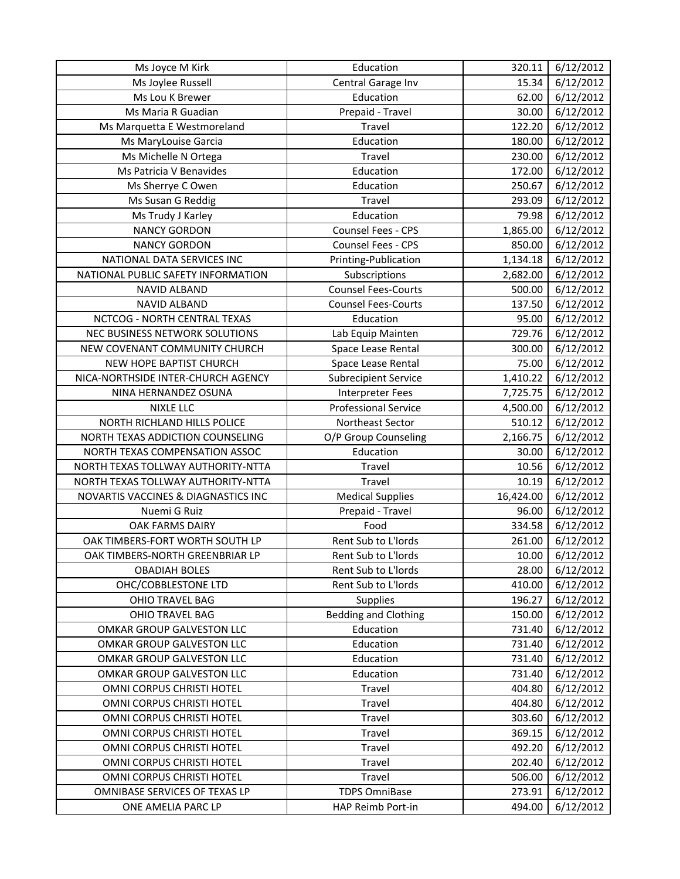| Ms Joyce M Kirk                     | Education                   | 320.11    | 6/12/2012 |
|-------------------------------------|-----------------------------|-----------|-----------|
| Ms Joylee Russell                   | Central Garage Inv          | 15.34     | 6/12/2012 |
| Ms Lou K Brewer                     | Education                   | 62.00     | 6/12/2012 |
| Ms Maria R Guadian                  | Prepaid - Travel            | 30.00     | 6/12/2012 |
| Ms Marquetta E Westmoreland         | Travel                      | 122.20    | 6/12/2012 |
| Ms MaryLouise Garcia                | Education                   | 180.00    | 6/12/2012 |
| Ms Michelle N Ortega                | Travel                      | 230.00    | 6/12/2012 |
| Ms Patricia V Benavides             | Education                   | 172.00    | 6/12/2012 |
| Ms Sherrye C Owen                   | Education                   | 250.67    | 6/12/2012 |
| Ms Susan G Reddig                   | <b>Travel</b>               | 293.09    | 6/12/2012 |
| Ms Trudy J Karley                   | Education                   | 79.98     | 6/12/2012 |
| <b>NANCY GORDON</b>                 | Counsel Fees - CPS          | 1,865.00  | 6/12/2012 |
| <b>NANCY GORDON</b>                 | Counsel Fees - CPS          | 850.00    | 6/12/2012 |
| NATIONAL DATA SERVICES INC          | Printing-Publication        | 1,134.18  | 6/12/2012 |
| NATIONAL PUBLIC SAFETY INFORMATION  | Subscriptions               | 2,682.00  | 6/12/2012 |
| <b>NAVID ALBAND</b>                 | <b>Counsel Fees-Courts</b>  | 500.00    | 6/12/2012 |
| <b>NAVID ALBAND</b>                 | <b>Counsel Fees-Courts</b>  | 137.50    | 6/12/2012 |
| NCTCOG - NORTH CENTRAL TEXAS        | Education                   | 95.00     | 6/12/2012 |
| NEC BUSINESS NETWORK SOLUTIONS      | Lab Equip Mainten           | 729.76    | 6/12/2012 |
| NEW COVENANT COMMUNITY CHURCH       | Space Lease Rental          | 300.00    | 6/12/2012 |
| NEW HOPE BAPTIST CHURCH             | Space Lease Rental          | 75.00     | 6/12/2012 |
| NICA-NORTHSIDE INTER-CHURCH AGENCY  | <b>Subrecipient Service</b> | 1,410.22  | 6/12/2012 |
| NINA HERNANDEZ OSUNA                | <b>Interpreter Fees</b>     | 7,725.75  | 6/12/2012 |
| <b>NIXLE LLC</b>                    | <b>Professional Service</b> | 4,500.00  | 6/12/2012 |
| NORTH RICHLAND HILLS POLICE         | Northeast Sector            | 510.12    | 6/12/2012 |
| NORTH TEXAS ADDICTION COUNSELING    | O/P Group Counseling        | 2,166.75  | 6/12/2012 |
| NORTH TEXAS COMPENSATION ASSOC      | Education                   | 30.00     | 6/12/2012 |
| NORTH TEXAS TOLLWAY AUTHORITY-NTTA  | Travel                      | 10.56     | 6/12/2012 |
| NORTH TEXAS TOLLWAY AUTHORITY-NTTA  | Travel                      | 10.19     | 6/12/2012 |
| NOVARTIS VACCINES & DIAGNASTICS INC | <b>Medical Supplies</b>     | 16,424.00 | 6/12/2012 |
| Nuemi G Ruiz                        | Prepaid - Travel            | 96.00     | 6/12/2012 |
| OAK FARMS DAIRY                     | Food                        | 334.58    | 6/12/2012 |
| OAK TIMBERS-FORT WORTH SOUTH LP     | Rent Sub to L'Iords         | 261.00    | 6/12/2012 |
| OAK TIMBERS-NORTH GREENBRIAR LP     | Rent Sub to L'Iords         | 10.00     | 6/12/2012 |
| <b>OBADIAH BOLES</b>                | Rent Sub to L'Iords         | 28.00     | 6/12/2012 |
| OHC/COBBLESTONE LTD                 | Rent Sub to L'Iords         | 410.00    | 6/12/2012 |
| OHIO TRAVEL BAG                     | <b>Supplies</b>             | 196.27    | 6/12/2012 |
| OHIO TRAVEL BAG                     | <b>Bedding and Clothing</b> | 150.00    | 6/12/2012 |
| OMKAR GROUP GALVESTON LLC           | Education                   | 731.40    | 6/12/2012 |
| OMKAR GROUP GALVESTON LLC           | Education                   | 731.40    | 6/12/2012 |
| OMKAR GROUP GALVESTON LLC           | Education                   | 731.40    | 6/12/2012 |
| OMKAR GROUP GALVESTON LLC           | Education                   | 731.40    | 6/12/2012 |
| OMNI CORPUS CHRISTI HOTEL           | Travel                      | 404.80    | 6/12/2012 |
| OMNI CORPUS CHRISTI HOTEL           | Travel                      | 404.80    | 6/12/2012 |
| OMNI CORPUS CHRISTI HOTEL           | Travel                      | 303.60    | 6/12/2012 |
| OMNI CORPUS CHRISTI HOTEL           | Travel                      | 369.15    | 6/12/2012 |
| OMNI CORPUS CHRISTI HOTEL           | Travel                      | 492.20    | 6/12/2012 |
| OMNI CORPUS CHRISTI HOTEL           | Travel                      | 202.40    | 6/12/2012 |
| OMNI CORPUS CHRISTI HOTEL           | Travel                      | 506.00    | 6/12/2012 |
| OMNIBASE SERVICES OF TEXAS LP       | <b>TDPS OmniBase</b>        | 273.91    | 6/12/2012 |
| ONE AMELIA PARC LP                  | HAP Reimb Port-in           | 494.00    | 6/12/2012 |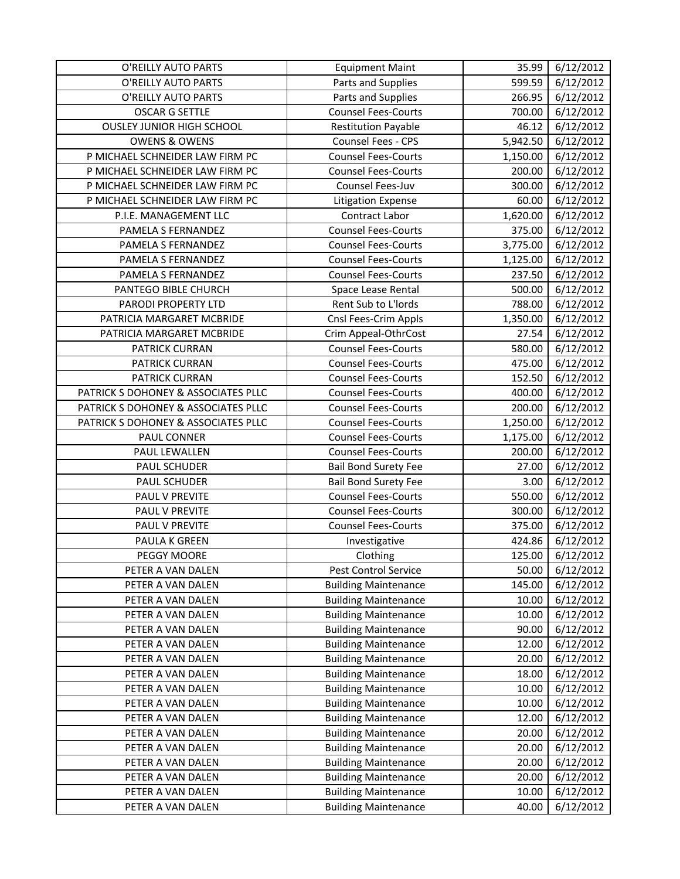| O'REILLY AUTO PARTS                 | <b>Equipment Maint</b>      | 35.99    | 6/12/2012 |
|-------------------------------------|-----------------------------|----------|-----------|
| O'REILLY AUTO PARTS                 | Parts and Supplies          | 599.59   | 6/12/2012 |
| O'REILLY AUTO PARTS                 | Parts and Supplies          | 266.95   | 6/12/2012 |
| <b>OSCAR G SETTLE</b>               | <b>Counsel Fees-Courts</b>  | 700.00   | 6/12/2012 |
| <b>OUSLEY JUNIOR HIGH SCHOOL</b>    | <b>Restitution Payable</b>  | 46.12    | 6/12/2012 |
| <b>OWENS &amp; OWENS</b>            | Counsel Fees - CPS          | 5,942.50 | 6/12/2012 |
| P MICHAEL SCHNEIDER LAW FIRM PC     | <b>Counsel Fees-Courts</b>  | 1,150.00 | 6/12/2012 |
| P MICHAEL SCHNEIDER LAW FIRM PC     | <b>Counsel Fees-Courts</b>  | 200.00   | 6/12/2012 |
| P MICHAEL SCHNEIDER LAW FIRM PC     | Counsel Fees-Juv            | 300.00   | 6/12/2012 |
| P MICHAEL SCHNEIDER LAW FIRM PC     | Litigation Expense          | 60.00    | 6/12/2012 |
| P.I.E. MANAGEMENT LLC               | Contract Labor              | 1,620.00 | 6/12/2012 |
| PAMELA S FERNANDEZ                  | <b>Counsel Fees-Courts</b>  | 375.00   | 6/12/2012 |
| PAMELA S FERNANDEZ                  | <b>Counsel Fees-Courts</b>  | 3,775.00 | 6/12/2012 |
| PAMELA S FERNANDEZ                  | <b>Counsel Fees-Courts</b>  | 1,125.00 | 6/12/2012 |
| PAMELA S FERNANDEZ                  | <b>Counsel Fees-Courts</b>  | 237.50   | 6/12/2012 |
| PANTEGO BIBLE CHURCH                | Space Lease Rental          | 500.00   | 6/12/2012 |
| PARODI PROPERTY LTD                 | Rent Sub to L'Iords         | 788.00   | 6/12/2012 |
| PATRICIA MARGARET MCBRIDE           | Cnsl Fees-Crim Appls        | 1,350.00 | 6/12/2012 |
| PATRICIA MARGARET MCBRIDE           | Crim Appeal-OthrCost        | 27.54    | 6/12/2012 |
| PATRICK CURRAN                      | <b>Counsel Fees-Courts</b>  | 580.00   | 6/12/2012 |
| <b>PATRICK CURRAN</b>               | <b>Counsel Fees-Courts</b>  | 475.00   | 6/12/2012 |
| PATRICK CURRAN                      | <b>Counsel Fees-Courts</b>  | 152.50   | 6/12/2012 |
| PATRICK S DOHONEY & ASSOCIATES PLLC | <b>Counsel Fees-Courts</b>  | 400.00   | 6/12/2012 |
| PATRICK S DOHONEY & ASSOCIATES PLLC | <b>Counsel Fees-Courts</b>  | 200.00   | 6/12/2012 |
| PATRICK S DOHONEY & ASSOCIATES PLLC | <b>Counsel Fees-Courts</b>  | 1,250.00 | 6/12/2012 |
| PAUL CONNER                         | <b>Counsel Fees-Courts</b>  | 1,175.00 | 6/12/2012 |
| PAUL LEWALLEN                       | <b>Counsel Fees-Courts</b>  | 200.00   | 6/12/2012 |
| PAUL SCHUDER                        | <b>Bail Bond Surety Fee</b> | 27.00    | 6/12/2012 |
| PAUL SCHUDER                        | <b>Bail Bond Surety Fee</b> | 3.00     | 6/12/2012 |
| PAUL V PREVITE                      | <b>Counsel Fees-Courts</b>  | 550.00   | 6/12/2012 |
| PAUL V PREVITE                      | <b>Counsel Fees-Courts</b>  | 300.00   | 6/12/2012 |
| PAUL V PREVITE                      | <b>Counsel Fees-Courts</b>  | 375.00   | 6/12/2012 |
| PAULA K GREEN                       | Investigative               | 424.86   | 6/12/2012 |
| PEGGY MOORE                         | Clothing                    | 125.00   | 6/12/2012 |
| PETER A VAN DALEN                   | Pest Control Service        | 50.00    | 6/12/2012 |
| PETER A VAN DALEN                   | <b>Building Maintenance</b> | 145.00   | 6/12/2012 |
| PETER A VAN DALEN                   | <b>Building Maintenance</b> | 10.00    | 6/12/2012 |
| PETER A VAN DALEN                   | <b>Building Maintenance</b> | 10.00    | 6/12/2012 |
| PETER A VAN DALEN                   | <b>Building Maintenance</b> | 90.00    | 6/12/2012 |
| PETER A VAN DALEN                   | <b>Building Maintenance</b> | 12.00    | 6/12/2012 |
| PETER A VAN DALEN                   | <b>Building Maintenance</b> | 20.00    | 6/12/2012 |
| PETER A VAN DALEN                   | <b>Building Maintenance</b> | 18.00    | 6/12/2012 |
| PETER A VAN DALEN                   | <b>Building Maintenance</b> | 10.00    | 6/12/2012 |
| PETER A VAN DALEN                   | <b>Building Maintenance</b> | 10.00    | 6/12/2012 |
| PETER A VAN DALEN                   | <b>Building Maintenance</b> | 12.00    | 6/12/2012 |
| PETER A VAN DALEN                   | <b>Building Maintenance</b> | 20.00    | 6/12/2012 |
| PETER A VAN DALEN                   | <b>Building Maintenance</b> | 20.00    | 6/12/2012 |
| PETER A VAN DALEN                   | <b>Building Maintenance</b> | 20.00    | 6/12/2012 |
| PETER A VAN DALEN                   | <b>Building Maintenance</b> | 20.00    | 6/12/2012 |
| PETER A VAN DALEN                   | <b>Building Maintenance</b> | 10.00    | 6/12/2012 |
| PETER A VAN DALEN                   | <b>Building Maintenance</b> | 40.00    | 6/12/2012 |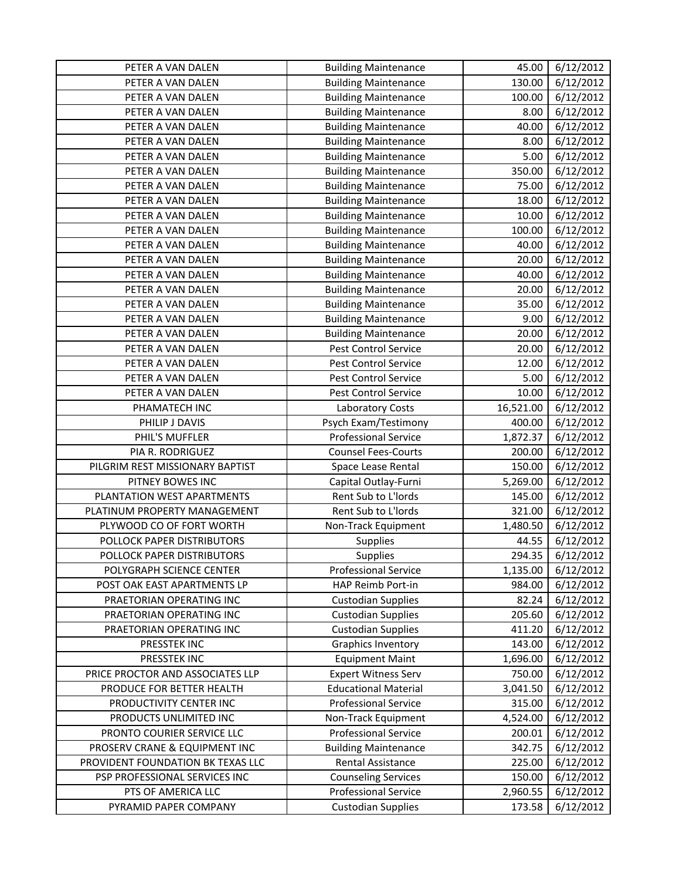| PETER A VAN DALEN                 | <b>Building Maintenance</b> | 45.00     | 6/12/2012 |
|-----------------------------------|-----------------------------|-----------|-----------|
| PETER A VAN DALEN                 | <b>Building Maintenance</b> | 130.00    | 6/12/2012 |
| PETER A VAN DALEN                 | <b>Building Maintenance</b> | 100.00    | 6/12/2012 |
| PETER A VAN DALEN                 | <b>Building Maintenance</b> | 8.00      | 6/12/2012 |
| PETER A VAN DALEN                 | <b>Building Maintenance</b> | 40.00     | 6/12/2012 |
| PETER A VAN DALEN                 | <b>Building Maintenance</b> | 8.00      | 6/12/2012 |
| PETER A VAN DALEN                 | <b>Building Maintenance</b> | 5.00      | 6/12/2012 |
| PETER A VAN DALEN                 | <b>Building Maintenance</b> | 350.00    | 6/12/2012 |
| PETER A VAN DALEN                 | <b>Building Maintenance</b> | 75.00     | 6/12/2012 |
| PETER A VAN DALEN                 | <b>Building Maintenance</b> | 18.00     | 6/12/2012 |
| PETER A VAN DALEN                 | <b>Building Maintenance</b> | 10.00     | 6/12/2012 |
| PETER A VAN DALEN                 | <b>Building Maintenance</b> | 100.00    | 6/12/2012 |
| PETER A VAN DALEN                 | <b>Building Maintenance</b> | 40.00     | 6/12/2012 |
| PETER A VAN DALEN                 | <b>Building Maintenance</b> | 20.00     | 6/12/2012 |
| PETER A VAN DALEN                 | <b>Building Maintenance</b> | 40.00     | 6/12/2012 |
| PETER A VAN DALEN                 | <b>Building Maintenance</b> | 20.00     | 6/12/2012 |
| PETER A VAN DALEN                 | <b>Building Maintenance</b> | 35.00     | 6/12/2012 |
| PETER A VAN DALEN                 | <b>Building Maintenance</b> | 9.00      | 6/12/2012 |
| PETER A VAN DALEN                 | <b>Building Maintenance</b> | 20.00     | 6/12/2012 |
| PETER A VAN DALEN                 | Pest Control Service        | 20.00     | 6/12/2012 |
| PETER A VAN DALEN                 | Pest Control Service        | 12.00     | 6/12/2012 |
| PETER A VAN DALEN                 | Pest Control Service        | 5.00      | 6/12/2012 |
| PETER A VAN DALEN                 | Pest Control Service        | 10.00     | 6/12/2012 |
| PHAMATECH INC                     | Laboratory Costs            | 16,521.00 | 6/12/2012 |
| PHILIP J DAVIS                    | Psych Exam/Testimony        | 400.00    | 6/12/2012 |
| PHIL'S MUFFLER                    | <b>Professional Service</b> | 1,872.37  | 6/12/2012 |
| PIA R. RODRIGUEZ                  | <b>Counsel Fees-Courts</b>  | 200.00    | 6/12/2012 |
| PILGRIM REST MISSIONARY BAPTIST   | Space Lease Rental          | 150.00    | 6/12/2012 |
| PITNEY BOWES INC                  | Capital Outlay-Furni        | 5,269.00  | 6/12/2012 |
| PLANTATION WEST APARTMENTS        | Rent Sub to L'Iords         | 145.00    | 6/12/2012 |
| PLATINUM PROPERTY MANAGEMENT      | Rent Sub to L'Iords         | 321.00    | 6/12/2012 |
| PLYWOOD CO OF FORT WORTH          | Non-Track Equipment         | 1,480.50  | 6/12/2012 |
| POLLOCK PAPER DISTRIBUTORS        | Supplies                    | 44.55     | 6/12/2012 |
| POLLOCK PAPER DISTRIBUTORS        | Supplies                    | 294.35    | 6/12/2012 |
| POLYGRAPH SCIENCE CENTER          | <b>Professional Service</b> | 1,135.00  | 6/12/2012 |
| POST OAK EAST APARTMENTS LP       | HAP Reimb Port-in           | 984.00    | 6/12/2012 |
| PRAETORIAN OPERATING INC          | <b>Custodian Supplies</b>   | 82.24     | 6/12/2012 |
| PRAETORIAN OPERATING INC          | <b>Custodian Supplies</b>   | 205.60    | 6/12/2012 |
| PRAETORIAN OPERATING INC          | <b>Custodian Supplies</b>   | 411.20    | 6/12/2012 |
| PRESSTEK INC                      | <b>Graphics Inventory</b>   | 143.00    | 6/12/2012 |
| PRESSTEK INC                      | <b>Equipment Maint</b>      | 1,696.00  | 6/12/2012 |
| PRICE PROCTOR AND ASSOCIATES LLP  | <b>Expert Witness Serv</b>  | 750.00    | 6/12/2012 |
| PRODUCE FOR BETTER HEALTH         | <b>Educational Material</b> | 3,041.50  | 6/12/2012 |
| PRODUCTIVITY CENTER INC           | <b>Professional Service</b> | 315.00    | 6/12/2012 |
| PRODUCTS UNLIMITED INC            | Non-Track Equipment         | 4,524.00  | 6/12/2012 |
| PRONTO COURIER SERVICE LLC        | <b>Professional Service</b> | 200.01    | 6/12/2012 |
| PROSERV CRANE & EQUIPMENT INC     | <b>Building Maintenance</b> | 342.75    | 6/12/2012 |
| PROVIDENT FOUNDATION BK TEXAS LLC | Rental Assistance           | 225.00    | 6/12/2012 |
| PSP PROFESSIONAL SERVICES INC     | <b>Counseling Services</b>  | 150.00    | 6/12/2012 |
| PTS OF AMERICA LLC                | <b>Professional Service</b> | 2,960.55  | 6/12/2012 |
| PYRAMID PAPER COMPANY             | <b>Custodian Supplies</b>   | 173.58    | 6/12/2012 |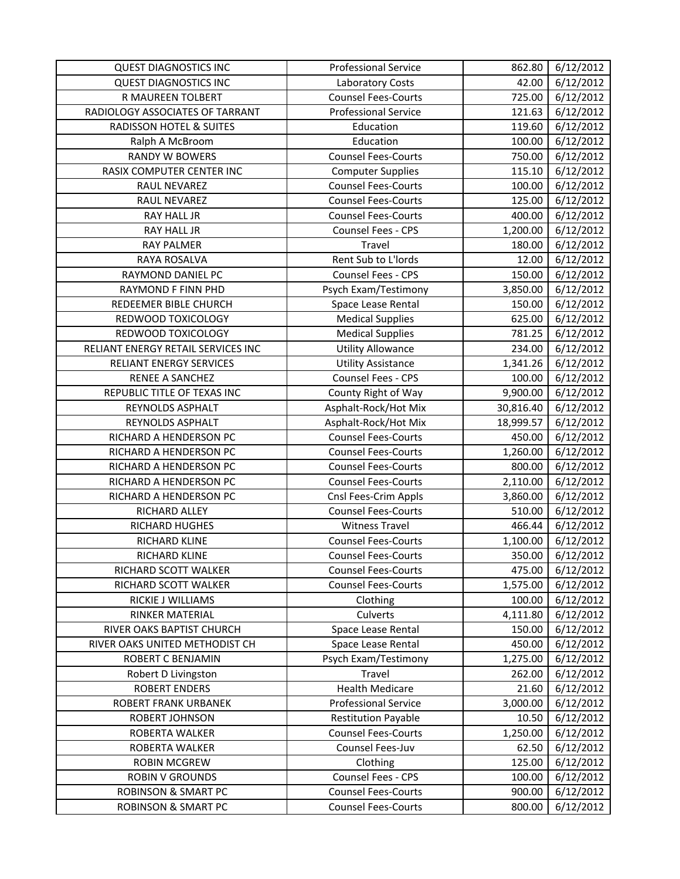| <b>QUEST DIAGNOSTICS INC</b>                     | <b>Professional Service</b>                              | 862.80             | 6/12/2012              |
|--------------------------------------------------|----------------------------------------------------------|--------------------|------------------------|
| <b>QUEST DIAGNOSTICS INC</b>                     | Laboratory Costs                                         | 42.00              | 6/12/2012              |
| R MAUREEN TOLBERT                                | <b>Counsel Fees-Courts</b>                               | 725.00             | 6/12/2012              |
| RADIOLOGY ASSOCIATES OF TARRANT                  | <b>Professional Service</b>                              | 121.63             | 6/12/2012              |
| <b>RADISSON HOTEL &amp; SUITES</b>               | Education                                                | 119.60             | 6/12/2012              |
| Ralph A McBroom                                  | Education                                                | 100.00             | 6/12/2012              |
| <b>RANDY W BOWERS</b>                            | <b>Counsel Fees-Courts</b>                               | 750.00             | 6/12/2012              |
| RASIX COMPUTER CENTER INC                        | <b>Computer Supplies</b>                                 | 115.10             | 6/12/2012              |
| RAUL NEVAREZ                                     | <b>Counsel Fees-Courts</b>                               | 100.00             | 6/12/2012              |
| RAUL NEVAREZ                                     | <b>Counsel Fees-Courts</b>                               | 125.00             | 6/12/2012              |
| RAY HALL JR                                      | <b>Counsel Fees-Courts</b>                               | 400.00             | 6/12/2012              |
| RAY HALL JR                                      | Counsel Fees - CPS                                       | 1,200.00           | 6/12/2012              |
| <b>RAY PALMER</b>                                | Travel                                                   | 180.00             | 6/12/2012              |
| RAYA ROSALVA                                     | Rent Sub to L'Iords                                      | 12.00              | 6/12/2012              |
| RAYMOND DANIEL PC                                | Counsel Fees - CPS                                       | 150.00             | 6/12/2012              |
| RAYMOND F FINN PHD                               | Psych Exam/Testimony                                     | 3,850.00           | 6/12/2012              |
| REDEEMER BIBLE CHURCH                            | Space Lease Rental                                       | 150.00             | $\frac{1}{6}$ /12/2012 |
| REDWOOD TOXICOLOGY                               | <b>Medical Supplies</b>                                  | 625.00             | 6/12/2012              |
| REDWOOD TOXICOLOGY                               | <b>Medical Supplies</b>                                  | 781.25             | 6/12/2012              |
| RELIANT ENERGY RETAIL SERVICES INC               | <b>Utility Allowance</b>                                 | 234.00             | 6/12/2012              |
| <b>RELIANT ENERGY SERVICES</b>                   | <b>Utility Assistance</b>                                | 1,341.26           | 6/12/2012              |
| RENEE A SANCHEZ                                  | Counsel Fees - CPS                                       | 100.00             | 6/12/2012              |
| REPUBLIC TITLE OF TEXAS INC                      | County Right of Way                                      | 9,900.00           | 6/12/2012              |
| REYNOLDS ASPHALT                                 | Asphalt-Rock/Hot Mix                                     | 30,816.40          | 6/12/2012              |
| REYNOLDS ASPHALT                                 | Asphalt-Rock/Hot Mix                                     | 18,999.57          | 6/12/2012              |
| RICHARD A HENDERSON PC                           | <b>Counsel Fees-Courts</b>                               | 450.00             | 6/12/2012              |
| RICHARD A HENDERSON PC                           | <b>Counsel Fees-Courts</b>                               | 1,260.00           | 6/12/2012              |
| RICHARD A HENDERSON PC                           | <b>Counsel Fees-Courts</b><br><b>Counsel Fees-Courts</b> | 800.00             | 6/12/2012              |
| RICHARD A HENDERSON PC<br>RICHARD A HENDERSON PC |                                                          | 2,110.00           | 6/12/2012<br>6/12/2012 |
| RICHARD ALLEY                                    | Cnsl Fees-Crim Appls<br><b>Counsel Fees-Courts</b>       | 3,860.00<br>510.00 | 6/12/2012              |
| RICHARD HUGHES                                   | <b>Witness Travel</b>                                    | 466.44             | 6/12/2012              |
| RICHARD KLINE                                    | <b>Counsel Fees-Courts</b>                               | 1,100.00           | 6/12/2012              |
| RICHARD KLINE                                    | <b>Counsel Fees-Courts</b>                               | 350.00             | 6/12/2012              |
| RICHARD SCOTT WALKER                             | <b>Counsel Fees-Courts</b>                               | 475.00             | 6/12/2012              |
| RICHARD SCOTT WALKER                             | <b>Counsel Fees-Courts</b>                               | 1,575.00           | 6/12/2012              |
| RICKIE J WILLIAMS                                | Clothing                                                 | 100.00             | 6/12/2012              |
| RINKER MATERIAL                                  | Culverts                                                 | 4,111.80           | 6/12/2012              |
| RIVER OAKS BAPTIST CHURCH                        | Space Lease Rental                                       | 150.00             | 6/12/2012              |
| RIVER OAKS UNITED METHODIST CH                   | Space Lease Rental                                       | 450.00             | 6/12/2012              |
| <b>ROBERT C BENJAMIN</b>                         | Psych Exam/Testimony                                     | 1,275.00           | 6/12/2012              |
| Robert D Livingston                              | Travel                                                   | 262.00             | 6/12/2012              |
| <b>ROBERT ENDERS</b>                             | <b>Health Medicare</b>                                   | 21.60              | 6/12/2012              |
| ROBERT FRANK URBANEK                             | <b>Professional Service</b>                              | 3,000.00           | 6/12/2012              |
| ROBERT JOHNSON                                   | <b>Restitution Payable</b>                               | 10.50              | 6/12/2012              |
| ROBERTA WALKER                                   | <b>Counsel Fees-Courts</b>                               | 1,250.00           | 6/12/2012              |
| ROBERTA WALKER                                   | Counsel Fees-Juv                                         | 62.50              | 6/12/2012              |
| <b>ROBIN MCGREW</b>                              | Clothing                                                 | 125.00             | 6/12/2012              |
| <b>ROBIN V GROUNDS</b>                           | Counsel Fees - CPS                                       | 100.00             | 6/12/2012              |
| <b>ROBINSON &amp; SMART PC</b>                   | <b>Counsel Fees-Courts</b>                               | 900.00             | 6/12/2012              |
| <b>ROBINSON &amp; SMART PC</b>                   | <b>Counsel Fees-Courts</b>                               | 800.00             | 6/12/2012              |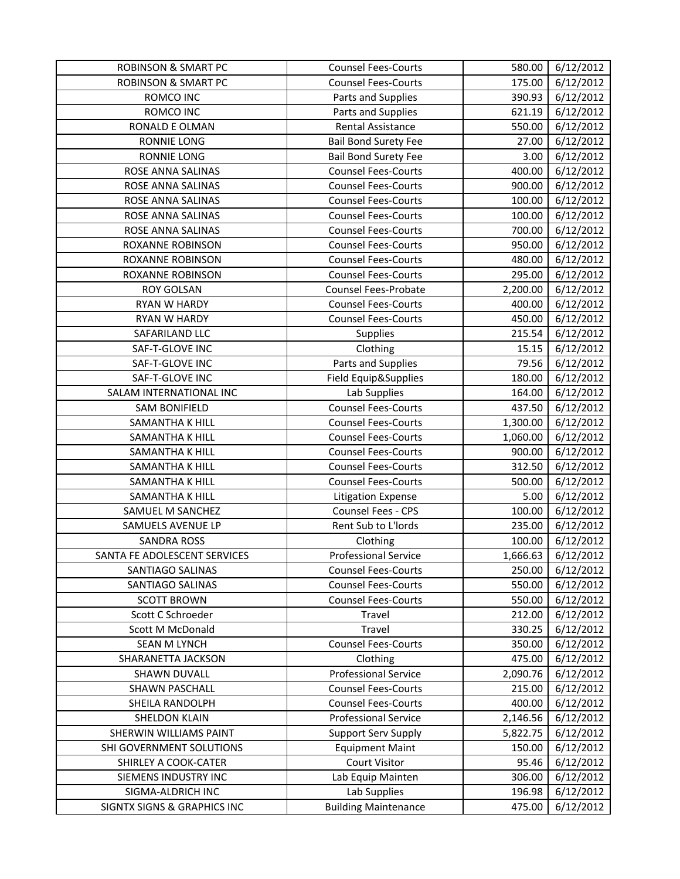| <b>ROBINSON &amp; SMART PC</b> | <b>Counsel Fees-Courts</b>  | 580.00   | 6/12/2012 |
|--------------------------------|-----------------------------|----------|-----------|
| <b>ROBINSON &amp; SMART PC</b> | <b>Counsel Fees-Courts</b>  | 175.00   | 6/12/2012 |
| ROMCO INC                      | Parts and Supplies          | 390.93   | 6/12/2012 |
| ROMCO INC                      | Parts and Supplies          | 621.19   | 6/12/2012 |
| RONALD E OLMAN                 | <b>Rental Assistance</b>    | 550.00   | 6/12/2012 |
| <b>RONNIE LONG</b>             | <b>Bail Bond Surety Fee</b> | 27.00    | 6/12/2012 |
| <b>RONNIE LONG</b>             | <b>Bail Bond Surety Fee</b> | 3.00     | 6/12/2012 |
| ROSE ANNA SALINAS              | <b>Counsel Fees-Courts</b>  | 400.00   | 6/12/2012 |
| ROSE ANNA SALINAS              | <b>Counsel Fees-Courts</b>  | 900.00   | 6/12/2012 |
| ROSE ANNA SALINAS              | <b>Counsel Fees-Courts</b>  | 100.00   | 6/12/2012 |
| ROSE ANNA SALINAS              | <b>Counsel Fees-Courts</b>  | 100.00   | 6/12/2012 |
| ROSE ANNA SALINAS              | <b>Counsel Fees-Courts</b>  | 700.00   | 6/12/2012 |
| ROXANNE ROBINSON               | <b>Counsel Fees-Courts</b>  | 950.00   | 6/12/2012 |
| ROXANNE ROBINSON               | <b>Counsel Fees-Courts</b>  | 480.00   | 6/12/2012 |
| <b>ROXANNE ROBINSON</b>        | <b>Counsel Fees-Courts</b>  | 295.00   | 6/12/2012 |
| <b>ROY GOLSAN</b>              | Counsel Fees-Probate        | 2,200.00 | 6/12/2012 |
| <b>RYAN W HARDY</b>            | <b>Counsel Fees-Courts</b>  | 400.00   | 6/12/2012 |
| <b>RYAN W HARDY</b>            | <b>Counsel Fees-Courts</b>  | 450.00   | 6/12/2012 |
| SAFARILAND LLC                 | <b>Supplies</b>             | 215.54   | 6/12/2012 |
| SAF-T-GLOVE INC                | Clothing                    | 15.15    | 6/12/2012 |
| SAF-T-GLOVE INC                | Parts and Supplies          | 79.56    | 6/12/2012 |
| SAF-T-GLOVE INC                | Field Equip&Supplies        | 180.00   | 6/12/2012 |
| SALAM INTERNATIONAL INC        | Lab Supplies                | 164.00   | 6/12/2012 |
| <b>SAM BONIFIELD</b>           | <b>Counsel Fees-Courts</b>  | 437.50   | 6/12/2012 |
| SAMANTHA K HILL                | <b>Counsel Fees-Courts</b>  | 1,300.00 | 6/12/2012 |
| SAMANTHA K HILL                | <b>Counsel Fees-Courts</b>  | 1,060.00 | 6/12/2012 |
| SAMANTHA K HILL                | <b>Counsel Fees-Courts</b>  | 900.00   | 6/12/2012 |
| SAMANTHA K HILL                | <b>Counsel Fees-Courts</b>  | 312.50   | 6/12/2012 |
| SAMANTHA K HILL                | <b>Counsel Fees-Courts</b>  | 500.00   | 6/12/2012 |
| SAMANTHA K HILL                | <b>Litigation Expense</b>   | 5.00     | 6/12/2012 |
| SAMUEL M SANCHEZ               | Counsel Fees - CPS          | 100.00   | 6/12/2012 |
| SAMUELS AVENUE LP              | Rent Sub to L'Iords         | 235.00   | 6/12/2012 |
| <b>SANDRA ROSS</b>             | Clothing                    | 100.00   | 6/12/2012 |
| SANTA FE ADOLESCENT SERVICES   | <b>Professional Service</b> | 1,666.63 | 6/12/2012 |
| SANTIAGO SALINAS               | <b>Counsel Fees-Courts</b>  | 250.00   | 6/12/2012 |
| SANTIAGO SALINAS               | <b>Counsel Fees-Courts</b>  | 550.00   | 6/12/2012 |
| <b>SCOTT BROWN</b>             | <b>Counsel Fees-Courts</b>  | 550.00   | 6/12/2012 |
| Scott C Schroeder              | Travel                      | 212.00   | 6/12/2012 |
| Scott M McDonald               | Travel                      | 330.25   | 6/12/2012 |
| <b>SEAN M LYNCH</b>            | <b>Counsel Fees-Courts</b>  | 350.00   | 6/12/2012 |
| SHARANETTA JACKSON             | Clothing                    | 475.00   | 6/12/2012 |
| <b>SHAWN DUVALL</b>            | <b>Professional Service</b> | 2,090.76 | 6/12/2012 |
| SHAWN PASCHALL                 | <b>Counsel Fees-Courts</b>  | 215.00   | 6/12/2012 |
| SHEILA RANDOLPH                | <b>Counsel Fees-Courts</b>  | 400.00   | 6/12/2012 |
| SHELDON KLAIN                  | <b>Professional Service</b> | 2,146.56 | 6/12/2012 |
| SHERWIN WILLIAMS PAINT         | <b>Support Serv Supply</b>  | 5,822.75 | 6/12/2012 |
| SHI GOVERNMENT SOLUTIONS       | <b>Equipment Maint</b>      | 150.00   | 6/12/2012 |
| SHIRLEY A COOK-CATER           | <b>Court Visitor</b>        | 95.46    | 6/12/2012 |
| SIEMENS INDUSTRY INC           | Lab Equip Mainten           | 306.00   | 6/12/2012 |
| SIGMA-ALDRICH INC              | Lab Supplies                | 196.98   | 6/12/2012 |
| SIGNTX SIGNS & GRAPHICS INC    | <b>Building Maintenance</b> | 475.00   | 6/12/2012 |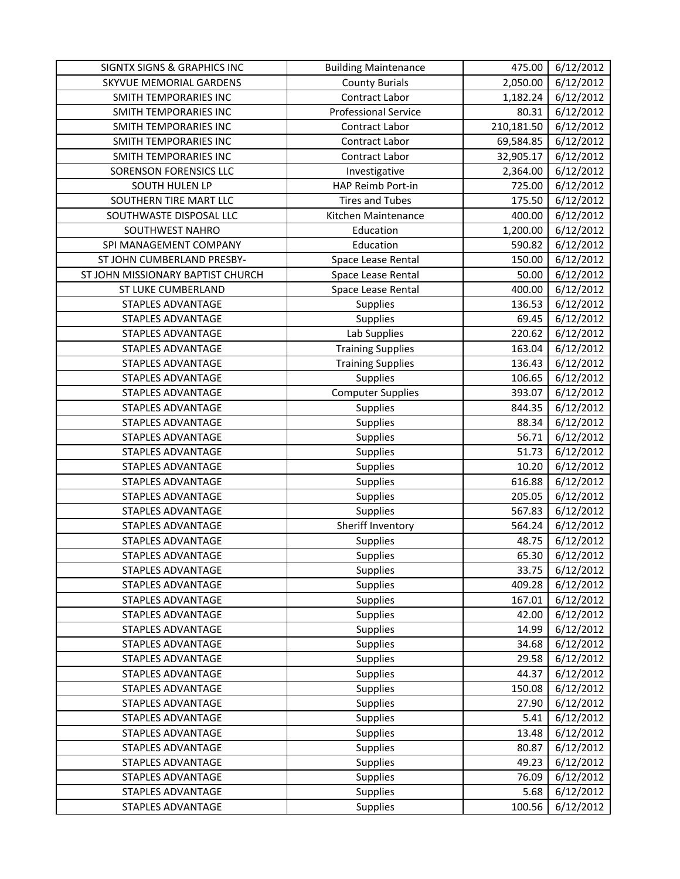| SIGNTX SIGNS & GRAPHICS INC       | <b>Building Maintenance</b> | 475.00     | 6/12/2012 |
|-----------------------------------|-----------------------------|------------|-----------|
| SKYVUE MEMORIAL GARDENS           | <b>County Burials</b>       | 2,050.00   | 6/12/2012 |
| SMITH TEMPORARIES INC             | Contract Labor              | 1,182.24   | 6/12/2012 |
| SMITH TEMPORARIES INC             | <b>Professional Service</b> | 80.31      | 6/12/2012 |
| SMITH TEMPORARIES INC             | Contract Labor              | 210,181.50 | 6/12/2012 |
| SMITH TEMPORARIES INC             | Contract Labor              | 69,584.85  | 6/12/2012 |
| SMITH TEMPORARIES INC             | Contract Labor              | 32,905.17  | 6/12/2012 |
| SORENSON FORENSICS LLC            | Investigative               | 2,364.00   | 6/12/2012 |
| SOUTH HULEN LP                    | HAP Reimb Port-in           | 725.00     | 6/12/2012 |
| SOUTHERN TIRE MART LLC            | <b>Tires and Tubes</b>      | 175.50     | 6/12/2012 |
| SOUTHWASTE DISPOSAL LLC           | Kitchen Maintenance         | 400.00     | 6/12/2012 |
| SOUTHWEST NAHRO                   | Education                   | 1,200.00   | 6/12/2012 |
| SPI MANAGEMENT COMPANY            | Education                   | 590.82     | 6/12/2012 |
| ST JOHN CUMBERLAND PRESBY-        | Space Lease Rental          | 150.00     | 6/12/2012 |
| ST JOHN MISSIONARY BAPTIST CHURCH | Space Lease Rental          | 50.00      | 6/12/2012 |
| ST LUKE CUMBERLAND                | Space Lease Rental          | 400.00     | 6/12/2012 |
| <b>STAPLES ADVANTAGE</b>          | <b>Supplies</b>             | 136.53     | 6/12/2012 |
| <b>STAPLES ADVANTAGE</b>          | Supplies                    | 69.45      | 6/12/2012 |
| <b>STAPLES ADVANTAGE</b>          | Lab Supplies                | 220.62     | 6/12/2012 |
| <b>STAPLES ADVANTAGE</b>          | <b>Training Supplies</b>    | 163.04     | 6/12/2012 |
| STAPLES ADVANTAGE                 | <b>Training Supplies</b>    | 136.43     | 6/12/2012 |
| <b>STAPLES ADVANTAGE</b>          | Supplies                    | 106.65     | 6/12/2012 |
| STAPLES ADVANTAGE                 | <b>Computer Supplies</b>    | 393.07     | 6/12/2012 |
| STAPLES ADVANTAGE                 | Supplies                    | 844.35     | 6/12/2012 |
| STAPLES ADVANTAGE                 | Supplies                    | 88.34      | 6/12/2012 |
| STAPLES ADVANTAGE                 | Supplies                    | 56.71      | 6/12/2012 |
| <b>STAPLES ADVANTAGE</b>          | Supplies                    | 51.73      | 6/12/2012 |
| <b>STAPLES ADVANTAGE</b>          | Supplies                    | 10.20      | 6/12/2012 |
| STAPLES ADVANTAGE                 | Supplies                    | 616.88     | 6/12/2012 |
| STAPLES ADVANTAGE                 | Supplies                    | 205.05     | 6/12/2012 |
| STAPLES ADVANTAGE                 | Supplies                    | 567.83     | 6/12/2012 |
| STAPLES ADVANTAGE                 | Sheriff Inventory           | 564.24     | 6/12/2012 |
| STAPLES ADVANTAGE                 | Supplies                    | 48.75      | 6/12/2012 |
| <b>STAPLES ADVANTAGE</b>          | Supplies                    | 65.30      | 6/12/2012 |
| STAPLES ADVANTAGE                 | Supplies                    | 33.75      | 6/12/2012 |
| <b>STAPLES ADVANTAGE</b>          | Supplies                    | 409.28     | 6/12/2012 |
| <b>STAPLES ADVANTAGE</b>          | Supplies                    | 167.01     | 6/12/2012 |
| STAPLES ADVANTAGE                 | <b>Supplies</b>             | 42.00      | 6/12/2012 |
| STAPLES ADVANTAGE                 | <b>Supplies</b>             | 14.99      | 6/12/2012 |
| <b>STAPLES ADVANTAGE</b>          | Supplies                    | 34.68      | 6/12/2012 |
| <b>STAPLES ADVANTAGE</b>          | Supplies                    | 29.58      | 6/12/2012 |
| <b>STAPLES ADVANTAGE</b>          | Supplies                    | 44.37      | 6/12/2012 |
| STAPLES ADVANTAGE                 | Supplies                    | 150.08     | 6/12/2012 |
| STAPLES ADVANTAGE                 | Supplies                    | 27.90      | 6/12/2012 |
| STAPLES ADVANTAGE                 | <b>Supplies</b>             | 5.41       | 6/12/2012 |
| STAPLES ADVANTAGE                 | <b>Supplies</b>             | 13.48      | 6/12/2012 |
| STAPLES ADVANTAGE                 | Supplies                    | 80.87      | 6/12/2012 |
| STAPLES ADVANTAGE                 | Supplies                    | 49.23      | 6/12/2012 |
| STAPLES ADVANTAGE                 | Supplies                    | 76.09      | 6/12/2012 |
| STAPLES ADVANTAGE                 | Supplies                    | 5.68       | 6/12/2012 |
| STAPLES ADVANTAGE                 | <b>Supplies</b>             | 100.56     | 6/12/2012 |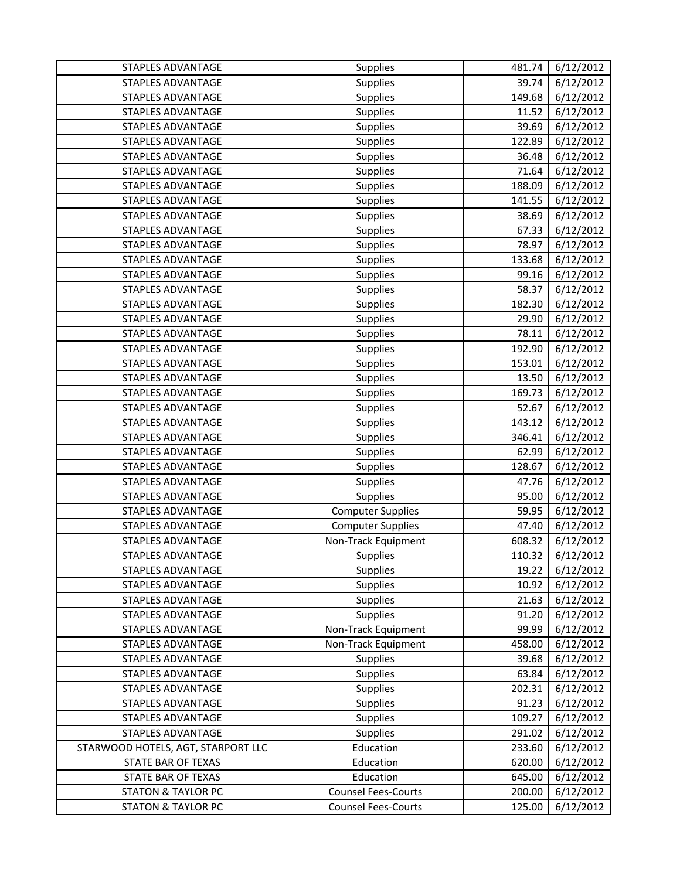| STAPLES ADVANTAGE                  | <b>Supplies</b>            | 481.74 | 6/12/2012              |
|------------------------------------|----------------------------|--------|------------------------|
| STAPLES ADVANTAGE                  | <b>Supplies</b>            | 39.74  | 6/12/2012              |
| STAPLES ADVANTAGE                  | <b>Supplies</b>            | 149.68 | 6/12/2012              |
| STAPLES ADVANTAGE                  | <b>Supplies</b>            | 11.52  | 6/12/2012              |
| STAPLES ADVANTAGE                  | <b>Supplies</b>            | 39.69  | 6/12/2012              |
| <b>STAPLES ADVANTAGE</b>           | <b>Supplies</b>            | 122.89 | 6/12/2012              |
| <b>STAPLES ADVANTAGE</b>           | <b>Supplies</b>            | 36.48  | 6/12/2012              |
| <b>STAPLES ADVANTAGE</b>           | Supplies                   | 71.64  | 6/12/2012              |
| <b>STAPLES ADVANTAGE</b>           | <b>Supplies</b>            | 188.09 | 6/12/2012              |
| STAPLES ADVANTAGE                  | <b>Supplies</b>            | 141.55 | 6/12/2012              |
| STAPLES ADVANTAGE                  | <b>Supplies</b>            | 38.69  | 6/12/2012              |
| <b>STAPLES ADVANTAGE</b>           | Supplies                   | 67.33  | 6/12/2012              |
| STAPLES ADVANTAGE                  | <b>Supplies</b>            | 78.97  | 6/12/2012              |
| STAPLES ADVANTAGE                  | <b>Supplies</b>            | 133.68 | 6/12/2012              |
| STAPLES ADVANTAGE                  | <b>Supplies</b>            | 99.16  | 6/12/2012              |
| <b>STAPLES ADVANTAGE</b>           | Supplies                   | 58.37  | 6/12/2012              |
| <b>STAPLES ADVANTAGE</b>           | Supplies                   | 182.30 | 6/12/2012              |
| STAPLES ADVANTAGE                  | Supplies                   | 29.90  | 6/12/2012              |
| <b>STAPLES ADVANTAGE</b>           | <b>Supplies</b>            | 78.11  | 6/12/2012              |
| STAPLES ADVANTAGE                  | Supplies                   | 192.90 | 6/12/2012              |
| <b>STAPLES ADVANTAGE</b>           | <b>Supplies</b>            | 153.01 | 6/12/2012              |
| STAPLES ADVANTAGE                  | <b>Supplies</b>            | 13.50  | 6/12/2012              |
| STAPLES ADVANTAGE                  | <b>Supplies</b>            | 169.73 | 6/12/2012              |
| STAPLES ADVANTAGE                  | <b>Supplies</b>            | 52.67  | 6/12/2012              |
| STAPLES ADVANTAGE                  | <b>Supplies</b>            | 143.12 | 6/12/2012              |
| STAPLES ADVANTAGE                  | <b>Supplies</b>            | 346.41 | 6/12/2012              |
| STAPLES ADVANTAGE                  | Supplies                   | 62.99  | 6/12/2012              |
| STAPLES ADVANTAGE                  | <b>Supplies</b>            | 128.67 | 6/12/2012              |
| STAPLES ADVANTAGE                  | Supplies                   | 47.76  | 6/12/2012              |
| STAPLES ADVANTAGE                  | <b>Supplies</b>            | 95.00  | 6/12/2012              |
| STAPLES ADVANTAGE                  | <b>Computer Supplies</b>   | 59.95  | 6/12/2012              |
| STAPLES ADVANTAGE                  | <b>Computer Supplies</b>   | 47.40  | 6/12/2012              |
| STAPLES ADVANTAGE                  | Non-Track Equipment        | 608.32 | $\frac{1}{6}$ /12/2012 |
| STAPLES ADVANTAGE                  | Supplies                   | 110.32 | 6/12/2012              |
| STAPLES ADVANTAGE                  | <b>Supplies</b>            | 19.22  | 6/12/2012              |
| STAPLES ADVANTAGE                  | Supplies                   | 10.92  | 6/12/2012              |
| STAPLES ADVANTAGE                  | Supplies                   | 21.63  | 6/12/2012              |
| STAPLES ADVANTAGE                  | Supplies                   | 91.20  | 6/12/2012              |
| <b>STAPLES ADVANTAGE</b>           | Non-Track Equipment        | 99.99  | 6/12/2012              |
| <b>STAPLES ADVANTAGE</b>           | Non-Track Equipment        | 458.00 | 6/12/2012              |
| STAPLES ADVANTAGE                  | <b>Supplies</b>            | 39.68  | 6/12/2012              |
| STAPLES ADVANTAGE                  | Supplies                   | 63.84  | 6/12/2012              |
| STAPLES ADVANTAGE                  | Supplies                   | 202.31 | 6/12/2012              |
| STAPLES ADVANTAGE                  | <b>Supplies</b>            | 91.23  | 6/12/2012              |
| STAPLES ADVANTAGE                  | <b>Supplies</b>            | 109.27 | 6/12/2012              |
| STAPLES ADVANTAGE                  | Supplies                   | 291.02 | 6/12/2012              |
| STARWOOD HOTELS, AGT, STARPORT LLC | Education                  | 233.60 | 6/12/2012              |
| STATE BAR OF TEXAS                 | Education                  | 620.00 | 6/12/2012              |
| STATE BAR OF TEXAS                 | Education                  | 645.00 | 6/12/2012              |
| <b>STATON &amp; TAYLOR PC</b>      | <b>Counsel Fees-Courts</b> | 200.00 | 6/12/2012              |
| <b>STATON &amp; TAYLOR PC</b>      | <b>Counsel Fees-Courts</b> | 125.00 | 6/12/2012              |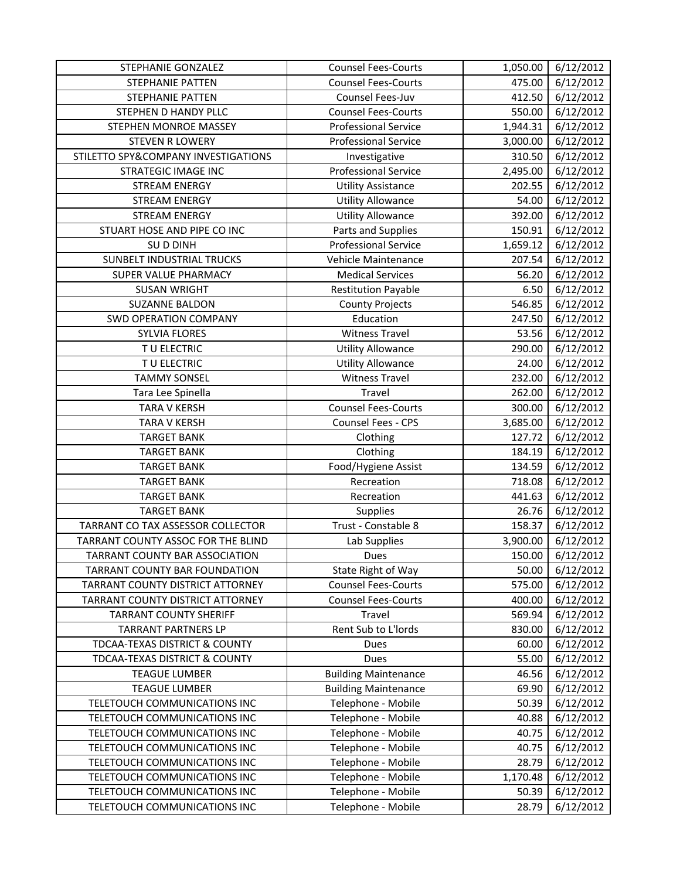| STEPHANIE GONZALEZ                  | <b>Counsel Fees-Courts</b>  | 1,050.00 | 6/12/2012 |
|-------------------------------------|-----------------------------|----------|-----------|
| <b>STEPHANIE PATTEN</b>             | <b>Counsel Fees-Courts</b>  | 475.00   | 6/12/2012 |
| STEPHANIE PATTEN                    | Counsel Fees-Juv            | 412.50   | 6/12/2012 |
| STEPHEN D HANDY PLLC                | <b>Counsel Fees-Courts</b>  | 550.00   | 6/12/2012 |
| STEPHEN MONROE MASSEY               | <b>Professional Service</b> | 1,944.31 | 6/12/2012 |
| <b>STEVEN R LOWERY</b>              | <b>Professional Service</b> | 3,000.00 | 6/12/2012 |
| STILETTO SPY&COMPANY INVESTIGATIONS | Investigative               | 310.50   | 6/12/2012 |
| STRATEGIC IMAGE INC                 | <b>Professional Service</b> | 2,495.00 | 6/12/2012 |
| <b>STREAM ENERGY</b>                | <b>Utility Assistance</b>   | 202.55   | 6/12/2012 |
| <b>STREAM ENERGY</b>                | <b>Utility Allowance</b>    | 54.00    | 6/12/2012 |
| <b>STREAM ENERGY</b>                | <b>Utility Allowance</b>    | 392.00   | 6/12/2012 |
| STUART HOSE AND PIPE CO INC         | Parts and Supplies          | 150.91   | 6/12/2012 |
| SUD DINH                            | <b>Professional Service</b> | 1,659.12 | 6/12/2012 |
| <b>SUNBELT INDUSTRIAL TRUCKS</b>    | Vehicle Maintenance         | 207.54   | 6/12/2012 |
| SUPER VALUE PHARMACY                | <b>Medical Services</b>     | 56.20    | 6/12/2012 |
| <b>SUSAN WRIGHT</b>                 | <b>Restitution Payable</b>  | 6.50     | 6/12/2012 |
| <b>SUZANNE BALDON</b>               | <b>County Projects</b>      | 546.85   | 6/12/2012 |
| <b>SWD OPERATION COMPANY</b>        | Education                   | 247.50   | 6/12/2012 |
| <b>SYLVIA FLORES</b>                | <b>Witness Travel</b>       | 53.56    | 6/12/2012 |
| TU ELECTRIC                         | <b>Utility Allowance</b>    | 290.00   | 6/12/2012 |
| TU ELECTRIC                         | <b>Utility Allowance</b>    | 24.00    | 6/12/2012 |
| <b>TAMMY SONSEL</b>                 | <b>Witness Travel</b>       | 232.00   | 6/12/2012 |
| Tara Lee Spinella                   | Travel                      | 262.00   | 6/12/2012 |
| <b>TARA V KERSH</b>                 | <b>Counsel Fees-Courts</b>  | 300.00   | 6/12/2012 |
| <b>TARA V KERSH</b>                 | Counsel Fees - CPS          | 3,685.00 | 6/12/2012 |
| <b>TARGET BANK</b>                  | Clothing                    | 127.72   | 6/12/2012 |
| <b>TARGET BANK</b>                  | Clothing                    | 184.19   | 6/12/2012 |
| <b>TARGET BANK</b>                  | Food/Hygiene Assist         | 134.59   | 6/12/2012 |
| <b>TARGET BANK</b>                  | Recreation                  | 718.08   | 6/12/2012 |
| <b>TARGET BANK</b>                  | Recreation                  | 441.63   | 6/12/2012 |
| <b>TARGET BANK</b>                  | Supplies                    | 26.76    | 6/12/2012 |
| TARRANT CO TAX ASSESSOR COLLECTOR   | Trust - Constable 8         | 158.37   | 6/12/2012 |
| TARRANT COUNTY ASSOC FOR THE BLIND  | Lab Supplies                | 3,900.00 | 6/12/2012 |
| TARRANT COUNTY BAR ASSOCIATION      | <b>Dues</b>                 | 150.00   | 6/12/2012 |
| TARRANT COUNTY BAR FOUNDATION       | State Right of Way          | 50.00    | 6/12/2012 |
| TARRANT COUNTY DISTRICT ATTORNEY    | <b>Counsel Fees-Courts</b>  | 575.00   | 6/12/2012 |
| TARRANT COUNTY DISTRICT ATTORNEY    | <b>Counsel Fees-Courts</b>  | 400.00   | 6/12/2012 |
| <b>TARRANT COUNTY SHERIFF</b>       | Travel                      | 569.94   | 6/12/2012 |
| <b>TARRANT PARTNERS LP</b>          | Rent Sub to L'Iords         | 830.00   | 6/12/2012 |
| TDCAA-TEXAS DISTRICT & COUNTY       | Dues                        | 60.00    | 6/12/2012 |
| TDCAA-TEXAS DISTRICT & COUNTY       | <b>Dues</b>                 | 55.00    | 6/12/2012 |
| <b>TEAGUE LUMBER</b>                | <b>Building Maintenance</b> | 46.56    | 6/12/2012 |
| <b>TEAGUE LUMBER</b>                | <b>Building Maintenance</b> | 69.90    | 6/12/2012 |
| TELETOUCH COMMUNICATIONS INC        | Telephone - Mobile          | 50.39    | 6/12/2012 |
| TELETOUCH COMMUNICATIONS INC        | Telephone - Mobile          | 40.88    | 6/12/2012 |
| TELETOUCH COMMUNICATIONS INC        | Telephone - Mobile          | 40.75    | 6/12/2012 |
| TELETOUCH COMMUNICATIONS INC        | Telephone - Mobile          | 40.75    | 6/12/2012 |
| TELETOUCH COMMUNICATIONS INC        | Telephone - Mobile          | 28.79    | 6/12/2012 |
| TELETOUCH COMMUNICATIONS INC        | Telephone - Mobile          | 1,170.48 | 6/12/2012 |
| TELETOUCH COMMUNICATIONS INC        | Telephone - Mobile          | 50.39    | 6/12/2012 |
| TELETOUCH COMMUNICATIONS INC        | Telephone - Mobile          | 28.79    | 6/12/2012 |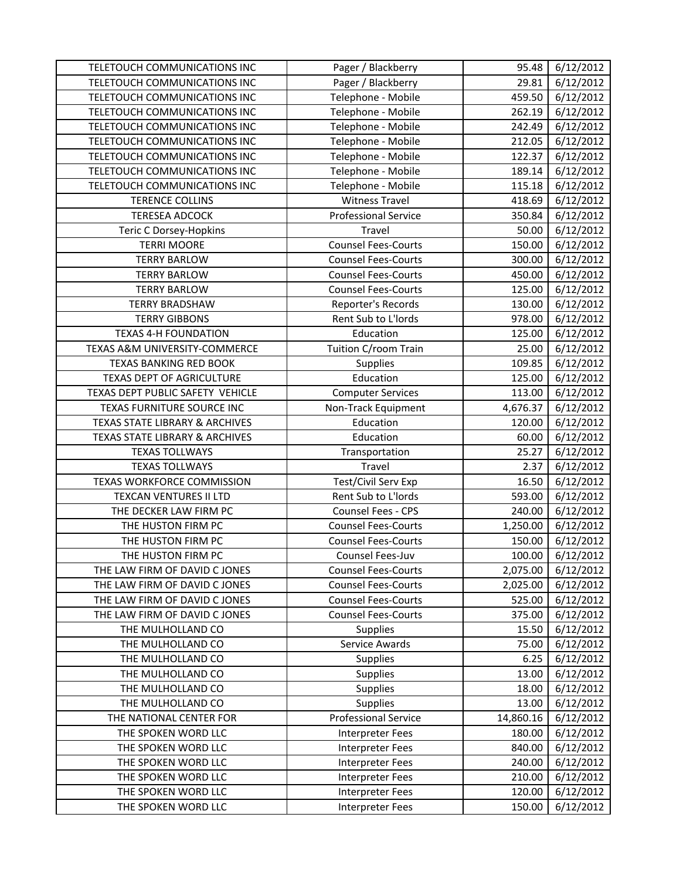| TELETOUCH COMMUNICATIONS INC              | Pager / Blackberry          | 95.48     | 6/12/2012 |
|-------------------------------------------|-----------------------------|-----------|-----------|
| TELETOUCH COMMUNICATIONS INC              | Pager / Blackberry          | 29.81     | 6/12/2012 |
| TELETOUCH COMMUNICATIONS INC              | Telephone - Mobile          | 459.50    | 6/12/2012 |
| TELETOUCH COMMUNICATIONS INC              | Telephone - Mobile          | 262.19    | 6/12/2012 |
| TELETOUCH COMMUNICATIONS INC              | Telephone - Mobile          | 242.49    | 6/12/2012 |
| TELETOUCH COMMUNICATIONS INC              | Telephone - Mobile          | 212.05    | 6/12/2012 |
| TELETOUCH COMMUNICATIONS INC              | Telephone - Mobile          | 122.37    | 6/12/2012 |
| TELETOUCH COMMUNICATIONS INC              | Telephone - Mobile          | 189.14    | 6/12/2012 |
| TELETOUCH COMMUNICATIONS INC              | Telephone - Mobile          | 115.18    | 6/12/2012 |
| <b>TERENCE COLLINS</b>                    | <b>Witness Travel</b>       | 418.69    | 6/12/2012 |
| <b>TERESEA ADCOCK</b>                     | <b>Professional Service</b> | 350.84    | 6/12/2012 |
| Teric C Dorsey-Hopkins                    | Travel                      | 50.00     | 6/12/2012 |
| <b>TERRI MOORE</b>                        | <b>Counsel Fees-Courts</b>  | 150.00    | 6/12/2012 |
| <b>TERRY BARLOW</b>                       | <b>Counsel Fees-Courts</b>  | 300.00    | 6/12/2012 |
| <b>TERRY BARLOW</b>                       | <b>Counsel Fees-Courts</b>  | 450.00    | 6/12/2012 |
| <b>TERRY BARLOW</b>                       | <b>Counsel Fees-Courts</b>  | 125.00    | 6/12/2012 |
| <b>TERRY BRADSHAW</b>                     | Reporter's Records          | 130.00    | 6/12/2012 |
| <b>TERRY GIBBONS</b>                      | Rent Sub to L'Iords         | 978.00    | 6/12/2012 |
| <b>TEXAS 4-H FOUNDATION</b>               | Education                   | 125.00    | 6/12/2012 |
| TEXAS A&M UNIVERSITY-COMMERCE             | Tuition C/room Train        | 25.00     | 6/12/2012 |
| TEXAS BANKING RED BOOK                    | Supplies                    | 109.85    | 6/12/2012 |
| TEXAS DEPT OF AGRICULTURE                 | Education                   | 125.00    | 6/12/2012 |
| TEXAS DEPT PUBLIC SAFETY VEHICLE          | <b>Computer Services</b>    | 113.00    | 6/12/2012 |
| TEXAS FURNITURE SOURCE INC                | Non-Track Equipment         | 4,676.37  | 6/12/2012 |
| TEXAS STATE LIBRARY & ARCHIVES            | Education                   | 120.00    | 6/12/2012 |
| <b>TEXAS STATE LIBRARY &amp; ARCHIVES</b> | Education                   | 60.00     | 6/12/2012 |
| <b>TEXAS TOLLWAYS</b>                     | Transportation              | 25.27     | 6/12/2012 |
| <b>TEXAS TOLLWAYS</b>                     | Travel                      | 2.37      | 6/12/2012 |
| TEXAS WORKFORCE COMMISSION                | Test/Civil Serv Exp         | 16.50     | 6/12/2012 |
| TEXCAN VENTURES II LTD                    | Rent Sub to L'Iords         | 593.00    | 6/12/2012 |
| THE DECKER LAW FIRM PC                    | Counsel Fees - CPS          | 240.00    | 6/12/2012 |
| THE HUSTON FIRM PC                        | <b>Counsel Fees-Courts</b>  | 1,250.00  | 6/12/2012 |
| THE HUSTON FIRM PC                        | <b>Counsel Fees-Courts</b>  | 150.00    | 6/12/2012 |
| THE HUSTON FIRM PC                        | Counsel Fees-Juv            | 100.00    | 6/12/2012 |
| THE LAW FIRM OF DAVID C JONES             | <b>Counsel Fees-Courts</b>  | 2,075.00  | 6/12/2012 |
| THE LAW FIRM OF DAVID C JONES             | <b>Counsel Fees-Courts</b>  | 2,025.00  | 6/12/2012 |
| THE LAW FIRM OF DAVID C JONES             | <b>Counsel Fees-Courts</b>  | 525.00    | 6/12/2012 |
| THE LAW FIRM OF DAVID C JONES             | <b>Counsel Fees-Courts</b>  | 375.00    | 6/12/2012 |
| THE MULHOLLAND CO                         | <b>Supplies</b>             | 15.50     | 6/12/2012 |
| THE MULHOLLAND CO                         | Service Awards              | 75.00     | 6/12/2012 |
| THE MULHOLLAND CO                         | <b>Supplies</b>             | 6.25      | 6/12/2012 |
| THE MULHOLLAND CO                         | Supplies                    | 13.00     | 6/12/2012 |
| THE MULHOLLAND CO                         | Supplies                    | 18.00     | 6/12/2012 |
| THE MULHOLLAND CO                         | Supplies                    | 13.00     | 6/12/2012 |
| THE NATIONAL CENTER FOR                   | <b>Professional Service</b> | 14,860.16 | 6/12/2012 |
| THE SPOKEN WORD LLC                       | Interpreter Fees            | 180.00    | 6/12/2012 |
| THE SPOKEN WORD LLC                       | Interpreter Fees            | 840.00    | 6/12/2012 |
| THE SPOKEN WORD LLC                       | Interpreter Fees            | 240.00    | 6/12/2012 |
| THE SPOKEN WORD LLC                       | Interpreter Fees            | 210.00    | 6/12/2012 |
| THE SPOKEN WORD LLC                       | Interpreter Fees            | 120.00    | 6/12/2012 |
| THE SPOKEN WORD LLC                       | Interpreter Fees            | 150.00    | 6/12/2012 |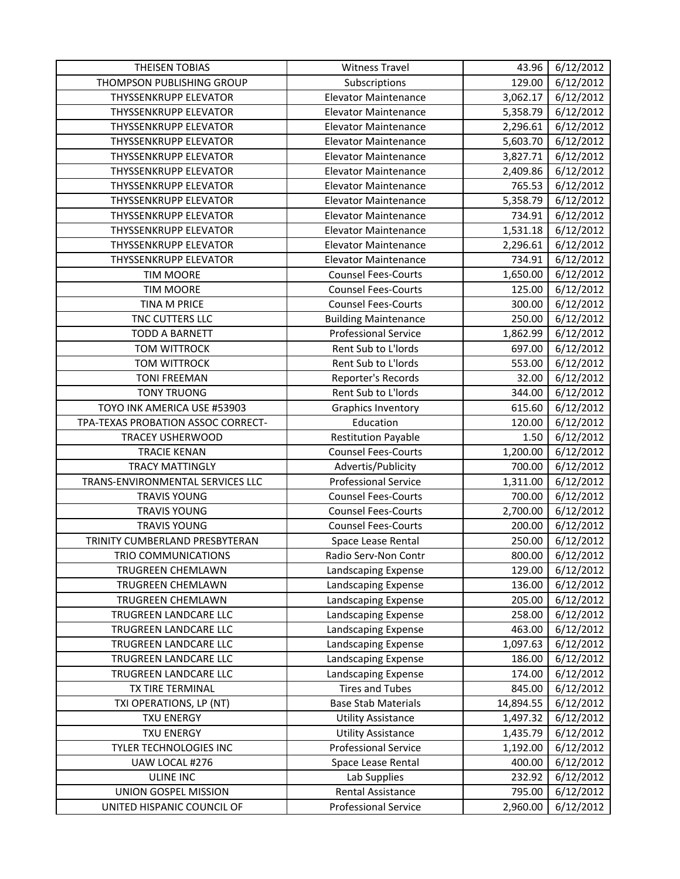| <b>THEISEN TOBIAS</b>              | <b>Witness Travel</b>       | 43.96     | 6/12/2012              |
|------------------------------------|-----------------------------|-----------|------------------------|
| THOMPSON PUBLISHING GROUP          | Subscriptions               | 129.00    | 6/12/2012              |
| THYSSENKRUPP ELEVATOR              | <b>Elevator Maintenance</b> | 3,062.17  | 6/12/2012              |
| <b>THYSSENKRUPP ELEVATOR</b>       | <b>Elevator Maintenance</b> | 5,358.79  | 6/12/2012              |
| THYSSENKRUPP ELEVATOR              | <b>Elevator Maintenance</b> | 2,296.61  | 6/12/2012              |
| <b>THYSSENKRUPP ELEVATOR</b>       | <b>Elevator Maintenance</b> | 5,603.70  | 6/12/2012              |
| <b>THYSSENKRUPP ELEVATOR</b>       | <b>Elevator Maintenance</b> | 3,827.71  | 6/12/2012              |
| <b>THYSSENKRUPP ELEVATOR</b>       | <b>Elevator Maintenance</b> | 2,409.86  | 6/12/2012              |
| <b>THYSSENKRUPP ELEVATOR</b>       | <b>Elevator Maintenance</b> | 765.53    | 6/12/2012              |
| <b>THYSSENKRUPP ELEVATOR</b>       | <b>Elevator Maintenance</b> | 5,358.79  | 6/12/2012              |
| <b>THYSSENKRUPP ELEVATOR</b>       | <b>Elevator Maintenance</b> | 734.91    | 6/12/2012              |
| <b>THYSSENKRUPP ELEVATOR</b>       | <b>Elevator Maintenance</b> | 1,531.18  | $\frac{1}{6}$ /12/2012 |
| <b>THYSSENKRUPP ELEVATOR</b>       | <b>Elevator Maintenance</b> | 2,296.61  | 6/12/2012              |
| <b>THYSSENKRUPP ELEVATOR</b>       | <b>Elevator Maintenance</b> | 734.91    | 6/12/2012              |
| <b>TIM MOORE</b>                   | <b>Counsel Fees-Courts</b>  | 1,650.00  | 6/12/2012              |
| <b>TIM MOORE</b>                   | <b>Counsel Fees-Courts</b>  | 125.00    | 6/12/2012              |
| TINA M PRICE                       | <b>Counsel Fees-Courts</b>  | 300.00    | 6/12/2012              |
| TNC CUTTERS LLC                    | <b>Building Maintenance</b> | 250.00    | 6/12/2012              |
| <b>TODD A BARNETT</b>              | <b>Professional Service</b> | 1,862.99  | 6/12/2012              |
| <b>TOM WITTROCK</b>                | Rent Sub to L'Iords         | 697.00    | 6/12/2012              |
| <b>TOM WITTROCK</b>                | Rent Sub to L'Iords         | 553.00    | 6/12/2012              |
| <b>TONI FREEMAN</b>                | Reporter's Records          | 32.00     | 6/12/2012              |
| <b>TONY TRUONG</b>                 | Rent Sub to L'Iords         | 344.00    | 6/12/2012              |
| TOYO INK AMERICA USE #53903        | <b>Graphics Inventory</b>   | 615.60    | 6/12/2012              |
| TPA-TEXAS PROBATION ASSOC CORRECT- | Education                   | 120.00    | 6/12/2012              |
| TRACEY USHERWOOD                   | <b>Restitution Payable</b>  | 1.50      | 6/12/2012              |
| <b>TRACIE KENAN</b>                | <b>Counsel Fees-Courts</b>  | 1,200.00  | 6/12/2012              |
| <b>TRACY MATTINGLY</b>             | Advertis/Publicity          | 700.00    | 6/12/2012              |
| TRANS-ENVIRONMENTAL SERVICES LLC   | <b>Professional Service</b> | 1,311.00  | 6/12/2012              |
| <b>TRAVIS YOUNG</b>                | <b>Counsel Fees-Courts</b>  | 700.00    | 6/12/2012              |
| <b>TRAVIS YOUNG</b>                | <b>Counsel Fees-Courts</b>  | 2,700.00  | 6/12/2012              |
| <b>TRAVIS YOUNG</b>                | <b>Counsel Fees-Courts</b>  | 200.00    | 6/12/2012              |
| TRINITY CUMBERLAND PRESBYTERAN     | Space Lease Rental          | 250.00    | 6/12/2012              |
| TRIO COMMUNICATIONS                | Radio Serv-Non Contr        | 800.00    | 6/12/2012              |
| TRUGREEN CHEMLAWN                  | Landscaping Expense         | 129.00    | 6/12/2012              |
| TRUGREEN CHEMLAWN                  | Landscaping Expense         | 136.00    | 6/12/2012              |
| TRUGREEN CHEMLAWN                  | Landscaping Expense         | 205.00    | 6/12/2012              |
| TRUGREEN LANDCARE LLC              | Landscaping Expense         | 258.00    | 6/12/2012              |
| TRUGREEN LANDCARE LLC              | Landscaping Expense         | 463.00    | 6/12/2012              |
| TRUGREEN LANDCARE LLC              | Landscaping Expense         | 1,097.63  | 6/12/2012              |
| TRUGREEN LANDCARE LLC              | Landscaping Expense         | 186.00    | 6/12/2012              |
| TRUGREEN LANDCARE LLC              | Landscaping Expense         | 174.00    | 6/12/2012              |
| TX TIRE TERMINAL                   | <b>Tires and Tubes</b>      | 845.00    | 6/12/2012              |
| TXI OPERATIONS, LP (NT)            | <b>Base Stab Materials</b>  | 14,894.55 | 6/12/2012              |
| <b>TXU ENERGY</b>                  | <b>Utility Assistance</b>   | 1,497.32  | 6/12/2012              |
| <b>TXU ENERGY</b>                  | <b>Utility Assistance</b>   | 1,435.79  | 6/12/2012              |
| TYLER TECHNOLOGIES INC             | <b>Professional Service</b> | 1,192.00  | 6/12/2012              |
| UAW LOCAL #276                     | Space Lease Rental          | 400.00    | 6/12/2012              |
| <b>ULINE INC</b>                   | Lab Supplies                | 232.92    | 6/12/2012              |
| UNION GOSPEL MISSION               | Rental Assistance           | 795.00    | 6/12/2012              |
| UNITED HISPANIC COUNCIL OF         | <b>Professional Service</b> | 2,960.00  | 6/12/2012              |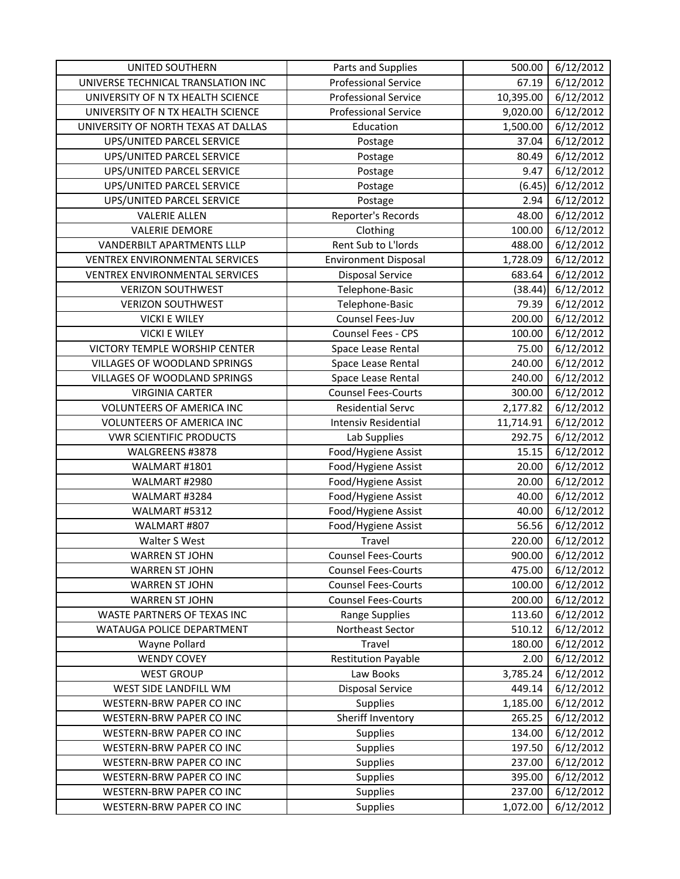| <b>UNITED SOUTHERN</b>              | Parts and Supplies          | 500.00    | 6/12/2012 |
|-------------------------------------|-----------------------------|-----------|-----------|
| UNIVERSE TECHNICAL TRANSLATION INC  | <b>Professional Service</b> | 67.19     | 6/12/2012 |
| UNIVERSITY OF N TX HEALTH SCIENCE   | <b>Professional Service</b> | 10,395.00 | 6/12/2012 |
| UNIVERSITY OF N TX HEALTH SCIENCE   | <b>Professional Service</b> | 9,020.00  | 6/12/2012 |
| UNIVERSITY OF NORTH TEXAS AT DALLAS | Education                   | 1,500.00  | 6/12/2012 |
| UPS/UNITED PARCEL SERVICE           | Postage                     | 37.04     | 6/12/2012 |
| UPS/UNITED PARCEL SERVICE           | Postage                     | 80.49     | 6/12/2012 |
| UPS/UNITED PARCEL SERVICE           | Postage                     | 9.47      | 6/12/2012 |
| UPS/UNITED PARCEL SERVICE           | Postage                     | (6.45)    | 6/12/2012 |
| UPS/UNITED PARCEL SERVICE           | Postage                     | 2.94      | 6/12/2012 |
| <b>VALERIE ALLEN</b>                | Reporter's Records          | 48.00     | 6/12/2012 |
| <b>VALERIE DEMORE</b>               | Clothing                    | 100.00    | 6/12/2012 |
| VANDERBILT APARTMENTS LLLP          | Rent Sub to L'Iords         | 488.00    | 6/12/2012 |
| VENTREX ENVIRONMENTAL SERVICES      | <b>Environment Disposal</b> | 1,728.09  | 6/12/2012 |
| VENTREX ENVIRONMENTAL SERVICES      | <b>Disposal Service</b>     | 683.64    | 6/12/2012 |
| <b>VERIZON SOUTHWEST</b>            | Telephone-Basic             | (38.44)   | 6/12/2012 |
| <b>VERIZON SOUTHWEST</b>            | Telephone-Basic             | 79.39     | 6/12/2012 |
| <b>VICKI E WILEY</b>                | Counsel Fees-Juv            | 200.00    | 6/12/2012 |
| <b>VICKI E WILEY</b>                | Counsel Fees - CPS          | 100.00    | 6/12/2012 |
| VICTORY TEMPLE WORSHIP CENTER       | Space Lease Rental          | 75.00     | 6/12/2012 |
| <b>VILLAGES OF WOODLAND SPRINGS</b> | Space Lease Rental          | 240.00    | 6/12/2012 |
| <b>VILLAGES OF WOODLAND SPRINGS</b> | Space Lease Rental          | 240.00    | 6/12/2012 |
| <b>VIRGINIA CARTER</b>              | <b>Counsel Fees-Courts</b>  | 300.00    | 6/12/2012 |
| VOLUNTEERS OF AMERICA INC           | Residential Servc           | 2,177.82  | 6/12/2012 |
| VOLUNTEERS OF AMERICA INC           | Intensiv Residential        | 11,714.91 | 6/12/2012 |
| <b>VWR SCIENTIFIC PRODUCTS</b>      | Lab Supplies                | 292.75    | 6/12/2012 |
| WALGREENS #3878                     | Food/Hygiene Assist         | 15.15     | 6/12/2012 |
| WALMART #1801                       | Food/Hygiene Assist         | 20.00     | 6/12/2012 |
| WALMART #2980                       | Food/Hygiene Assist         | 20.00     | 6/12/2012 |
| WALMART #3284                       | Food/Hygiene Assist         | 40.00     | 6/12/2012 |
| WALMART #5312                       | Food/Hygiene Assist         | 40.00     | 6/12/2012 |
| WALMART #807                        | Food/Hygiene Assist         | 56.56     | 6/12/2012 |
| Walter S West                       | Travel                      | 220.00    | 6/12/2012 |
| <b>WARREN ST JOHN</b>               | <b>Counsel Fees-Courts</b>  | 900.00    | 6/12/2012 |
| WARREN ST JOHN                      | <b>Counsel Fees-Courts</b>  | 475.00    | 6/12/2012 |
| <b>WARREN ST JOHN</b>               | <b>Counsel Fees-Courts</b>  | 100.00    | 6/12/2012 |
| <b>WARREN ST JOHN</b>               | <b>Counsel Fees-Courts</b>  | 200.00    | 6/12/2012 |
| WASTE PARTNERS OF TEXAS INC         | Range Supplies              | 113.60    | 6/12/2012 |
| WATAUGA POLICE DEPARTMENT           | Northeast Sector            | 510.12    | 6/12/2012 |
| Wayne Pollard                       | Travel                      | 180.00    | 6/12/2012 |
| <b>WENDY COVEY</b>                  | <b>Restitution Payable</b>  | 2.00      | 6/12/2012 |
| <b>WEST GROUP</b>                   | Law Books                   | 3,785.24  | 6/12/2012 |
| WEST SIDE LANDFILL WM               | <b>Disposal Service</b>     | 449.14    | 6/12/2012 |
| WESTERN-BRW PAPER CO INC            | <b>Supplies</b>             | 1,185.00  | 6/12/2012 |
| WESTERN-BRW PAPER CO INC            | Sheriff Inventory           | 265.25    | 6/12/2012 |
| WESTERN-BRW PAPER CO INC            | Supplies                    | 134.00    | 6/12/2012 |
| WESTERN-BRW PAPER CO INC            | <b>Supplies</b>             | 197.50    | 6/12/2012 |
| WESTERN-BRW PAPER CO INC            | Supplies                    | 237.00    | 6/12/2012 |
| WESTERN-BRW PAPER CO INC            | Supplies                    | 395.00    | 6/12/2012 |
| WESTERN-BRW PAPER CO INC            | <b>Supplies</b>             | 237.00    | 6/12/2012 |
| WESTERN-BRW PAPER CO INC            | Supplies                    | 1,072.00  | 6/12/2012 |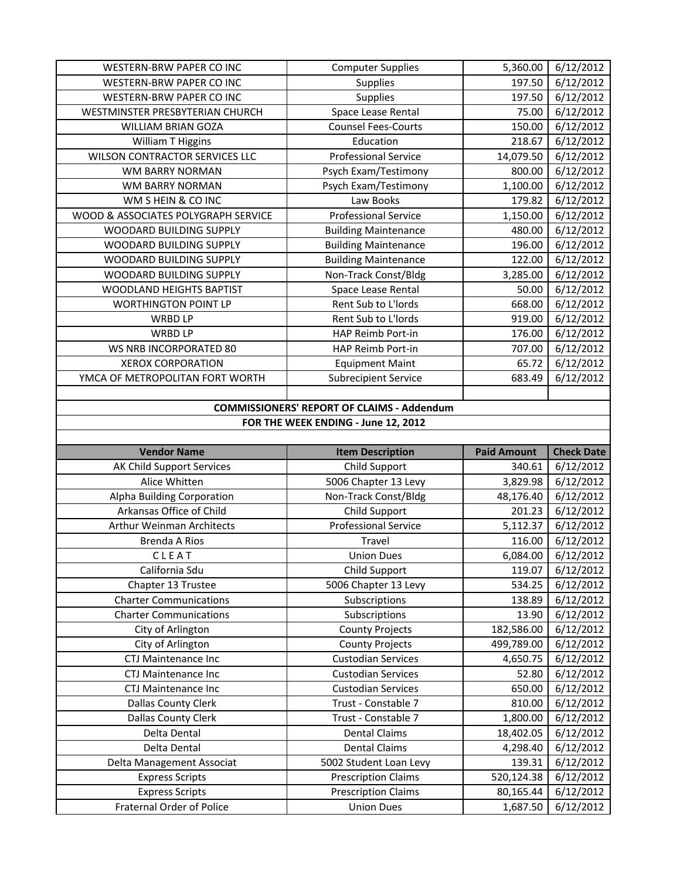| WESTERN-BRW PAPER CO INC                            | <b>Computer Supplies</b>                          | 5,360.00           | 6/12/2012              |  |
|-----------------------------------------------------|---------------------------------------------------|--------------------|------------------------|--|
| <b>WESTERN-BRW PAPER CO INC</b>                     | Supplies                                          | 197.50             | 6/12/2012              |  |
| WESTERN-BRW PAPER CO INC                            | Supplies                                          | 197.50             | 6/12/2012              |  |
| WESTMINSTER PRESBYTERIAN CHURCH                     | Space Lease Rental                                | 75.00              | 6/12/2012              |  |
| <b>WILLIAM BRIAN GOZA</b>                           | <b>Counsel Fees-Courts</b>                        | 150.00             | 6/12/2012              |  |
| William T Higgins                                   | Education                                         | 218.67             | 6/12/2012              |  |
| WILSON CONTRACTOR SERVICES LLC                      | <b>Professional Service</b>                       | 14,079.50          | 6/12/2012              |  |
| WM BARRY NORMAN                                     | Psych Exam/Testimony                              | 800.00             | 6/12/2012              |  |
| WM BARRY NORMAN                                     | Psych Exam/Testimony                              | 1,100.00           | 6/12/2012              |  |
| WM S HEIN & CO INC                                  | Law Books                                         | 179.82             | 6/12/2012              |  |
| WOOD & ASSOCIATES POLYGRAPH SERVICE                 | <b>Professional Service</b>                       | 1,150.00           | 6/12/2012              |  |
| WOODARD BUILDING SUPPLY                             | <b>Building Maintenance</b>                       | 480.00             | 6/12/2012              |  |
| WOODARD BUILDING SUPPLY                             | <b>Building Maintenance</b>                       | 196.00             | 6/12/2012              |  |
| WOODARD BUILDING SUPPLY                             | <b>Building Maintenance</b>                       | 122.00             | 6/12/2012              |  |
| WOODARD BUILDING SUPPLY                             | Non-Track Const/Bldg                              | 3,285.00           | 6/12/2012              |  |
| WOODLAND HEIGHTS BAPTIST                            | Space Lease Rental                                | 50.00              | 6/12/2012              |  |
| <b>WORTHINGTON POINT LP</b>                         | Rent Sub to L'Iords                               | 668.00             | 6/12/2012              |  |
| <b>WRBD LP</b>                                      | Rent Sub to L'Iords                               | 919.00             | 6/12/2012              |  |
| <b>WRBD LP</b>                                      | HAP Reimb Port-in                                 | 176.00             | 6/12/2012              |  |
| WS NRB INCORPORATED 80                              | HAP Reimb Port-in                                 | 707.00             | 6/12/2012              |  |
| <b>XEROX CORPORATION</b>                            | <b>Equipment Maint</b>                            | 65.72              | 6/12/2012              |  |
| YMCA OF METROPOLITAN FORT WORTH                     | <b>Subrecipient Service</b>                       | 683.49             | 6/12/2012              |  |
|                                                     |                                                   |                    |                        |  |
|                                                     | <b>COMMISSIONERS' REPORT OF CLAIMS - Addendum</b> |                    |                        |  |
|                                                     | FOR THE WEEK ENDING - June 12, 2012               |                    |                        |  |
|                                                     |                                                   |                    |                        |  |
|                                                     |                                                   |                    |                        |  |
| <b>Vendor Name</b>                                  | <b>Item Description</b>                           | <b>Paid Amount</b> | <b>Check Date</b>      |  |
| AK Child Support Services                           | Child Support                                     | 340.61             | 6/12/2012              |  |
| Alice Whitten                                       | 5006 Chapter 13 Levy                              | 3,829.98           | 6/12/2012              |  |
| Alpha Building Corporation                          | Non-Track Const/Bldg                              | 48,176.40          | 6/12/2012              |  |
| Arkansas Office of Child                            | Child Support                                     | 201.23             | 6/12/2012              |  |
| Arthur Weinman Architects                           | <b>Professional Service</b>                       | 5,112.37           | 6/12/2012              |  |
| <b>Brenda A Rios</b>                                | Travel                                            | 116.00             | 6/12/2012              |  |
| CLEAT                                               | <b>Union Dues</b>                                 | 6,084.00           | 6/12/2012              |  |
| California Sdu                                      | Child Support                                     | 119.07             | 6/12/2012              |  |
| Chapter 13 Trustee                                  | 5006 Chapter 13 Levy                              | 534.25             | 6/12/2012              |  |
| <b>Charter Communications</b>                       | Subscriptions                                     | 138.89             | 6/12/2012              |  |
| <b>Charter Communications</b>                       | Subscriptions                                     | 13.90              | 6/12/2012              |  |
| City of Arlington                                   | <b>County Projects</b>                            | 182,586.00         | 6/12/2012              |  |
| City of Arlington                                   | <b>County Projects</b>                            | 499,789.00         | 6/12/2012              |  |
| CTJ Maintenance Inc                                 | <b>Custodian Services</b>                         | 4,650.75           | 6/12/2012              |  |
| CTJ Maintenance Inc                                 | <b>Custodian Services</b>                         | 52.80              | 6/12/2012              |  |
| CTJ Maintenance Inc                                 | <b>Custodian Services</b>                         | 650.00             | 6/12/2012              |  |
| <b>Dallas County Clerk</b>                          | Trust - Constable 7                               | 810.00             | 6/12/2012              |  |
| Dallas County Clerk                                 | Trust - Constable 7                               | 1,800.00           | 6/12/2012              |  |
| Delta Dental                                        | <b>Dental Claims</b>                              | 18,402.05          | 6/12/2012              |  |
| Delta Dental                                        | <b>Dental Claims</b>                              | 4,298.40           | 6/12/2012              |  |
| Delta Management Associat                           | 5002 Student Loan Levy                            | 139.31             | 6/12/2012              |  |
| <b>Express Scripts</b>                              | <b>Prescription Claims</b>                        | 520,124.38         | 6/12/2012              |  |
| <b>Express Scripts</b><br>Fraternal Order of Police | <b>Prescription Claims</b>                        | 80,165.44          | 6/12/2012<br>6/12/2012 |  |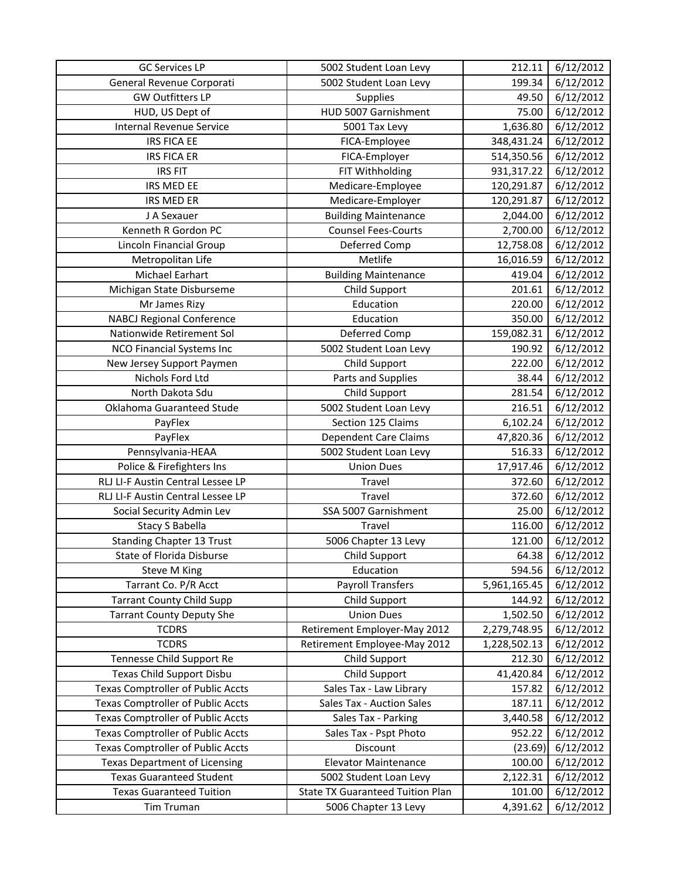| <b>GC Services LP</b>                    | 5002 Student Loan Levy                  | 212.11       | 6/12/2012 |
|------------------------------------------|-----------------------------------------|--------------|-----------|
| General Revenue Corporati                | 5002 Student Loan Levy                  | 199.34       | 6/12/2012 |
| <b>GW Outfitters LP</b>                  | Supplies                                | 49.50        | 6/12/2012 |
| HUD, US Dept of                          | HUD 5007 Garnishment                    | 75.00        | 6/12/2012 |
| <b>Internal Revenue Service</b>          | 5001 Tax Levy                           | 1,636.80     | 6/12/2012 |
| <b>IRS FICA EE</b>                       | FICA-Employee                           | 348,431.24   | 6/12/2012 |
| <b>IRS FICA ER</b>                       | FICA-Employer                           | 514,350.56   | 6/12/2012 |
| <b>IRS FIT</b>                           | FIT Withholding                         | 931,317.22   | 6/12/2012 |
| IRS MED EE                               | Medicare-Employee                       | 120,291.87   | 6/12/2012 |
| <b>IRS MED ER</b>                        | Medicare-Employer                       | 120,291.87   | 6/12/2012 |
| J A Sexauer                              | <b>Building Maintenance</b>             | 2,044.00     | 6/12/2012 |
| Kenneth R Gordon PC                      | <b>Counsel Fees-Courts</b>              | 2,700.00     | 6/12/2012 |
| Lincoln Financial Group                  | Deferred Comp                           | 12,758.08    | 6/12/2012 |
| Metropolitan Life                        | Metlife                                 | 16,016.59    | 6/12/2012 |
| Michael Earhart                          | <b>Building Maintenance</b>             | 419.04       | 6/12/2012 |
| Michigan State Disburseme                | Child Support                           | 201.61       | 6/12/2012 |
| Mr James Rizy                            | Education                               | 220.00       | 6/12/2012 |
| <b>NABCJ Regional Conference</b>         | Education                               | 350.00       | 6/12/2012 |
| Nationwide Retirement Sol                | Deferred Comp                           | 159,082.31   | 6/12/2012 |
| <b>NCO Financial Systems Inc</b>         | 5002 Student Loan Levy                  | 190.92       | 6/12/2012 |
| New Jersey Support Paymen                | Child Support                           | 222.00       | 6/12/2012 |
| Nichols Ford Ltd                         | Parts and Supplies                      | 38.44        | 6/12/2012 |
| North Dakota Sdu                         | Child Support                           | 281.54       | 6/12/2012 |
| Oklahoma Guaranteed Stude                | 5002 Student Loan Levy                  | 216.51       | 6/12/2012 |
| PayFlex                                  | Section 125 Claims                      | 6,102.24     | 6/12/2012 |
| PayFlex                                  | <b>Dependent Care Claims</b>            | 47,820.36    | 6/12/2012 |
| Pennsylvania-HEAA                        | 5002 Student Loan Levy                  | 516.33       | 6/12/2012 |
| Police & Firefighters Ins                | <b>Union Dues</b>                       | 17,917.46    | 6/12/2012 |
| RLJ LI-F Austin Central Lessee LP        | Travel                                  | 372.60       | 6/12/2012 |
| RLJ LI-F Austin Central Lessee LP        | Travel                                  | 372.60       | 6/12/2012 |
| Social Security Admin Lev                | SSA 5007 Garnishment                    | 25.00        | 6/12/2012 |
| <b>Stacy S Babella</b>                   | Travel                                  | 116.00       | 6/12/2012 |
| <b>Standing Chapter 13 Trust</b>         | 5006 Chapter 13 Levy                    | 121.00       | 6/12/2012 |
| State of Florida Disburse                | Child Support                           | 64.38        | 6/12/2012 |
| Steve M King                             | Education                               | 594.56       | 6/12/2012 |
| Tarrant Co. P/R Acct                     | <b>Payroll Transfers</b>                | 5,961,165.45 | 6/12/2012 |
| <b>Tarrant County Child Supp</b>         | Child Support                           | 144.92       | 6/12/2012 |
| <b>Tarrant County Deputy She</b>         | <b>Union Dues</b>                       | 1,502.50     | 6/12/2012 |
| <b>TCDRS</b>                             | Retirement Employer-May 2012            | 2,279,748.95 | 6/12/2012 |
| <b>TCDRS</b>                             | Retirement Employee-May 2012            | 1,228,502.13 | 6/12/2012 |
| Tennesse Child Support Re                | Child Support                           | 212.30       | 6/12/2012 |
| Texas Child Support Disbu                | Child Support                           | 41,420.84    | 6/12/2012 |
| <b>Texas Comptroller of Public Accts</b> | Sales Tax - Law Library                 | 157.82       | 6/12/2012 |
| <b>Texas Comptroller of Public Accts</b> | Sales Tax - Auction Sales               | 187.11       | 6/12/2012 |
| <b>Texas Comptroller of Public Accts</b> | Sales Tax - Parking                     | 3,440.58     | 6/12/2012 |
| <b>Texas Comptroller of Public Accts</b> | Sales Tax - Pspt Photo                  | 952.22       | 6/12/2012 |
| <b>Texas Comptroller of Public Accts</b> | Discount                                | (23.69)      | 6/12/2012 |
| <b>Texas Department of Licensing</b>     | <b>Elevator Maintenance</b>             | 100.00       | 6/12/2012 |
| <b>Texas Guaranteed Student</b>          | 5002 Student Loan Levy                  | 2,122.31     | 6/12/2012 |
| <b>Texas Guaranteed Tuition</b>          | <b>State TX Guaranteed Tuition Plan</b> | 101.00       | 6/12/2012 |
| Tim Truman                               | 5006 Chapter 13 Levy                    | 4,391.62     | 6/12/2012 |